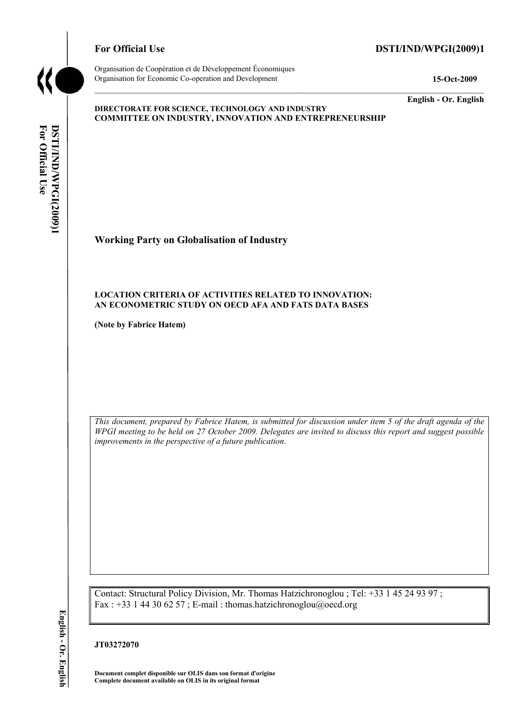

# For Official Use DSTI/IND/WPGI(2009)1

Organisation de Coopération et de Développement Économiques Organisation for Economic Co-operation and Development **15-Oct-2009** 

**English - Or. English** 

#### **DIRECTORATE FOR SCIENCE, TECHNOLOGY AND INDUSTRY COMMITTEE ON INDUSTRY, INNOVATION AND ENTREPRENEURSHIP**

For Official Use DSTI/IND/WPGI(2009)1 **DSTI/IND/WPGI(2009)1 English - Or. EnglishFor Official Use** 

# **Working Party on Globalisation of Industry**

## **LOCATION CRITERIA OF ACTIVITIES RELATED TO INNOVATION: AN ECONOMETRIC STUDY ON OECD AFA AND FATS DATA BASES**

**(Note by Fabrice Hatem)** 

*This document, prepared by Fabrice Hatem, is submitted for discussion under item 5 of the draft agenda of the WPGI meeting to be held on 27 October 2009. Delegates are invited to discuss this report and suggest possible improvements in the perspective of a future publication.* 

Contact: Structural Policy Division, Mr. Thomas Hatzichronoglou ; Tel: +33 1 45 24 93 97 ; Fax : +33 1 44 30 62 57 ; E-mail : thomas.hatzichronoglou@oecd.org

### **JT03272070**

**Document complet disponible sur OLIS dans son format d'origine Complete document available on OLIS in its original format**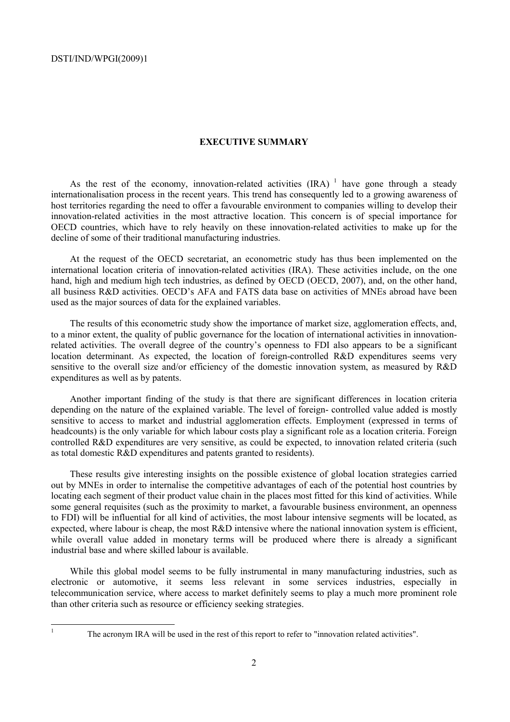#### **EXECUTIVE SUMMARY**

As the rest of the economy, innovation-related activities  $(IRA)^{-1}$  have gone through a steady internationalisation process in the recent years. This trend has consequently led to a growing awareness of host territories regarding the need to offer a favourable environment to companies willing to develop their innovation-related activities in the most attractive location. This concern is of special importance for OECD countries, which have to rely heavily on these innovation-related activities to make up for the decline of some of their traditional manufacturing industries.

At the request of the OECD secretariat, an econometric study has thus been implemented on the international location criteria of innovation-related activities (IRA). These activities include, on the one hand, high and medium high tech industries, as defined by OECD (OECD, 2007), and, on the other hand, all business R&D activities. OECD's AFA and FATS data base on activities of MNEs abroad have been used as the major sources of data for the explained variables.

The results of this econometric study show the importance of market size, agglomeration effects, and, to a minor extent, the quality of public governance for the location of international activities in innovationrelated activities. The overall degree of the country's openness to FDI also appears to be a significant location determinant. As expected, the location of foreign-controlled R&D expenditures seems very sensitive to the overall size and/or efficiency of the domestic innovation system, as measured by R&D expenditures as well as by patents.

Another important finding of the study is that there are significant differences in location criteria depending on the nature of the explained variable. The level of foreign- controlled value added is mostly sensitive to access to market and industrial agglomeration effects. Employment (expressed in terms of headcounts) is the only variable for which labour costs play a significant role as a location criteria. Foreign controlled R&D expenditures are very sensitive, as could be expected, to innovation related criteria (such as total domestic R&D expenditures and patents granted to residents).

These results give interesting insights on the possible existence of global location strategies carried out by MNEs in order to internalise the competitive advantages of each of the potential host countries by locating each segment of their product value chain in the places most fitted for this kind of activities. While some general requisites (such as the proximity to market, a favourable business environment, an openness to FDI) will be influential for all kind of activities, the most labour intensive segments will be located, as expected, where labour is cheap, the most R&D intensive where the national innovation system is efficient, while overall value added in monetary terms will be produced where there is already a significant industrial base and where skilled labour is available.

While this global model seems to be fully instrumental in many manufacturing industries, such as electronic or automotive, it seems less relevant in some services industries, especially in telecommunication service, where access to market definitely seems to play a much more prominent role than other criteria such as resource or efficiency seeking strategies.

|<br>|<br>|

The acronym IRA will be used in the rest of this report to refer to "innovation related activities".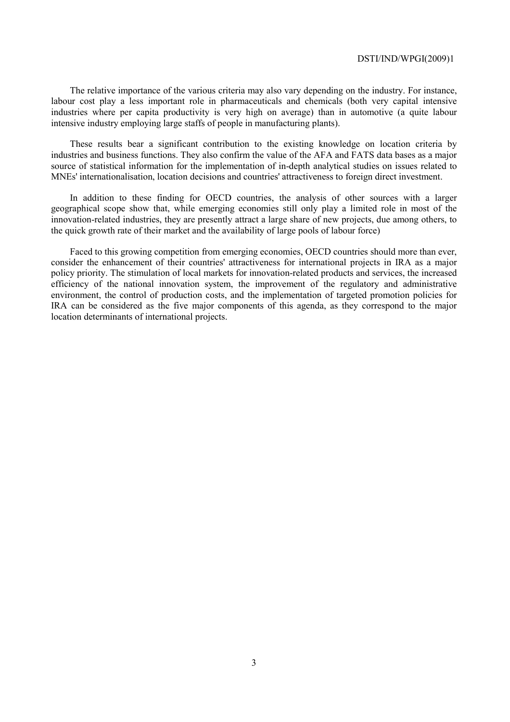The relative importance of the various criteria may also vary depending on the industry. For instance, labour cost play a less important role in pharmaceuticals and chemicals (both very capital intensive industries where per capita productivity is very high on average) than in automotive (a quite labour intensive industry employing large staffs of people in manufacturing plants).

These results bear a significant contribution to the existing knowledge on location criteria by industries and business functions. They also confirm the value of the AFA and FATS data bases as a major source of statistical information for the implementation of in-depth analytical studies on issues related to MNEs' internationalisation, location decisions and countries' attractiveness to foreign direct investment.

In addition to these finding for OECD countries, the analysis of other sources with a larger geographical scope show that, while emerging economies still only play a limited role in most of the innovation-related industries, they are presently attract a large share of new projects, due among others, to the quick growth rate of their market and the availability of large pools of labour force)

Faced to this growing competition from emerging economies, OECD countries should more than ever, consider the enhancement of their countries' attractiveness for international projects in IRA as a major policy priority. The stimulation of local markets for innovation-related products and services, the increased efficiency of the national innovation system, the improvement of the regulatory and administrative environment, the control of production costs, and the implementation of targeted promotion policies for IRA can be considered as the five major components of this agenda, as they correspond to the major location determinants of international projects.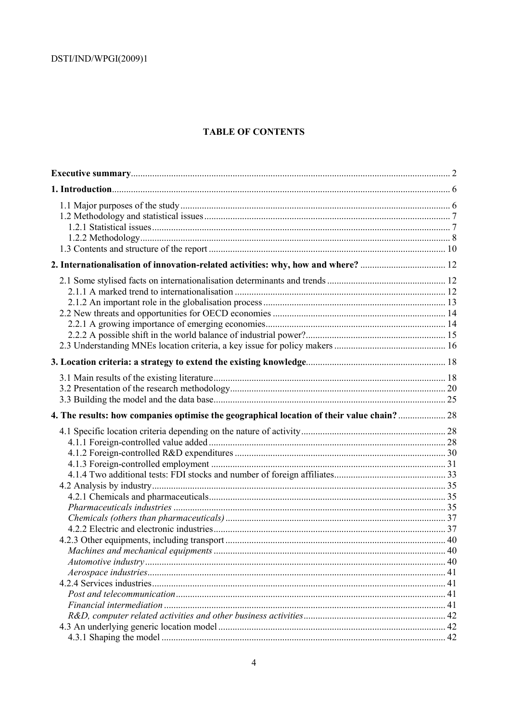# **TABLE OF CONTENTS**

| 2. Internationalisation of innovation-related activities: why, how and where?  12          |  |
|--------------------------------------------------------------------------------------------|--|
|                                                                                            |  |
|                                                                                            |  |
|                                                                                            |  |
|                                                                                            |  |
|                                                                                            |  |
|                                                                                            |  |
|                                                                                            |  |
|                                                                                            |  |
|                                                                                            |  |
|                                                                                            |  |
|                                                                                            |  |
| 4. The results: how companies optimise the geographical location of their value chain?  28 |  |
|                                                                                            |  |
|                                                                                            |  |
|                                                                                            |  |
|                                                                                            |  |
|                                                                                            |  |
|                                                                                            |  |
|                                                                                            |  |
|                                                                                            |  |
|                                                                                            |  |
|                                                                                            |  |
|                                                                                            |  |
|                                                                                            |  |
|                                                                                            |  |
|                                                                                            |  |
|                                                                                            |  |
|                                                                                            |  |
|                                                                                            |  |
|                                                                                            |  |
|                                                                                            |  |
|                                                                                            |  |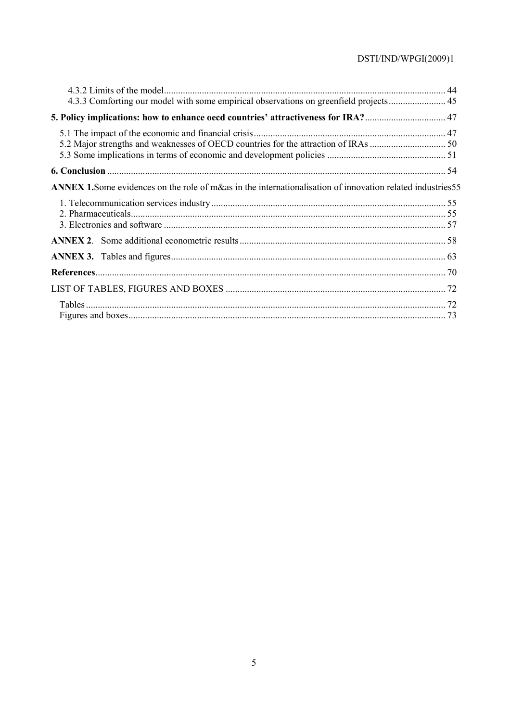| 4.3.3 Comforting our model with some empirical observations on greenfield projects 45                              |  |
|--------------------------------------------------------------------------------------------------------------------|--|
| 5. Policy implications: how to enhance oecd countries' attractiveness for IRA? 47                                  |  |
|                                                                                                                    |  |
|                                                                                                                    |  |
|                                                                                                                    |  |
| <b>ANNEX 1.</b> Some evidences on the role of m&as in the internationalisation of innovation related industries 55 |  |
|                                                                                                                    |  |
|                                                                                                                    |  |
|                                                                                                                    |  |
|                                                                                                                    |  |
|                                                                                                                    |  |
|                                                                                                                    |  |
|                                                                                                                    |  |
|                                                                                                                    |  |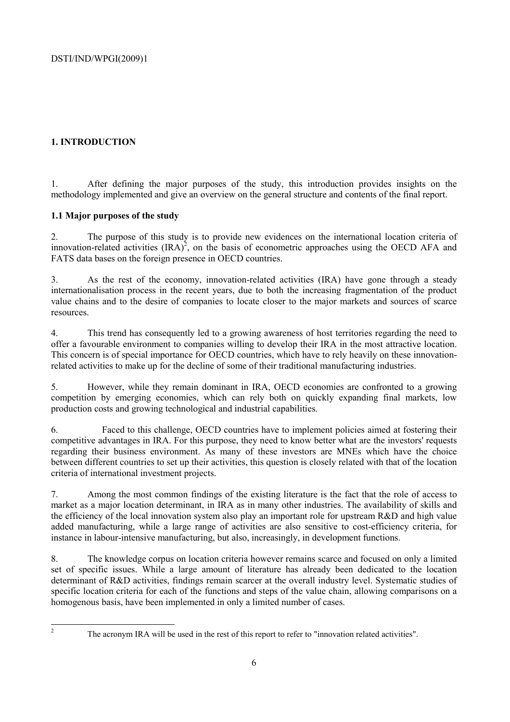# **1. INTRODUCTION**

1. After defining the major purposes of the study, this introduction provides insights on the methodology implemented and give an overview on the general structure and contents of the final report.

# **1.1 Major purposes of the study**

2. The purpose of this study is to provide new evidences on the international location criteria of innovation-related activities  $\text{(IRA)}^2$ , on the basis of econometric approaches using the OECD AFA and FATS data bases on the foreign presence in OECD countries.

3. As the rest of the economy, innovation-related activities (IRA) have gone through a steady internationalisation process in the recent years, due to both the increasing fragmentation of the product value chains and to the desire of companies to locate closer to the major markets and sources of scarce resources.

4. This trend has consequently led to a growing awareness of host territories regarding the need to offer a favourable environment to companies willing to develop their IRA in the most attractive location. This concern is of special importance for OECD countries, which have to rely heavily on these innovationrelated activities to make up for the decline of some of their traditional manufacturing industries.

5. However, while they remain dominant in IRA, OECD economies are confronted to a growing competition by emerging economies, which can rely both on quickly expanding final markets, low production costs and growing technological and industrial capabilities.

6. Faced to this challenge, OECD countries have to implement policies aimed at fostering their competitive advantages in IRA. For this purpose, they need to know better what are the investors' requests regarding their business environment. As many of these investors are MNEs which have the choice between different countries to set up their activities, this question is closely related with that of the location criteria of international investment projects.

7. Among the most common findings of the existing literature is the fact that the role of access to market as a major location determinant, in IRA as in many other industries. The availability of skills and the efficiency of the local innovation system also play an important role for upstream R&D and high value added manufacturing, while a large range of activities are also sensitive to cost-efficiency criteria, for instance in labour-intensive manufacturing, but also, increasingly, in development functions.

8. The knowledge corpus on location criteria however remains scarce and focused on only a limited set of specific issues. While a large amount of literature has already been dedicated to the location determinant of R&D activities, findings remain scarcer at the overall industry level. Systematic studies of specific location criteria for each of the functions and steps of the value chain, allowing comparisons on a homogenous basis, have been implemented in only a limited number of cases.

 $\frac{1}{2}$ 

The acronym IRA will be used in the rest of this report to refer to "innovation related activities".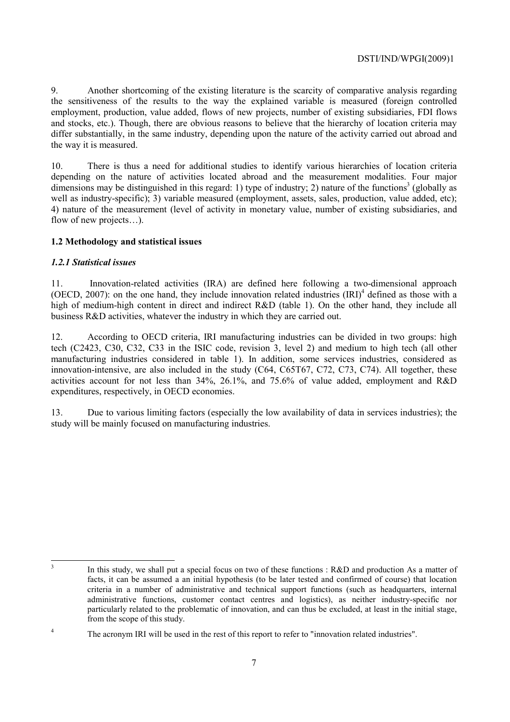9. Another shortcoming of the existing literature is the scarcity of comparative analysis regarding the sensitiveness of the results to the way the explained variable is measured (foreign controlled employment, production, value added, flows of new projects, number of existing subsidiaries, FDI flows and stocks, etc.). Though, there are obvious reasons to believe that the hierarchy of location criteria may differ substantially, in the same industry, depending upon the nature of the activity carried out abroad and the way it is measured.

10. There is thus a need for additional studies to identify various hierarchies of location criteria depending on the nature of activities located abroad and the measurement modalities. Four major dimensions may be distinguished in this regard: 1) type of industry; 2) nature of the functions<sup>3</sup> (globally as well as industry-specific); 3) variable measured (employment, assets, sales, production, value added, etc); 4) nature of the measurement (level of activity in monetary value, number of existing subsidiaries, and flow of new projects…).

## **1.2 Methodology and statistical issues**

### *1.2.1 Statistical issues*

11. Innovation-related activities (IRA) are defined here following a two-dimensional approach (OECD, 2007): on the one hand, they include innovation related industries  $\text{(IRI)}^4$  defined as those with a high of medium-high content in direct and indirect R&D (table 1). On the other hand, they include all business R&D activities, whatever the industry in which they are carried out.

12. According to OECD criteria, IRI manufacturing industries can be divided in two groups: high tech (C2423, C30, C32, C33 in the ISIC code, revision 3, level 2) and medium to high tech (all other manufacturing industries considered in table 1). In addition, some services industries, considered as innovation-intensive, are also included in the study (C64, C65T67, C72, C73, C74). All together, these activities account for not less than 34%, 26.1%, and 75.6% of value added, employment and R&D expenditures, respectively, in OECD economies.

13. Due to various limiting factors (especially the low availability of data in services industries); the study will be mainly focused on manufacturing industries.

3

4

In this study, we shall put a special focus on two of these functions : R&D and production As a matter of facts, it can be assumed a an initial hypothesis (to be later tested and confirmed of course) that location criteria in a number of administrative and technical support functions (such as headquarters, internal administrative functions, customer contact centres and logistics), as neither industry-specific nor particularly related to the problematic of innovation, and can thus be excluded, at least in the initial stage, from the scope of this study.

The acronym IRI will be used in the rest of this report to refer to "innovation related industries".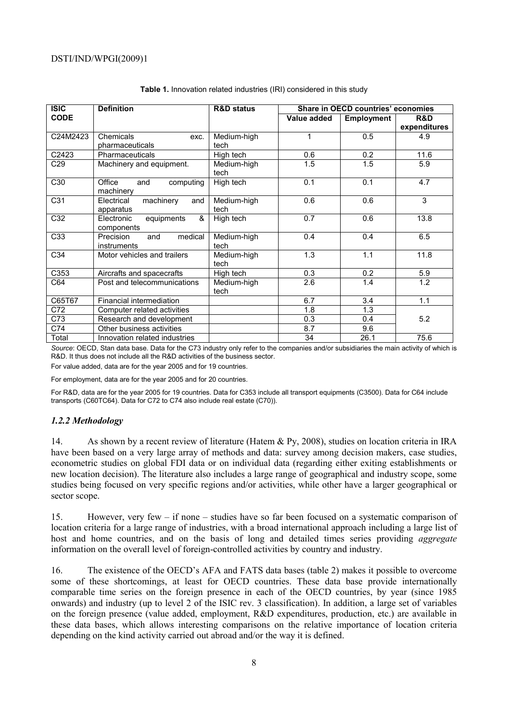| <b>ISIC</b> | <b>Definition</b>                           | <b>R&amp;D status</b> | Share in OECD countries' economies |                   |                |
|-------------|---------------------------------------------|-----------------------|------------------------------------|-------------------|----------------|
| <b>CODE</b> |                                             |                       | Value added                        | <b>Employment</b> | <b>R&amp;D</b> |
|             |                                             |                       |                                    |                   | expenditures   |
| C24M2423    | Chemicals<br>exc.                           | Medium-high           | 1                                  | 0.5               | 4.9            |
|             | pharmaceuticals                             | tech                  |                                    |                   |                |
| C2423       | Pharmaceuticals                             | High tech             | 0.6                                | 0.2               | 11.6           |
| C29         | Machinery and equipment.                    | Medium-high<br>tech   | 1.5                                | 1.5               | 5.9            |
| C30         | Office<br>computing<br>and<br>machinery     | High tech             | 0.1                                | 0.1               | 4.7            |
| C31         | machinery<br>Electrical<br>and<br>apparatus | Medium-high<br>tech   | 0.6                                | 0.6               | 3              |
| C32         | &<br>Electronic<br>equipments<br>components | High tech             | 0.7                                | 0.6               | 13.8           |
| C33         | medical<br>Precision<br>and<br>instruments  | Medium-high<br>tech   | 0.4                                | 0.4               | 6.5            |
| C34         | Motor vehicles and trailers                 | Medium-high<br>tech   | 1.3                                | 1.1               | 11.8           |
| C353        | Aircrafts and spacecrafts                   | High tech             | 0.3                                | 0.2               | 5.9            |
| C64         | Post and telecommunications                 | Medium-high<br>tech   | 2.6                                | 1.4               | 1.2            |
| C65T67      | Financial intermediation                    |                       | 6.7                                | 3.4               | 1.1            |
| C72         | Computer related activities                 |                       | 1.8                                | 1.3               |                |
| C73         | Research and development                    |                       | 0.3                                | 0.4               | 5.2            |
| C74         | Other business activities                   |                       | 8.7                                | 9.6               |                |
| Total       | Innovation related industries               |                       | 34                                 | 26.1              | 75.6           |

#### **Table 1.** Innovation related industries (IRI) considered in this study

*Source*: OECD, Stan data base. Data for the C73 industry only refer to the companies and/or subsidiaries the main activity of which is R&D. It thus does not include all the R&D activities of the business sector.

For value added, data are for the year 2005 and for 19 countries.

For employment, data are for the year 2005 and for 20 countries.

For R&D, data are for the year 2005 for 19 countries. Data for C353 include all transport equipments (C3500). Data for C64 include transports (C60TC64). Data for C72 to C74 also include real estate (C70)).

#### *1.2.2 Methodology*

14. As shown by a recent review of literature (Hatem & Py, 2008), studies on location criteria in IRA have been based on a very large array of methods and data: survey among decision makers, case studies, econometric studies on global FDI data or on individual data (regarding either exiting establishments or new location decision). The literature also includes a large range of geographical and industry scope, some studies being focused on very specific regions and/or activities, while other have a larger geographical or sector scope.

15. However, very few – if none – studies have so far been focused on a systematic comparison of location criteria for a large range of industries, with a broad international approach including a large list of host and home countries, and on the basis of long and detailed times series providing *aggregate* information on the overall level of foreign-controlled activities by country and industry.

16. The existence of the OECD's AFA and FATS data bases (table 2) makes it possible to overcome some of these shortcomings, at least for OECD countries. These data base provide internationally comparable time series on the foreign presence in each of the OECD countries, by year (since 1985 onwards) and industry (up to level 2 of the ISIC rev. 3 classification). In addition, a large set of variables on the foreign presence (value added, employment, R&D expenditures, production, etc.) are available in these data bases, which allows interesting comparisons on the relative importance of location criteria depending on the kind activity carried out abroad and/or the way it is defined.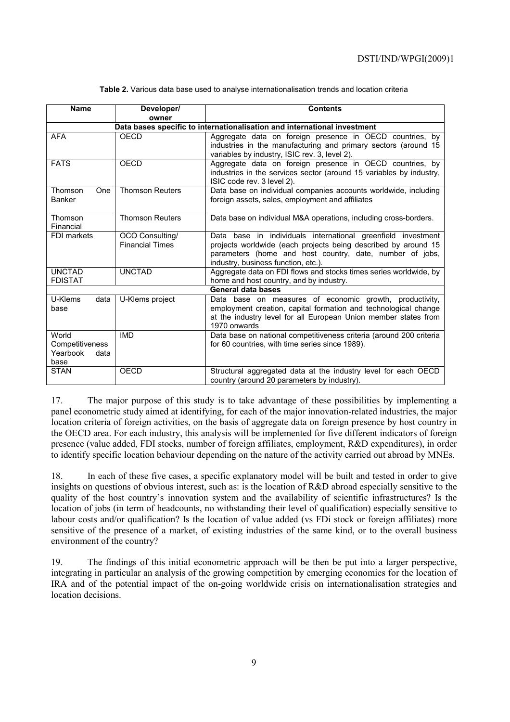| <b>Name</b>                                          | Developer/<br>owner                       | <b>Contents</b>                                                                                                                                                                                                                   |
|------------------------------------------------------|-------------------------------------------|-----------------------------------------------------------------------------------------------------------------------------------------------------------------------------------------------------------------------------------|
|                                                      |                                           | Data bases specific to internationalisation and international investment                                                                                                                                                          |
| <b>AFA</b>                                           | <b>OECD</b>                               | Aggregate data on foreign presence in OECD countries, by<br>industries in the manufacturing and primary sectors (around 15<br>variables by industry, ISIC rev. 3, level 2).                                                       |
| <b>FATS</b>                                          | OECD                                      | Aggregate data on foreign presence in OECD countries, by<br>industries in the services sector (around 15 variables by industry,<br>ISIC code rev. 3 level 2).                                                                     |
| Thomson<br>One<br><b>Banker</b>                      | <b>Thomson Reuters</b>                    | Data base on individual companies accounts worldwide, including<br>foreign assets, sales, employment and affiliates                                                                                                               |
| Thomson<br>Financial                                 | <b>Thomson Reuters</b>                    | Data base on individual M&A operations, including cross-borders.                                                                                                                                                                  |
| FDI markets                                          | OCO Consulting/<br><b>Financial Times</b> | Data base in individuals international greenfield investment<br>projects worldwide (each projects being described by around 15<br>parameters (home and host country, date, number of jobs,<br>industry, business function, etc.). |
| <b>UNCTAD</b><br><b>FDISTAT</b>                      | <b>UNCTAD</b>                             | Aggregate data on FDI flows and stocks times series worldwide, by<br>home and host country, and by industry.                                                                                                                      |
|                                                      |                                           | General data bases                                                                                                                                                                                                                |
| U-Klems<br>data<br>base                              | U-Klems project                           | Data base on measures of economic growth, productivity,<br>employment creation, capital formation and technological change<br>at the industry level for all European Union member states from<br>1970 onwards                     |
| World<br>Competitiveness<br>Yearbook<br>data<br>base | <b>IMD</b>                                | Data base on national competitiveness criteria (around 200 criteria<br>for 60 countries, with time series since 1989).                                                                                                            |
| <b>STAN</b>                                          | <b>OECD</b>                               | Structural aggregated data at the industry level for each OECD<br>country (around 20 parameters by industry).                                                                                                                     |

**Table 2.** Various data base used to analyse internationalisation trends and location criteria

17. The major purpose of this study is to take advantage of these possibilities by implementing a panel econometric study aimed at identifying, for each of the major innovation-related industries, the major location criteria of foreign activities, on the basis of aggregate data on foreign presence by host country in the OECD area. For each industry, this analysis will be implemented for five different indicators of foreign presence (value added, FDI stocks, number of foreign affiliates, employment, R&D expenditures), in order to identify specific location behaviour depending on the nature of the activity carried out abroad by MNEs.

18. In each of these five cases, a specific explanatory model will be built and tested in order to give insights on questions of obvious interest, such as: is the location of R&D abroad especially sensitive to the quality of the host country's innovation system and the availability of scientific infrastructures? Is the location of jobs (in term of headcounts, no withstanding their level of qualification) especially sensitive to labour costs and/or qualification? Is the location of value added (vs FDi stock or foreign affiliates) more sensitive of the presence of a market, of existing industries of the same kind, or to the overall business environment of the country?

19. The findings of this initial econometric approach will be then be put into a larger perspective, integrating in particular an analysis of the growing competition by emerging economies for the location of IRA and of the potential impact of the on-going worldwide crisis on internationalisation strategies and location decisions.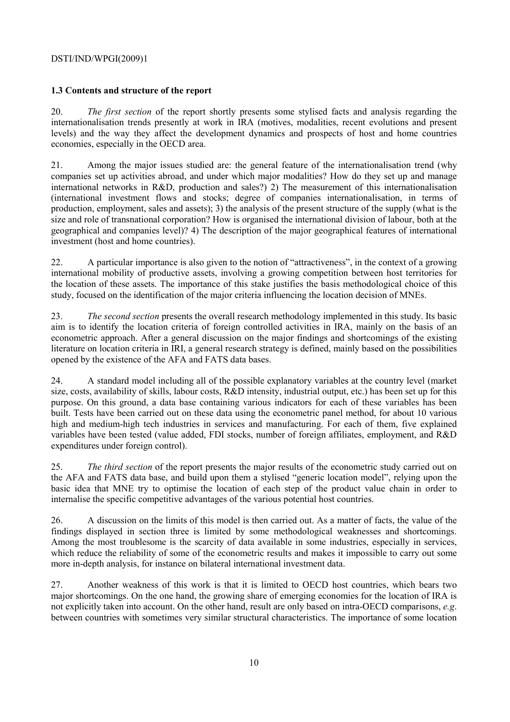# **1.3 Contents and structure of the report**

20. *The first section* of the report shortly presents some stylised facts and analysis regarding the internationalisation trends presently at work in IRA (motives, modalities, recent evolutions and present levels) and the way they affect the development dynamics and prospects of host and home countries economies, especially in the OECD area.

21. Among the major issues studied are: the general feature of the internationalisation trend (why companies set up activities abroad, and under which major modalities? How do they set up and manage international networks in R&D, production and sales?) 2) The measurement of this internationalisation (international investment flows and stocks; degree of companies internationalisation, in terms of production, employment, sales and assets); 3) the analysis of the present structure of the supply (what is the size and role of transnational corporation? How is organised the international division of labour, both at the geographical and companies level)? 4) The description of the major geographical features of international investment (host and home countries).

22. A particular importance is also given to the notion of "attractiveness", in the context of a growing international mobility of productive assets, involving a growing competition between host territories for the location of these assets. The importance of this stake justifies the basis methodological choice of this study, focused on the identification of the major criteria influencing the location decision of MNEs.

23. *The second section* presents the overall research methodology implemented in this study. Its basic aim is to identify the location criteria of foreign controlled activities in IRA, mainly on the basis of an econometric approach. After a general discussion on the major findings and shortcomings of the existing literature on location criteria in IRI, a general research strategy is defined, mainly based on the possibilities opened by the existence of the AFA and FATS data bases.

24. A standard model including all of the possible explanatory variables at the country level (market size, costs, availability of skills, labour costs, R&D intensity, industrial output, etc.) has been set up for this purpose. On this ground, a data base containing various indicators for each of these variables has been built. Tests have been carried out on these data using the econometric panel method, for about 10 various high and medium-high tech industries in services and manufacturing. For each of them, five explained variables have been tested (value added, FDI stocks, number of foreign affiliates, employment, and R&D expenditures under foreign control).

25. *The third section* of the report presents the major results of the econometric study carried out on the AFA and FATS data base, and build upon them a stylised "generic location model", relying upon the basic idea that MNE try to optimise the location of each step of the product value chain in order to internalise the specific competitive advantages of the various potential host countries.

26. A discussion on the limits of this model is then carried out. As a matter of facts, the value of the findings displayed in section three is limited by some methodological weaknesses and shortcomings. Among the most troublesome is the scarcity of data available in some industries, especially in services, which reduce the reliability of some of the econometric results and makes it impossible to carry out some more in-depth analysis, for instance on bilateral international investment data.

27. Another weakness of this work is that it is limited to OECD host countries, which bears two major shortcomings. On the one hand, the growing share of emerging economies for the location of IRA is not explicitly taken into account. On the other hand, result are only based on intra-OECD comparisons, *e.g*. between countries with sometimes very similar structural characteristics. The importance of some location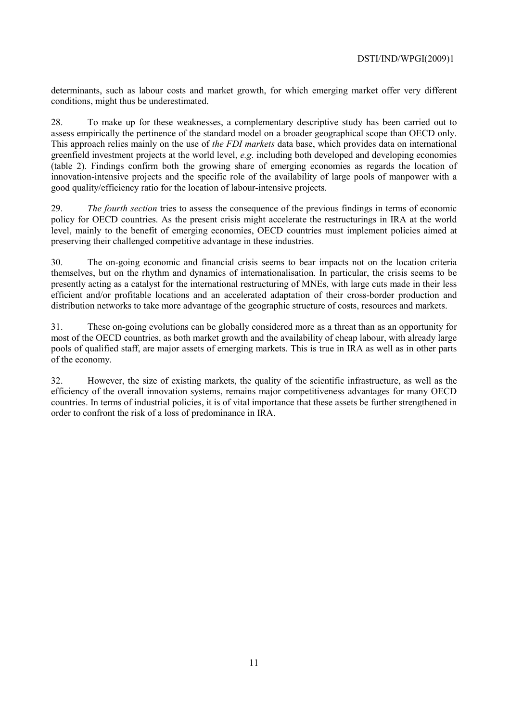determinants, such as labour costs and market growth, for which emerging market offer very different conditions, might thus be underestimated.

28. To make up for these weaknesses, a complementary descriptive study has been carried out to assess empirically the pertinence of the standard model on a broader geographical scope than OECD only. This approach relies mainly on the use of *the FDI markets* data base, which provides data on international greenfield investment projects at the world level, *e.g*. including both developed and developing economies (table 2). Findings confirm both the growing share of emerging economies as regards the location of innovation-intensive projects and the specific role of the availability of large pools of manpower with a good quality/efficiency ratio for the location of labour-intensive projects.

29. *The fourth section* tries to assess the consequence of the previous findings in terms of economic policy for OECD countries. As the present crisis might accelerate the restructurings in IRA at the world level, mainly to the benefit of emerging economies, OECD countries must implement policies aimed at preserving their challenged competitive advantage in these industries.

30. The on-going economic and financial crisis seems to bear impacts not on the location criteria themselves, but on the rhythm and dynamics of internationalisation. In particular, the crisis seems to be presently acting as a catalyst for the international restructuring of MNEs, with large cuts made in their less efficient and/or profitable locations and an accelerated adaptation of their cross-border production and distribution networks to take more advantage of the geographic structure of costs, resources and markets.

31. These on-going evolutions can be globally considered more as a threat than as an opportunity for most of the OECD countries, as both market growth and the availability of cheap labour, with already large pools of qualified staff, are major assets of emerging markets. This is true in IRA as well as in other parts of the economy.

32. However, the size of existing markets, the quality of the scientific infrastructure, as well as the efficiency of the overall innovation systems, remains major competitiveness advantages for many OECD countries. In terms of industrial policies, it is of vital importance that these assets be further strengthened in order to confront the risk of a loss of predominance in IRA.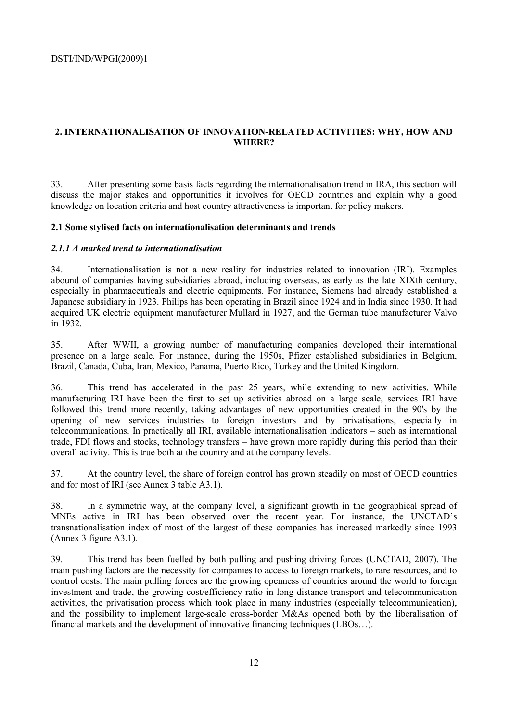# **2. INTERNATIONALISATION OF INNOVATION-RELATED ACTIVITIES: WHY, HOW AND WHERE?**

33. After presenting some basis facts regarding the internationalisation trend in IRA, this section will discuss the major stakes and opportunities it involves for OECD countries and explain why a good knowledge on location criteria and host country attractiveness is important for policy makers.

## **2.1 Some stylised facts on internationalisation determinants and trends**

### *2.1.1 A marked trend to internationalisation*

34. Internationalisation is not a new reality for industries related to innovation (IRI). Examples abound of companies having subsidiaries abroad, including overseas, as early as the late XIXth century, especially in pharmaceuticals and electric equipments. For instance, Siemens had already established a Japanese subsidiary in 1923. Philips has been operating in Brazil since 1924 and in India since 1930. It had acquired UK electric equipment manufacturer Mullard in 1927, and the German tube manufacturer Valvo in 1932.

35. After WWII, a growing number of manufacturing companies developed their international presence on a large scale. For instance, during the 1950s, Pfizer established subsidiaries in Belgium, Brazil, Canada, Cuba, Iran, Mexico, Panama, Puerto Rico, Turkey and the United Kingdom.

36. This trend has accelerated in the past 25 years, while extending to new activities. While manufacturing IRI have been the first to set up activities abroad on a large scale, services IRI have followed this trend more recently, taking advantages of new opportunities created in the 90's by the opening of new services industries to foreign investors and by privatisations, especially in telecommunications. In practically all IRI, available internationalisation indicators – such as international trade, FDI flows and stocks, technology transfers – have grown more rapidly during this period than their overall activity. This is true both at the country and at the company levels.

37. At the country level, the share of foreign control has grown steadily on most of OECD countries and for most of IRI (see Annex 3 table A3.1).

38. In a symmetric way, at the company level, a significant growth in the geographical spread of MNEs active in IRI has been observed over the recent year. For instance, the UNCTAD's transnationalisation index of most of the largest of these companies has increased markedly since 1993 (Annex 3 figure A3.1).

39. This trend has been fuelled by both pulling and pushing driving forces (UNCTAD, 2007). The main pushing factors are the necessity for companies to access to foreign markets, to rare resources, and to control costs. The main pulling forces are the growing openness of countries around the world to foreign investment and trade, the growing cost/efficiency ratio in long distance transport and telecommunication activities, the privatisation process which took place in many industries (especially telecommunication), and the possibility to implement large-scale cross-border M&As opened both by the liberalisation of financial markets and the development of innovative financing techniques (LBOs…).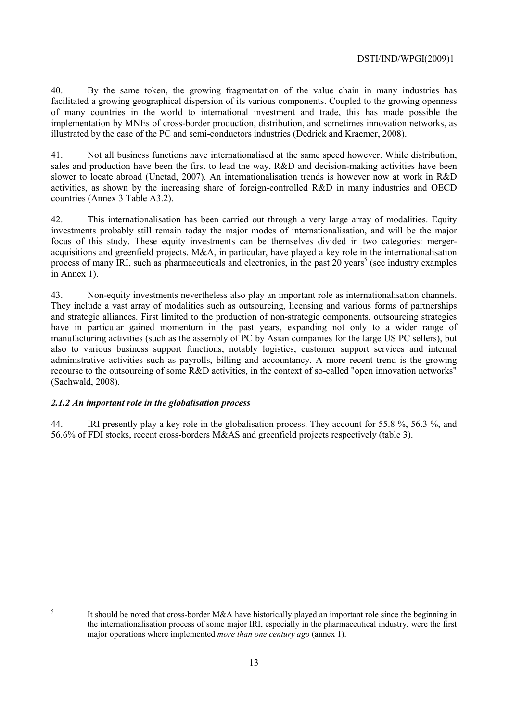40. By the same token, the growing fragmentation of the value chain in many industries has facilitated a growing geographical dispersion of its various components. Coupled to the growing openness of many countries in the world to international investment and trade, this has made possible the implementation by MNEs of cross-border production, distribution, and sometimes innovation networks, as illustrated by the case of the PC and semi-conductors industries (Dedrick and Kraemer, 2008).

41. Not all business functions have internationalised at the same speed however. While distribution, sales and production have been the first to lead the way, R&D and decision-making activities have been slower to locate abroad (Unctad, 2007). An internationalisation trends is however now at work in R&D activities, as shown by the increasing share of foreign-controlled R&D in many industries and OECD countries (Annex 3 Table A3.2).

42. This internationalisation has been carried out through a very large array of modalities. Equity investments probably still remain today the major modes of internationalisation, and will be the major focus of this study. These equity investments can be themselves divided in two categories: mergeracquisitions and greenfield projects. M&A, in particular, have played a key role in the internationalisation process of many IRI, such as pharmaceuticals and electronics, in the past  $20$  years<sup>5</sup> (see industry examples in Annex 1).

43. Non-equity investments nevertheless also play an important role as internationalisation channels. They include a vast array of modalities such as outsourcing, licensing and various forms of partnerships and strategic alliances. First limited to the production of non-strategic components, outsourcing strategies have in particular gained momentum in the past years, expanding not only to a wider range of manufacturing activities (such as the assembly of PC by Asian companies for the large US PC sellers), but also to various business support functions, notably logistics, customer support services and internal administrative activities such as payrolls, billing and accountancy. A more recent trend is the growing recourse to the outsourcing of some R&D activities, in the context of so-called "open innovation networks" (Sachwald, 2008).

# *2.1.2 An important role in the globalisation process*

44. IRI presently play a key role in the globalisation process. They account for 55.8 %, 56.3 %, and 56.6% of FDI stocks, recent cross-borders M&AS and greenfield projects respectively (table 3).

 $\frac{1}{5}$ 

It should be noted that cross-border M&A have historically played an important role since the beginning in the internationalisation process of some major IRI, especially in the pharmaceutical industry, were the first major operations where implemented *more than one century ago* (annex 1).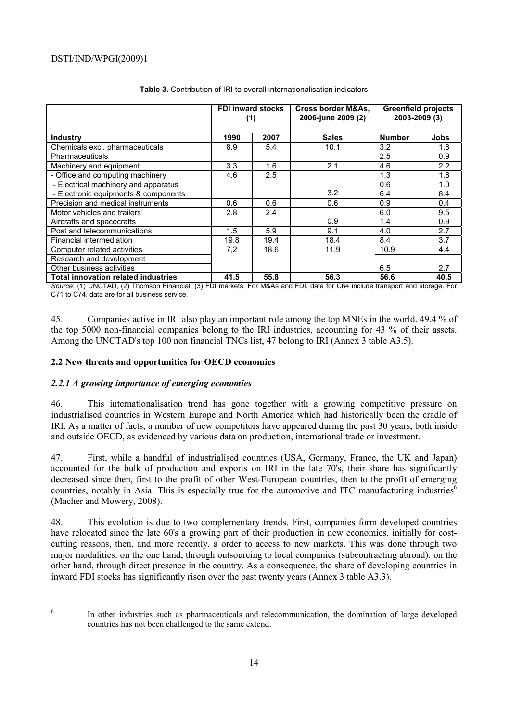|                                            | <b>FDI inward stocks</b><br>(1) |      | Cross border M&As,<br>2006-june 2009 (2) | <b>Greenfield projects</b><br>2003-2009 (3) |             |
|--------------------------------------------|---------------------------------|------|------------------------------------------|---------------------------------------------|-------------|
| <b>Industry</b>                            | 1990                            | 2007 | <b>Sales</b>                             | <b>Number</b>                               | <b>Jobs</b> |
| Chemicals excl. pharmaceuticals            | 8.9                             | 5.4  | 10.1                                     | 3.2                                         | 1.8         |
| Pharmaceuticals                            |                                 |      |                                          | 2.5                                         | 0.9         |
| Machinery and equipment.                   | 3.3                             | 1.6  | 2.1                                      | 4.6                                         | 2.2         |
| - Office and computing machinery           | 4.6                             | 2.5  |                                          | 1.3                                         | 1.8         |
| - Electrical machinery and apparatus       |                                 |      |                                          | 0.6                                         | 1.0         |
| - Electronic equipments & components       |                                 |      | 3.2                                      | 6.4                                         | 8.4         |
| Precision and medical instruments          | 0.6                             | 0,6  | 0.6                                      | 0.9                                         | 0.4         |
| Motor vehicles and trailers                | 2.8                             | 2.4  |                                          | 6.0                                         | 9.5         |
| Aircrafts and spacecrafts                  |                                 |      | 0.9                                      | 1.4                                         | 0.9         |
| Post and telecommunications                | 1.5                             | 5.9  | 9.1                                      | 4.0                                         | 2.7         |
| Financial intermediation                   | 19.8                            | 19.4 | 18.4                                     | 8.4                                         | 3.7         |
| Computer related activities                | 7,2                             | 18.6 | 11.9                                     | 10.9                                        | 4.4         |
| Research and development                   |                                 |      |                                          |                                             |             |
| Other business activities                  |                                 |      |                                          | 6.5                                         | 2.7         |
| <b>Total innovation related industries</b> | 41.5                            | 55.8 | 56.3                                     | 56.6                                        | 40.5        |

### **Table 3.** Contribution of IRI to overall internationalisation indicators

*Source*: (1) UNCTAD, (2) Thomson Financial; (3) FDI markets. For M&As and FDI, data for C64 include transport and storage. For C71 to C74, data are for all business service.

45. Companies active in IRI also play an important role among the top MNEs in the world. 49.4 % of the top 5000 non-financial companies belong to the IRI industries, accounting for 43 % of their assets. Among the UNCTAD's top 100 non financial TNCs list, 47 belong to IRI (Annex 3 table A3.5).

### **2.2 New threats and opportunities for OECD economies**

### *2.2.1 A growing importance of emerging economies*

46. This internationalisation trend has gone together with a growing competitive pressure on industrialised countries in Western Europe and North America which had historically been the cradle of IRI. As a matter of facts, a number of new competitors have appeared during the past 30 years, both inside and outside OECD, as evidenced by various data on production, international trade or investment.

47. First, while a handful of industrialised countries (USA, Germany, France, the UK and Japan) accounted for the bulk of production and exports on IRI in the late 70's, their share has significantly decreased since then, first to the profit of other West-European countries, then to the profit of emerging countries, notably in Asia. This is especially true for the automotive and ITC manufacturing industries $\delta$ (Macher and Mowery, 2008).

48. This evolution is due to two complementary trends. First, companies form developed countries have relocated since the late 60's a growing part of their production in new economies, initially for costcutting reasons, then, and more recently, a order to access to new markets. This was done through two major modalities: on the one hand, through outsourcing to local companies (subcontracting abroad); on the other hand, through direct presence in the country. As a consequence, the share of developing countries in inward FDI stocks has significantly risen over the past twenty years (Annex 3 table A3.3).

6

In other industries such as pharmaceuticals and telecommunication, the domination of large developed countries has not been challenged to the same extend.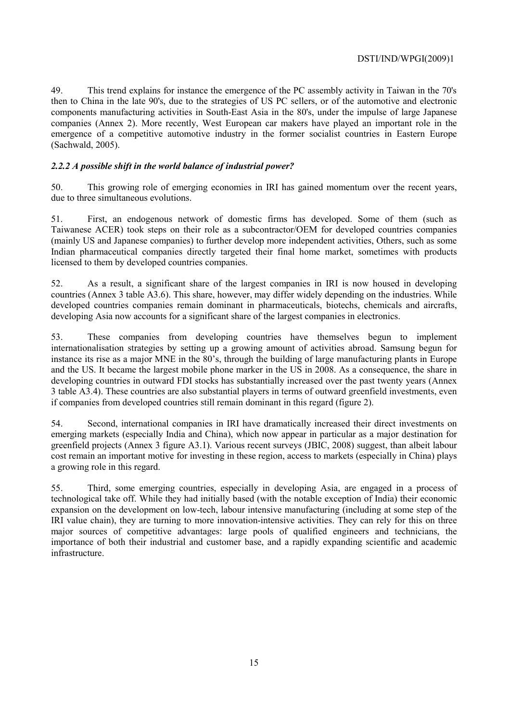49. This trend explains for instance the emergence of the PC assembly activity in Taiwan in the 70's then to China in the late 90's, due to the strategies of US PC sellers, or of the automotive and electronic components manufacturing activities in South-East Asia in the 80's, under the impulse of large Japanese companies (Annex 2). More recently, West European car makers have played an important role in the emergence of a competitive automotive industry in the former socialist countries in Eastern Europe (Sachwald, 2005).

# *2.2.2 A possible shift in the world balance of industrial power?*

50. This growing role of emerging economies in IRI has gained momentum over the recent years, due to three simultaneous evolutions.

51. First, an endogenous network of domestic firms has developed. Some of them (such as Taiwanese ACER) took steps on their role as a subcontractor/OEM for developed countries companies (mainly US and Japanese companies) to further develop more independent activities, Others, such as some Indian pharmaceutical companies directly targeted their final home market, sometimes with products licensed to them by developed countries companies.

52. As a result, a significant share of the largest companies in IRI is now housed in developing countries (Annex 3 table A3.6). This share, however, may differ widely depending on the industries. While developed countries companies remain dominant in pharmaceuticals, biotechs, chemicals and aircrafts, developing Asia now accounts for a significant share of the largest companies in electronics.

53. These companies from developing countries have themselves begun to implement internationalisation strategies by setting up a growing amount of activities abroad. Samsung begun for instance its rise as a major MNE in the 80's, through the building of large manufacturing plants in Europe and the US. It became the largest mobile phone marker in the US in 2008. As a consequence, the share in developing countries in outward FDI stocks has substantially increased over the past twenty years (Annex 3 table A3.4). These countries are also substantial players in terms of outward greenfield investments, even if companies from developed countries still remain dominant in this regard (figure 2).

54. Second, international companies in IRI have dramatically increased their direct investments on emerging markets (especially India and China), which now appear in particular as a major destination for greenfield projects (Annex 3 figure A3.1). Various recent surveys (JBIC, 2008) suggest, than albeit labour cost remain an important motive for investing in these region, access to markets (especially in China) plays a growing role in this regard.

55. Third, some emerging countries, especially in developing Asia, are engaged in a process of technological take off. While they had initially based (with the notable exception of India) their economic expansion on the development on low-tech, labour intensive manufacturing (including at some step of the IRI value chain), they are turning to more innovation-intensive activities. They can rely for this on three major sources of competitive advantages: large pools of qualified engineers and technicians, the importance of both their industrial and customer base, and a rapidly expanding scientific and academic infrastructure.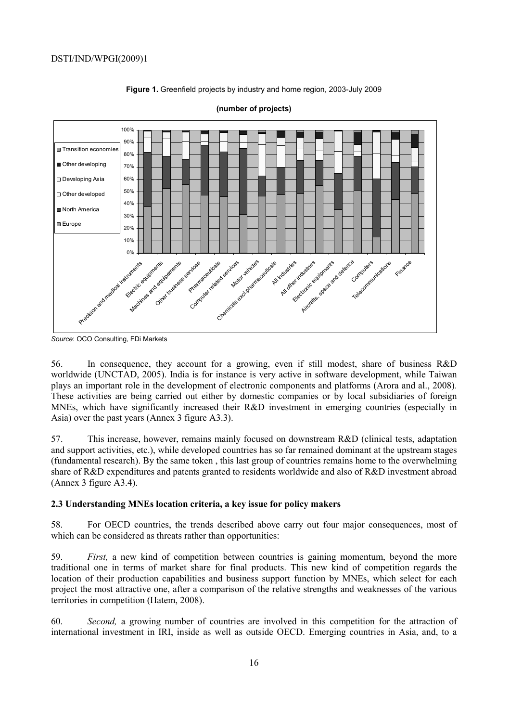

**Figure 1.** Greenfield projects by industry and home region, 2003-July 2009

*Source*: OCO Consulting, FDi Markets

56. In consequence, they account for a growing, even if still modest, share of business R&D worldwide (UNCTAD, 2005). India is for instance is very active in software development, while Taiwan plays an important role in the development of electronic components and platforms (Arora and al., 2008). These activities are being carried out either by domestic companies or by local subsidiaries of foreign MNEs, which have significantly increased their R&D investment in emerging countries (especially in Asia) over the past years (Annex 3 figure A3.3).

57. This increase, however, remains mainly focused on downstream R&D (clinical tests, adaptation and support activities, etc.), while developed countries has so far remained dominant at the upstream stages (fundamental research). By the same token , this last group of countries remains home to the overwhelming share of R&D expenditures and patents granted to residents worldwide and also of R&D investment abroad (Annex 3 figure A3.4).

### **2.3 Understanding MNEs location criteria, a key issue for policy makers**

58. For OECD countries, the trends described above carry out four major consequences, most of which can be considered as threats rather than opportunities:

59. *First,* a new kind of competition between countries is gaining momentum, beyond the more traditional one in terms of market share for final products. This new kind of competition regards the location of their production capabilities and business support function by MNEs, which select for each project the most attractive one, after a comparison of the relative strengths and weaknesses of the various territories in competition (Hatem, 2008).

60. *Second,* a growing number of countries are involved in this competition for the attraction of international investment in IRI, inside as well as outside OECD. Emerging countries in Asia, and, to a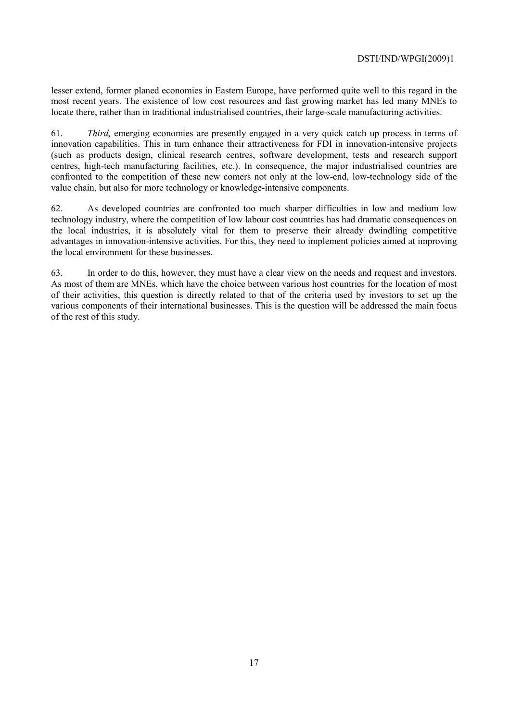lesser extend, former planed economies in Eastern Europe, have performed quite well to this regard in the most recent years. The existence of low cost resources and fast growing market has led many MNEs to locate there, rather than in traditional industrialised countries, their large-scale manufacturing activities.

61. *Third,* emerging economies are presently engaged in a very quick catch up process in terms of innovation capabilities. This in turn enhance their attractiveness for FDI in innovation-intensive projects (such as products design, clinical research centres, software development, tests and research support centres, high-tech manufacturing facilities, etc.). In consequence, the major industrialised countries are confronted to the competition of these new comers not only at the low-end, low-technology side of the value chain, but also for more technology or knowledge-intensive components.

62. As developed countries are confronted too much sharper difficulties in low and medium low technology industry, where the competition of low labour cost countries has had dramatic consequences on the local industries, it is absolutely vital for them to preserve their already dwindling competitive advantages in innovation-intensive activities. For this, they need to implement policies aimed at improving the local environment for these businesses.

63. In order to do this, however, they must have a clear view on the needs and request and investors. As most of them are MNEs, which have the choice between various host countries for the location of most of their activities, this question is directly related to that of the criteria used by investors to set up the various components of their international businesses. This is the question will be addressed the main focus of the rest of this study.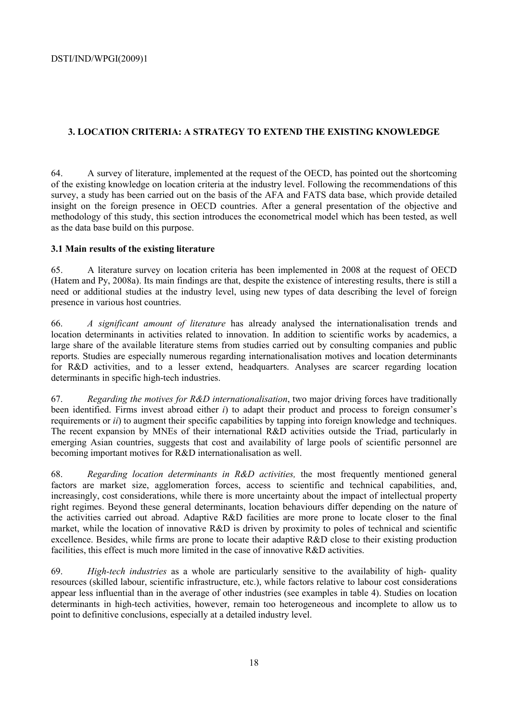# **3. LOCATION CRITERIA: A STRATEGY TO EXTEND THE EXISTING KNOWLEDGE**

64. A survey of literature, implemented at the request of the OECD, has pointed out the shortcoming of the existing knowledge on location criteria at the industry level. Following the recommendations of this survey, a study has been carried out on the basis of the AFA and FATS data base, which provide detailed insight on the foreign presence in OECD countries. After a general presentation of the objective and methodology of this study, this section introduces the econometrical model which has been tested, as well as the data base build on this purpose.

### **3.1 Main results of the existing literature**

65. A literature survey on location criteria has been implemented in 2008 at the request of OECD (Hatem and Py, 2008a). Its main findings are that, despite the existence of interesting results, there is still a need or additional studies at the industry level, using new types of data describing the level of foreign presence in various host countries.

66. *A significant amount of literature* has already analysed the internationalisation trends and location determinants in activities related to innovation. In addition to scientific works by academics, a large share of the available literature stems from studies carried out by consulting companies and public reports. Studies are especially numerous regarding internationalisation motives and location determinants for R&D activities, and to a lesser extend, headquarters. Analyses are scarcer regarding location determinants in specific high-tech industries.

67. *Regarding the motives for R&D internationalisation*, two major driving forces have traditionally been identified. Firms invest abroad either *i*) to adapt their product and process to foreign consumer's requirements or *ii*) to augment their specific capabilities by tapping into foreign knowledge and techniques. The recent expansion by MNEs of their international R&D activities outside the Triad, particularly in emerging Asian countries, suggests that cost and availability of large pools of scientific personnel are becoming important motives for R&D internationalisation as well.

68. *Regarding location determinants in R&D activities,* the most frequently mentioned general factors are market size, agglomeration forces, access to scientific and technical capabilities, and, increasingly, cost considerations, while there is more uncertainty about the impact of intellectual property right regimes. Beyond these general determinants, location behaviours differ depending on the nature of the activities carried out abroad. Adaptive R&D facilities are more prone to locate closer to the final market, while the location of innovative R&D is driven by proximity to poles of technical and scientific excellence. Besides, while firms are prone to locate their adaptive R&D close to their existing production facilities, this effect is much more limited in the case of innovative R&D activities.

69. *High-tech industries* as a whole are particularly sensitive to the availability of high- quality resources (skilled labour, scientific infrastructure, etc.), while factors relative to labour cost considerations appear less influential than in the average of other industries (see examples in table 4). Studies on location determinants in high-tech activities, however, remain too heterogeneous and incomplete to allow us to point to definitive conclusions, especially at a detailed industry level.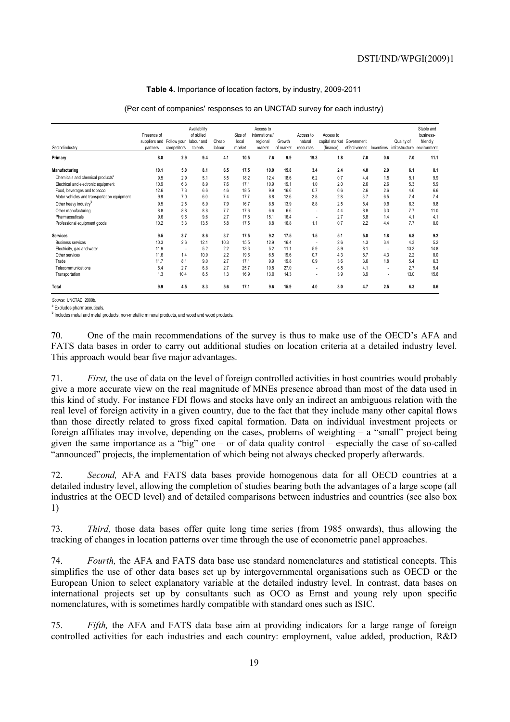#### **Table 4.** Importance of location factors, by industry, 2009-2011

| Sector/industry                              | Presence of<br>suppliers and Follow your<br>partners | competitors              | Availability<br>of skilled<br>labour and<br>talents | Cheap<br>labour | Size of<br>local<br>market | Access to<br>international/<br>regional<br>market | Growth<br>of market | Access to<br>natural<br>resources | Access to<br>capital market Government<br>(finance) | effectiveness | Incentives               | Quality of<br>infrastructure environment | Stable and<br>business-<br>friendly |
|----------------------------------------------|------------------------------------------------------|--------------------------|-----------------------------------------------------|-----------------|----------------------------|---------------------------------------------------|---------------------|-----------------------------------|-----------------------------------------------------|---------------|--------------------------|------------------------------------------|-------------------------------------|
| Primary                                      | 8.8                                                  | 2.9                      | 9.4                                                 | 4.1             | 10.5                       | 7.6                                               | 9.9                 | 19.3                              | 1.8                                                 | 7.0           | 0.6                      | 7.0                                      | 11.1                                |
| Manufacturing                                | 10.1                                                 | 5.0                      | 8.1                                                 | 6.5             | 17.5                       | 10.0                                              | 15.8                | 3.4                               | 2.4                                                 | 4.0           | 2.9                      | 6.1                                      | 8.1                                 |
| Chemicals and chemical products <sup>a</sup> | 9.5                                                  | 2.9                      | 5.1                                                 | 5.5             | 18.2                       | 12.4                                              | 18.6                | 6.2                               | 0.7                                                 | 4.4           | 1.5                      | 5.1                                      | 9.9                                 |
| Electrical and electronic equipment          | 10.9                                                 | 6.3                      | 8.9                                                 | 7.6             | 17.1                       | 10.9                                              | 19.1                | 1.0                               | 2.0                                                 | 2.6           | 2.6                      | 5.3                                      | 5.9                                 |
| Food, beverages and tobacco                  | 12.6                                                 | 7.3                      | 6.6                                                 | 4.6             | 18.5                       | 9.9                                               | 16.6                | 0.7                               | 6.6                                                 | 2.6           | 2.6                      | 4.6                                      | 6.6                                 |
| Motor vehicles and transportation equipment  | 9.8                                                  | 7.0                      | 6.0                                                 | 7.4             | 17.7                       | 8.8                                               | 12.6                | 2.8                               | 2.8                                                 | 3.7           | 6.5                      | 7.4                                      | 7.4                                 |
| Other heavy industry <sup>b</sup>            | 9.5                                                  | 2.5                      | 6.9                                                 | 7.9             | 16.7                       | 8.8                                               | 13.9                | 8.8                               | 2.5                                                 | 5.4           | 0.9                      | 6.3                                      | 9.8                                 |
| Other manufacturing                          | 8.8                                                  | 8.8                      | 8.8                                                 | 7.7             | 17.6                       | 6.6                                               | 6.6                 | ٠                                 | 4.4                                                 | 8.8           | 3.3                      | 7.7                                      | 11.0                                |
| Pharmaceuticals                              | 9.6                                                  | 9.6                      | 9.6                                                 | 2.7             | 17.8                       | 15.1                                              | 16.4                | ٠                                 | 2.7                                                 | 6.8           | 1.4                      | 4.1                                      | 4.1                                 |
| Professional equipment goods                 | 10.2                                                 | 3.3                      | 13.5                                                | 5.8             | 17.5                       | 8.8                                               | 16.8                | 1.1                               | 0.7                                                 | 2.2           | 4.4                      | 7.7                                      | 8.0                                 |
| <b>Services</b>                              | 9.5                                                  | 3.7                      | 8.6                                                 | 3.7             | 17.5                       | 9.2                                               | 17.5                | 1.5                               | 5.1                                                 | 5.8           | 1.8                      | 6.8                                      | 9.2                                 |
| <b>Business services</b>                     | 10.3                                                 | 2.6                      | 12.1                                                | 10.3            | 15.5                       | 12.9                                              | 16.4                | ٠.                                | 2.6                                                 | 4.3           | 3.4                      | 4.3                                      | 5.2                                 |
| Electricity, gas and water                   | 11.9                                                 | $\overline{\phantom{a}}$ | 5.2                                                 | 2.2             | 13.3                       | 5.2                                               | 11.1                | 5.9                               | 8.9                                                 | 8.1           | $\overline{\phantom{a}}$ | 13.3                                     | 14.8                                |
| Other services                               | 11.6                                                 | 1.4                      | 10.9                                                | 2.2             | 19.6                       | 6.5                                               | 19.6                | 0.7                               | 4.3                                                 | 8.7           | 4.3                      | 2.2                                      | 8.0                                 |
| Trade                                        | 11.7                                                 | 8.1                      | 9.0                                                 | 2.7             | 17.1                       | 9.9                                               | 19.8                | 0.9                               | 3.6                                                 | 3.6           | 1.8                      | 5.4                                      | 6.3                                 |
| Telecommunications                           | 5.4                                                  | 2.7                      | 6.8                                                 | 2.7             | 25.7                       | 10.8                                              | 27.0                | ٠                                 | 6.8                                                 | 4.1           | $\overline{\phantom{a}}$ | 2.7                                      | 5.4                                 |
| Transportation                               | 1.3                                                  | 10.4                     | 6.5                                                 | 1.3             | 16.9                       | 13.0                                              | 14.3                | ٠                                 | 3.9                                                 | 3.9           | ٠                        | 13.0                                     | 15.6                                |
| Total                                        | 9.9                                                  | 4.5                      | 8.3                                                 | 5.6             | 17.1                       | 9.6                                               | 15.9                | 4.0                               | 3.0                                                 | 4.7           | 2.5                      | 6.3                                      | 8.6                                 |

(Per cent of companies' responses to an UNCTAD survey for each industry)

*Source:* UNCTAD, 2009b. <sup>a</sup> Excludes pharmaceuticals.

<sup>b</sup> Includes metal and metal products, non-metallic mineral products, and wood and wood products.

70. One of the main recommendations of the survey is thus to make use of the OECD's AFA and FATS data bases in order to carry out additional studies on location criteria at a detailed industry level. This approach would bear five major advantages.

71. *First,* the use of data on the level of foreign controlled activities in host countries would probably give a more accurate view on the real magnitude of MNEs presence abroad than most of the data used in this kind of study. For instance FDI flows and stocks have only an indirect an ambiguous relation with the real level of foreign activity in a given country, due to the fact that they include many other capital flows than those directly related to gross fixed capital formation. Data on individual investment projects or foreign affiliates may involve, depending on the cases, problems of weighting – a "small" project being given the same importance as a "big" one – or of data quality control – especially the case of so-called "announced" projects, the implementation of which being not always checked properly afterwards.

72. *Second,* AFA and FATS data bases provide homogenous data for all OECD countries at a detailed industry level, allowing the completion of studies bearing both the advantages of a large scope (all industries at the OECD level) and of detailed comparisons between industries and countries (see also box 1)

73. *Third,* those data bases offer quite long time series (from 1985 onwards), thus allowing the tracking of changes in location patterns over time through the use of econometric panel approaches.

74. *Fourth,* the AFA and FATS data base use standard nomenclatures and statistical concepts. This simplifies the use of other data bases set up by intergovernmental organisations such as OECD or the European Union to select explanatory variable at the detailed industry level. In contrast, data bases on international projects set up by consultants such as OCO as Ernst and young rely upon specific nomenclatures, with is sometimes hardly compatible with standard ones such as ISIC.

75. *Fifth,* the AFA and FATS data base aim at providing indicators for a large range of foreign controlled activities for each industries and each country: employment, value added, production, R&D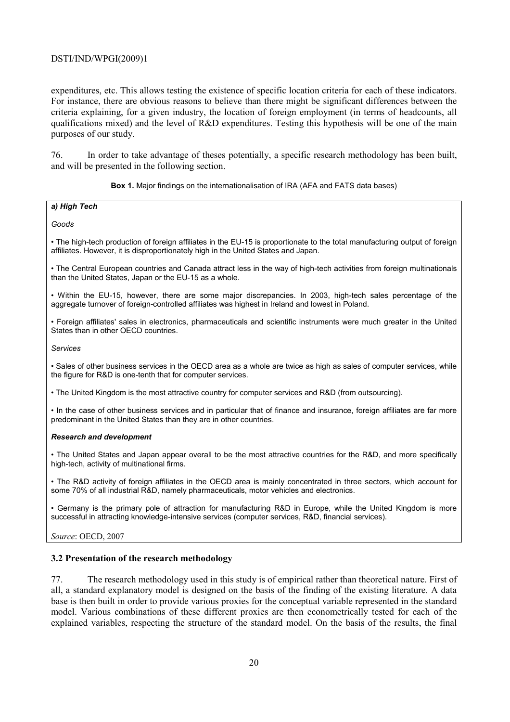expenditures, etc. This allows testing the existence of specific location criteria for each of these indicators. For instance, there are obvious reasons to believe than there might be significant differences between the criteria explaining, for a given industry, the location of foreign employment (in terms of headcounts, all qualifications mixed) and the level of R&D expenditures. Testing this hypothesis will be one of the main purposes of our study.

76. In order to take advantage of theses potentially, a specific research methodology has been built, and will be presented in the following section.

#### **Box 1.** Major findings on the internationalisation of IRA (AFA and FATS data bases)

#### *a) High Tech*

#### *Goods*

• The high-tech production of foreign affiliates in the EU-15 is proportionate to the total manufacturing output of foreign affiliates. However, it is disproportionately high in the United States and Japan.

• The Central European countries and Canada attract less in the way of high-tech activities from foreign multinationals than the United States, Japan or the EU-15 as a whole.

• Within the EU-15, however, there are some major discrepancies. In 2003, high-tech sales percentage of the aggregate turnover of foreign-controlled affiliates was highest in Ireland and lowest in Poland.

• Foreign affiliates' sales in electronics, pharmaceuticals and scientific instruments were much greater in the United States than in other OECD countries.

*Services* 

• Sales of other business services in the OECD area as a whole are twice as high as sales of computer services, while the figure for R&D is one-tenth that for computer services.

• The United Kingdom is the most attractive country for computer services and R&D (from outsourcing).

• In the case of other business services and in particular that of finance and insurance, foreign affiliates are far more predominant in the United States than they are in other countries.

#### *Research and development*

• The United States and Japan appear overall to be the most attractive countries for the R&D, and more specifically high-tech, activity of multinational firms.

• The R&D activity of foreign affiliates in the OECD area is mainly concentrated in three sectors, which account for some 70% of all industrial R&D, namely pharmaceuticals, motor vehicles and electronics.

• Germany is the primary pole of attraction for manufacturing R&D in Europe, while the United Kingdom is more successful in attracting knowledge-intensive services (computer services, R&D, financial services).

*Source*: OECD, 2007

#### **3.2 Presentation of the research methodology**

77. The research methodology used in this study is of empirical rather than theoretical nature. First of all, a standard explanatory model is designed on the basis of the finding of the existing literature. A data base is then built in order to provide various proxies for the conceptual variable represented in the standard model. Various combinations of these different proxies are then econometrically tested for each of the explained variables, respecting the structure of the standard model. On the basis of the results, the final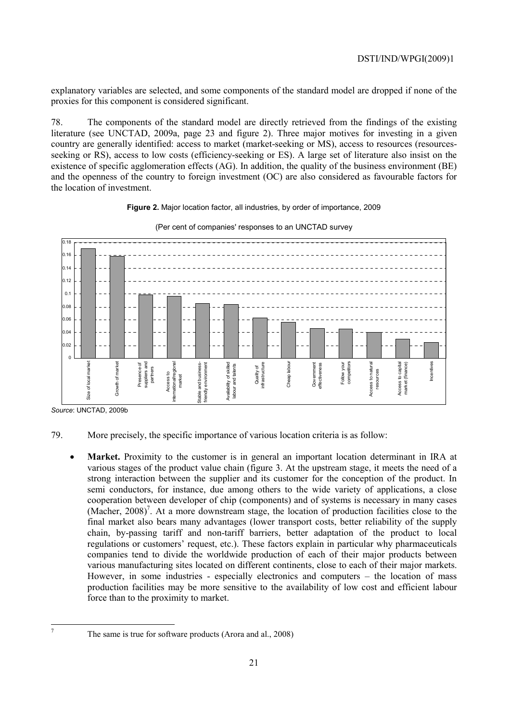explanatory variables are selected, and some components of the standard model are dropped if none of the proxies for this component is considered significant.

78. The components of the standard model are directly retrieved from the findings of the existing literature (see UNCTAD, 2009a, page 23 and figure 2). Three major motives for investing in a given country are generally identified: access to market (market-seeking or MS), access to resources (resourcesseeking or RS), access to low costs (efficiency-seeking or ES). A large set of literature also insist on the existence of specific agglomeration effects (AG). In addition, the quality of the business environment (BE) and the openness of the country to foreign investment (OC) are also considered as favourable factors for the location of investment.

#### **Figure 2.** Major location factor, all industries, by order of importance, 2009



#### (Per cent of companies' responses to an UNCTAD survey

*Source*: UNCTAD, 2009b

 7

- 79. More precisely, the specific importance of various location criteria is as follow:
	- **Market.** Proximity to the customer is in general an important location determinant in IRA at various stages of the product value chain (figure 3. At the upstream stage, it meets the need of a strong interaction between the supplier and its customer for the conception of the product. In semi conductors, for instance, due among others to the wide variety of applications, a close cooperation between developer of chip (components) and of systems is necessary in many cases  $(Macher, 2008)^7$ . At a more downstream stage, the location of production facilities close to the final market also bears many advantages (lower transport costs, better reliability of the supply chain, by-passing tariff and non-tariff barriers, better adaptation of the product to local regulations or customers' request, etc.). These factors explain in particular why pharmaceuticals companies tend to divide the worldwide production of each of their major products between various manufacturing sites located on different continents, close to each of their major markets. However, in some industries - especially electronics and computers – the location of mass production facilities may be more sensitive to the availability of low cost and efficient labour force than to the proximity to market.

The same is true for software products (Arora and al., 2008)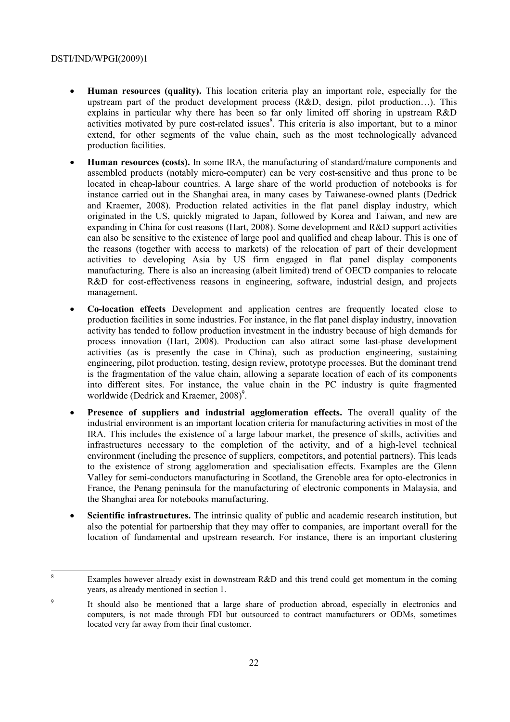- **Human resources (quality).** This location criteria play an important role, especially for the upstream part of the product development process (R&D, design, pilot production…). This explains in particular why there has been so far only limited off shoring in upstream R&D activities motivated by pure cost-related issues<sup>8</sup>. This criteria is also important, but to a minor extend, for other segments of the value chain, such as the most technologically advanced production facilities.
- **Human resources (costs).** In some IRA, the manufacturing of standard/mature components and assembled products (notably micro-computer) can be very cost-sensitive and thus prone to be located in cheap-labour countries. A large share of the world production of notebooks is for instance carried out in the Shanghai area, in many cases by Taiwanese-owned plants (Dedrick and Kraemer, 2008). Production related activities in the flat panel display industry, which originated in the US, quickly migrated to Japan, followed by Korea and Taiwan, and new are expanding in China for cost reasons (Hart, 2008). Some development and R&D support activities can also be sensitive to the existence of large pool and qualified and cheap labour. This is one of the reasons (together with access to markets) of the relocation of part of their development activities to developing Asia by US firm engaged in flat panel display components manufacturing. There is also an increasing (albeit limited) trend of OECD companies to relocate R&D for cost-effectiveness reasons in engineering, software, industrial design, and projects management.
- **Co-location effects** Development and application centres are frequently located close to production facilities in some industries. For instance, in the flat panel display industry, innovation activity has tended to follow production investment in the industry because of high demands for process innovation (Hart, 2008). Production can also attract some last-phase development activities (as is presently the case in China), such as production engineering, sustaining engineering, pilot production, testing, design review, prototype processes. But the dominant trend is the fragmentation of the value chain, allowing a separate location of each of its components into different sites. For instance, the value chain in the PC industry is quite fragmented worldwide (Dedrick and Kraemer, 2008)<sup>9</sup>.
- **Presence of suppliers and industrial agglomeration effects.** The overall quality of the industrial environment is an important location criteria for manufacturing activities in most of the IRA. This includes the existence of a large labour market, the presence of skills, activities and infrastructures necessary to the completion of the activity, and of a high-level technical environment (including the presence of suppliers, competitors, and potential partners). This leads to the existence of strong agglomeration and specialisation effects. Examples are the Glenn Valley for semi-conductors manufacturing in Scotland, the Grenoble area for opto-electronics in France, the Penang peninsula for the manufacturing of electronic components in Malaysia, and the Shanghai area for notebooks manufacturing.
- **Scientific infrastructures.** The intrinsic quality of public and academic research institution, but also the potential for partnership that they may offer to companies, are important overall for the location of fundamental and upstream research. For instance, there is an important clustering

 $\frac{1}{8}$  Examples however already exist in downstream R&D and this trend could get momentum in the coming years, as already mentioned in section 1.

<sup>9</sup> It should also be mentioned that a large share of production abroad, especially in electronics and computers, is not made through FDI but outsourced to contract manufacturers or ODMs, sometimes located very far away from their final customer.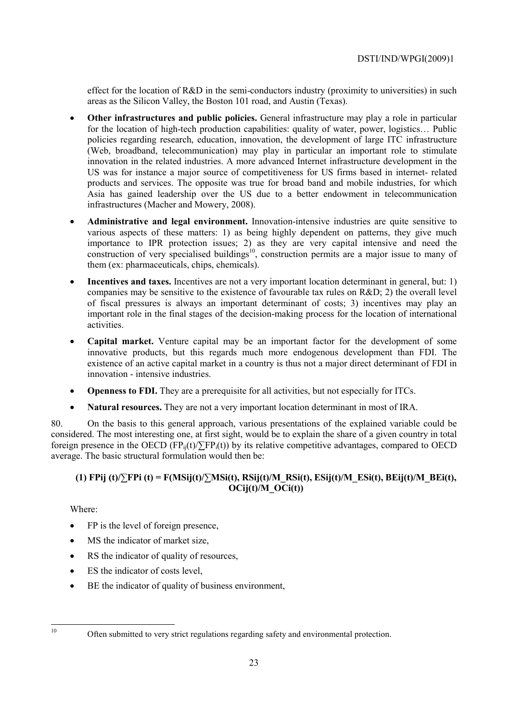effect for the location of  $R&D$  in the semi-conductors industry (proximity to universities) in such areas as the Silicon Valley, the Boston 101 road, and Austin (Texas).

- **Other infrastructures and public policies.** General infrastructure may play a role in particular for the location of high-tech production capabilities: quality of water, power, logistics… Public policies regarding research, education, innovation, the development of large ITC infrastructure (Web, broadband, telecommunication) may play in particular an important role to stimulate innovation in the related industries. A more advanced Internet infrastructure development in the US was for instance a major source of competitiveness for US firms based in internet- related products and services. The opposite was true for broad band and mobile industries, for which Asia has gained leadership over the US due to a better endowment in telecommunication infrastructures (Macher and Mowery, 2008).
- **Administrative and legal environment.** Innovation-intensive industries are quite sensitive to various aspects of these matters: 1) as being highly dependent on patterns, they give much importance to IPR protection issues; 2) as they are very capital intensive and need the construction of very specialised buildings<sup>10</sup>, construction permits are a major issue to many of them (ex: pharmaceuticals, chips, chemicals).
- **Incentives and taxes.** Incentives are not a very important location determinant in general, but: 1) companies may be sensitive to the existence of favourable tax rules on R&D; 2) the overall level of fiscal pressures is always an important determinant of costs; 3) incentives may play an important role in the final stages of the decision-making process for the location of international activities.
- **Capital market.** Venture capital may be an important factor for the development of some innovative products, but this regards much more endogenous development than FDI. The existence of an active capital market in a country is thus not a major direct determinant of FDI in innovation - intensive industries.
- **Openness to FDI.** They are a prerequisite for all activities, but not especially for ITCs.
- **Natural resources.** They are not a very important location determinant in most of IRA.

80. On the basis to this general approach, various presentations of the explained variable could be considered. The most interesting one, at first sight, would be to explain the share of a given country in total foreign presence in the OECD (FP<sub>ij</sub>(t)/ $\Sigma$ FP<sub>i</sub>(t)) by its relative competitive advantages, compared to OECD average. The basic structural formulation would then be:

# (1) FPij (t)/ $\Sigma$ FPi (t) = F(MSij(t)/ $\Sigma$ MSi(t), RSij(t)/M\_RSi(t), ESij(t)/M\_ESi(t), BEij(t)/M\_BEi(t), **OCij(t)/M\_OCi(t))**

Where:

- FP is the level of foreign presence,
- MS the indicator of market size,
- RS the indicator of quality of resources,
- ES the indicator of costs level.
- BE the indicator of quality of business environment,

 $10$ 

<sup>10</sup> Often submitted to very strict regulations regarding safety and environmental protection.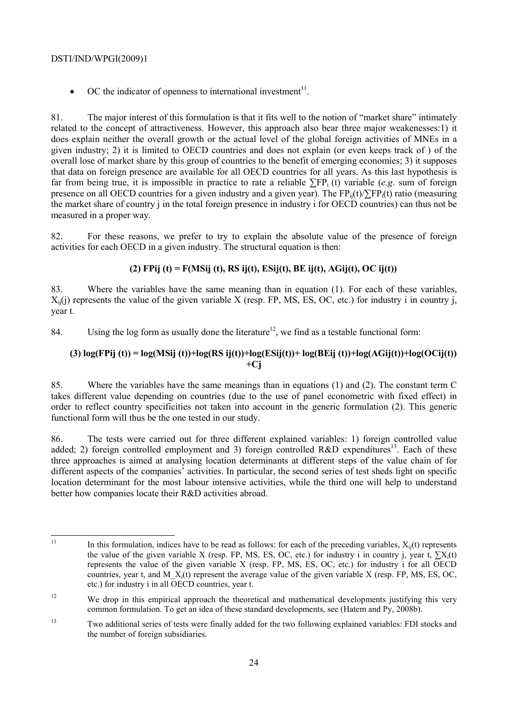• OC the indicator of openness to international investment $11$ .

81. The major interest of this formulation is that it fits well to the notion of "market share" intimately related to the concept of attractiveness. However, this approach also bear three major weakenesses:1) it does explain neither the overall growth or the actual level of the global foreign activities of MNEs in a given industry; 2) it is limited to OECD countries and does not explain (or even keeps track of ) of the overall lose of market share by this group of countries to the benefit of emerging economies; 3) it supposes that data on foreign presence are available for all OECD countries for all years. As this last hypothesis is far from being true, it is impossible in practice to rate a reliable  $\Sigma F$ <sub>i</sub> (t) variable (*e.g.* sum of foreign presence on all OECD countries for a given industry and a given year). The  $FP_{ii}(t)/\sum FP_i(t)$  ratio (measuring the market share of country j in the total foreign presence in industry i for OECD countries) can thus not be measured in a proper way.

82. For these reasons, we prefer to try to explain the absolute value of the presence of foreign activities for each OECD in a given industry. The structural equation is then:

# **(2) FPij (t) = F(MSij (t), RS ij(t), ESij(t), BE ij(t), AGij(t), OC ij(t))**

83. Where the variables have the same meaning than in equation (1). For each of these variables,  $X_{ii}(j)$  represents the value of the given variable X (resp. FP, MS, ES, OC, etc.) for industry i in country j, year t.

84. Using the log form as usually done the literature<sup>12</sup>, we find as a testable functional form:

# **(3) log(FPij (t)) = log(MSij (t))+log(RS ij(t))+log(ESij(t))+ log(BEij (t))+log(AGij(t))+log(OCij(t)) +Cj**

85. Where the variables have the same meanings than in equations (1) and (2). The constant term C takes different value depending on countries (due to the use of panel econometric with fixed effect) in order to reflect country specificities not taken into account in the generic formulation (2). This generic functional form will thus be the one tested in our study.

86. The tests were carried out for three different explained variables: 1) foreign controlled value added; 2) foreign controlled employment and 3) foreign controlled R&D expenditures<sup>13</sup>. Each of these three approaches is aimed at analysing location determinants at different steps of the value chain of for different aspects of the companies' activities. In particular, the second series of test sheds light on specific location determinant for the most labour intensive activities, while the third one will help to understand better how companies locate their R&D activities abroad.

 $11$ In this formulation, indices have to be read as follows: for each of the preceding variables,  $X_{ii}(t)$  represents the value of the given variable X (resp. FP, MS, ES, OC, etc.) for industry i in country j, year t,  $\sum X_i(t)$ represents the value of the given variable X (resp. FP, MS, ES, OC, etc.) for industry i for all OECD countries, year t, and M  $X_i(t)$  represent the average value of the given variable X (resp. FP, MS, ES, OC, etc.) for industry i in all OECD countries, year t.

<sup>&</sup>lt;sup>12</sup> We drop in this empirical approach the theoretical and mathematical developments justifying this very common formulation. To get an idea of these standard developments, see (Hatem and Py, 2008b).

<sup>13</sup> Two additional series of tests were finally added for the two following explained variables: FDI stocks and the number of foreign subsidiaries.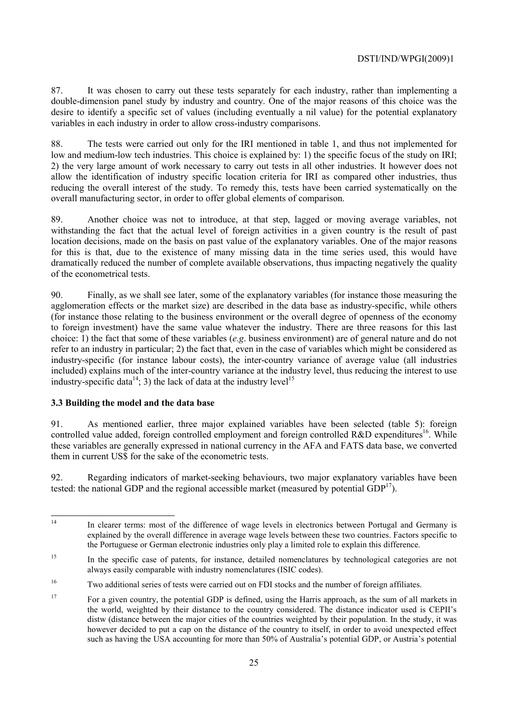87. It was chosen to carry out these tests separately for each industry, rather than implementing a double-dimension panel study by industry and country. One of the major reasons of this choice was the desire to identify a specific set of values (including eventually a nil value) for the potential explanatory variables in each industry in order to allow cross-industry comparisons.

88. The tests were carried out only for the IRI mentioned in table 1, and thus not implemented for low and medium-low tech industries. This choice is explained by: 1) the specific focus of the study on IRI; 2) the very large amount of work necessary to carry out tests in all other industries. It however does not allow the identification of industry specific location criteria for IRI as compared other industries, thus reducing the overall interest of the study. To remedy this, tests have been carried systematically on the overall manufacturing sector, in order to offer global elements of comparison.

89. Another choice was not to introduce, at that step, lagged or moving average variables, not withstanding the fact that the actual level of foreign activities in a given country is the result of past location decisions, made on the basis on past value of the explanatory variables. One of the major reasons for this is that, due to the existence of many missing data in the time series used, this would have dramatically reduced the number of complete available observations, thus impacting negatively the quality of the econometrical tests.

90. Finally, as we shall see later, some of the explanatory variables (for instance those measuring the agglomeration effects or the market size) are described in the data base as industry-specific, while others (for instance those relating to the business environment or the overall degree of openness of the economy to foreign investment) have the same value whatever the industry. There are three reasons for this last choice: 1) the fact that some of these variables (*e.g*. business environment) are of general nature and do not refer to an industry in particular; 2) the fact that, even in the case of variables which might be considered as industry-specific (for instance labour costs), the inter-country variance of average value (all industries included) explains much of the inter-country variance at the industry level, thus reducing the interest to use industry-specific data<sup>14</sup>; 3) the lack of data at the industry level<sup>15</sup>

### **3.3 Building the model and the data base**

91. As mentioned earlier, three major explained variables have been selected (table 5): foreign controlled value added, foreign controlled employment and foreign controlled R&D expenditures<sup>16</sup>. While these variables are generally expressed in national currency in the AFA and FATS data base, we converted them in current US\$ for the sake of the econometric tests.

92. Regarding indicators of market-seeking behaviours, two major explanatory variables have been tested: the national GDP and the regional accessible market (measured by potential GDP<sup>17</sup>).

 $14<sup>°</sup>$ In clearer terms: most of the difference of wage levels in electronics between Portugal and Germany is explained by the overall difference in average wage levels between these two countries. Factors specific to the Portuguese or German electronic industries only play a limited role to explain this difference.

<sup>&</sup>lt;sup>15</sup> In the specific case of patents, for instance, detailed nomenclatures by technological categories are not always easily comparable with industry nomenclatures (ISIC codes).

<sup>16</sup> Two additional series of tests were carried out on FDI stocks and the number of foreign affiliates.

<sup>&</sup>lt;sup>17</sup> For a given country, the potential GDP is defined, using the Harris approach, as the sum of all markets in the world, weighted by their distance to the country considered. The distance indicator used is CEPII's distw (distance between the major cities of the countries weighted by their population. In the study, it was however decided to put a cap on the distance of the country to itself, in order to avoid unexpected effect such as having the USA accounting for more than 50% of Australia's potential GDP, or Austria's potential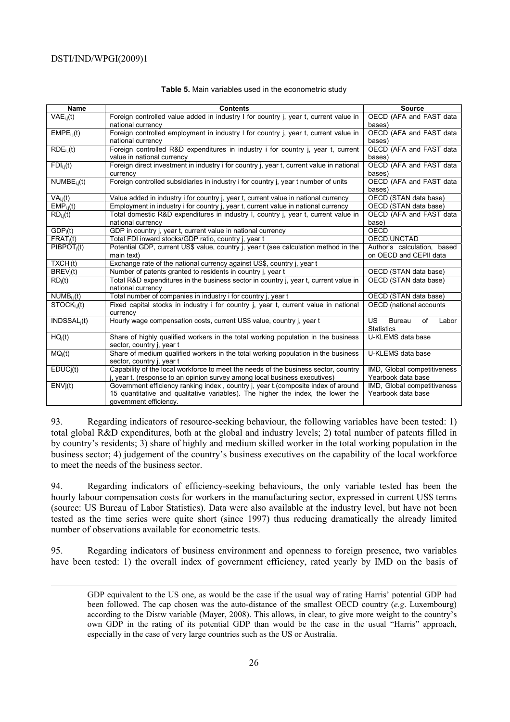1

| <b>Name</b>                        | <b>Contents</b>                                                                          | <b>Source</b>                             |
|------------------------------------|------------------------------------------------------------------------------------------|-------------------------------------------|
| $VAE_{i,j}(t)$                     | Foreign controlled value added in industry I for country j, year t, current value in     | OECD (AFA and FAST data                   |
|                                    | national currency                                                                        | bases)                                    |
| $EMPE_{i,j}(t)$                    | Foreign controlled employment in industry I for country j, year t, current value in      | OECD (AFA and FAST data                   |
|                                    | national currency                                                                        | bases)                                    |
| $RDE_{i,i}(t)$                     | Foreign controlled R&D expenditures in industry i for country j, year t, current         | OECD (AFA and FAST data                   |
|                                    | value in national currency                                                               | bases)                                    |
| $FDI_{i,j}(t)$                     | Foreign direct investment in industry i for country j, year t, current value in national | OECD (AFA and FAST data                   |
|                                    | currency                                                                                 | bases)                                    |
| $NUMBE_{i,j}(t)$                   | Foreign controlled subsidiaries in industry i for country j, year t number of units      | OECD (AFA and FAST data                   |
|                                    |                                                                                          | bases)                                    |
| VA <sub>i.i</sub> (t)              | Value added in industry i for country j, year t, current value in national currency      | OECD (STAN data base)                     |
| $EMP_{i,j}(t)$                     | Employment in industry i for country j, year t, current value in national currency       | OECD (STAN data base)                     |
| $RD_{i,i}(t)$                      | Total domestic R&D expenditures in industry I, country j, year t, current value in       | OECD (AFA and FAST data                   |
|                                    | national currency                                                                        | base)                                     |
| GDP <sub>i</sub> (t)               | GDP in country j, year t, current value in national currency                             | <b>OECD</b>                               |
| $FRAT_i(t)$                        | Total FDI inward stocks/GDP ratio, country j, year t                                     | OECD, UNCTAD                              |
| $PIBPOT_i(t)$                      | Potential GDP, current US\$ value, country j, year t (see calculation method in the      | Author's calculation, based               |
|                                    | main text)                                                                               | on OECD and CEPII data                    |
| TXCH <sub>i</sub> (t)              | Exchange rate of the national currency against US\$, country j, year t                   |                                           |
| BREV <sub>i</sub> (t)              | Number of patents granted to residents in country j, year t                              | OECD (STAN data base)                     |
| $RD_i(t)$                          | Total R&D expenditures in the business sector in country j, year t, current value in     | OECD (STAN data base)                     |
|                                    | national currency                                                                        |                                           |
| $NUMB_{i,j}(t)$                    | Total number of companies in industry i for country j, year t                            | OECD (STAN data base)                     |
| $\overline{\text{STOCK}_{i,j}}(t)$ | Fixed capital stocks in industry i for country j, year t, current value in national      | OECD (national accounts                   |
|                                    | currency                                                                                 |                                           |
| $INDSSAL_i(t)$                     | Hourly wage compensation costs, current US\$ value, country j, year t                    | <b>US</b><br><b>Bureau</b><br>of<br>Labor |
|                                    |                                                                                          | <b>Statistics</b>                         |
| $HQ_i(t)$                          | Share of highly qualified workers in the total working population in the business        | U-KLEMS data base                         |
|                                    | sector, country j, year t                                                                |                                           |
| MQ <sub>i</sub> (t)                | Share of medium qualified workers in the total working population in the business        | U-KLEMS data base                         |
|                                    | sector, country j, year t                                                                |                                           |
| EDUCj(t)                           | Capability of the local workforce to meet the needs of the business sector, country      | IMD, Global competitiveness               |
|                                    | j, year t. (response to an opinion survey among local business executives)               | Yearbook data base                        |
| $\overline{ENVj}(t)$               | Government efficiency ranking index, country j, year t. (composite index of around       | IMD, Global competitiveness               |
|                                    | 15 quantitative and qualitative variables). The higher the index, the lower the          | Yearbook data base                        |
|                                    | government efficiency.                                                                   |                                           |

#### **Table 5.** Main variables used in the econometric study

93. Regarding indicators of resource-seeking behaviour, the following variables have been tested: 1) total global R&D expenditures, both at the global and industry levels; 2) total number of patents filled in by country's residents; 3) share of highly and medium skilled worker in the total working population in the business sector; 4) judgement of the country's business executives on the capability of the local workforce to meet the needs of the business sector.

94. Regarding indicators of efficiency-seeking behaviours, the only variable tested has been the hourly labour compensation costs for workers in the manufacturing sector, expressed in current US\$ terms (source: US Bureau of Labor Statistics). Data were also available at the industry level, but have not been tested as the time series were quite short (since 1997) thus reducing dramatically the already limited number of observations available for econometric tests.

95. Regarding indicators of business environment and openness to foreign presence, two variables have been tested: 1) the overall index of government efficiency, rated yearly by IMD on the basis of

GDP equivalent to the US one, as would be the case if the usual way of rating Harris' potential GDP had been followed. The cap chosen was the auto-distance of the smallest OECD country (*e.g*. Luxembourg) according to the Distw variable (Mayer, 2008). This allows, in clear, to give more weight to the country's own GDP in the rating of its potential GDP than would be the case in the usual "Harris" approach, especially in the case of very large countries such as the US or Australia.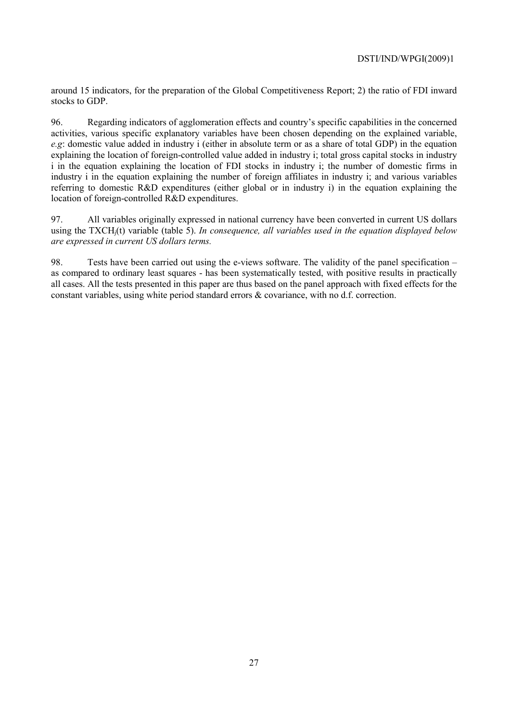around 15 indicators, for the preparation of the Global Competitiveness Report; 2) the ratio of FDI inward stocks to GDP.

96. Regarding indicators of agglomeration effects and country's specific capabilities in the concerned activities, various specific explanatory variables have been chosen depending on the explained variable, *e.g*: domestic value added in industry i (either in absolute term or as a share of total GDP) in the equation explaining the location of foreign-controlled value added in industry i; total gross capital stocks in industry i in the equation explaining the location of FDI stocks in industry i; the number of domestic firms in industry i in the equation explaining the number of foreign affiliates in industry i; and various variables referring to domestic R&D expenditures (either global or in industry i) in the equation explaining the location of foreign-controlled R&D expenditures.

97. All variables originally expressed in national currency have been converted in current US dollars using the TXCHj(t) variable (table 5). *In consequence, all variables used in the equation displayed below are expressed in current US dollars terms.*

98. Tests have been carried out using the e-views software. The validity of the panel specification – as compared to ordinary least squares - has been systematically tested, with positive results in practically all cases. All the tests presented in this paper are thus based on the panel approach with fixed effects for the constant variables, using white period standard errors & covariance, with no d.f. correction.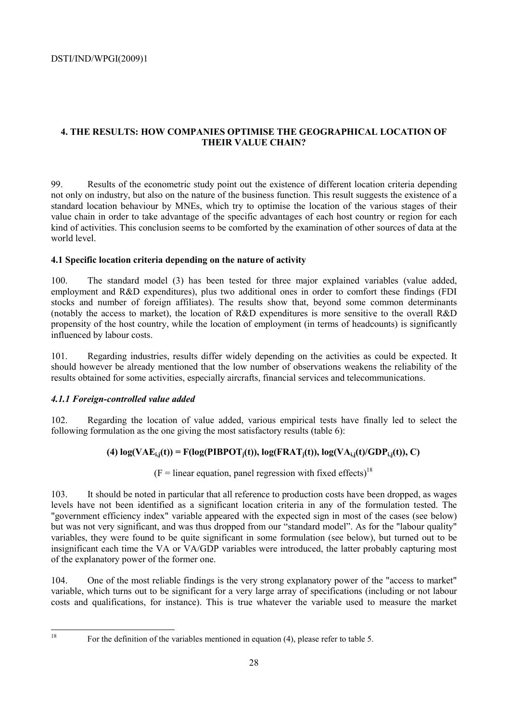# **4. THE RESULTS: HOW COMPANIES OPTIMISE THE GEOGRAPHICAL LOCATION OF THEIR VALUE CHAIN?**

99. Results of the econometric study point out the existence of different location criteria depending not only on industry, but also on the nature of the business function. This result suggests the existence of a standard location behaviour by MNEs, which try to optimise the location of the various stages of their value chain in order to take advantage of the specific advantages of each host country or region for each kind of activities. This conclusion seems to be comforted by the examination of other sources of data at the world level.

## **4.1 Specific location criteria depending on the nature of activity**

100. The standard model (3) has been tested for three major explained variables (value added, employment and R&D expenditures), plus two additional ones in order to comfort these findings (FDI stocks and number of foreign affiliates). The results show that, beyond some common determinants (notably the access to market), the location of R&D expenditures is more sensitive to the overall R&D propensity of the host country, while the location of employment (in terms of headcounts) is significantly influenced by labour costs.

101. Regarding industries, results differ widely depending on the activities as could be expected. It should however be already mentioned that the low number of observations weakens the reliability of the results obtained for some activities, especially aircrafts, financial services and telecommunications.

# *4.1.1 Foreign-controlled value added*

102. Regarding the location of value added, various empirical tests have finally led to select the following formulation as the one giving the most satisfactory results (table 6):

# (4)  $log(VAE_{i,j}(t)) = F(log(PIBPOT_{i}(t)), log(FRAT_{i}(t)), log(VA_{i,j}(t)/GDP_{i,j}(t)), C)$

 $(F = linear equation, panel regression with fixed effects)<sup>18</sup>$ 

103. It should be noted in particular that all reference to production costs have been dropped, as wages levels have not been identified as a significant location criteria in any of the formulation tested. The "government efficiency index" variable appeared with the expected sign in most of the cases (see below) but was not very significant, and was thus dropped from our "standard model". As for the "labour quality" variables, they were found to be quite significant in some formulation (see below), but turned out to be insignificant each time the VA or VA/GDP variables were introduced, the latter probably capturing most of the explanatory power of the former one.

104. One of the most reliable findings is the very strong explanatory power of the "access to market" variable, which turns out to be significant for a very large array of specifications (including or not labour costs and qualifications, for instance). This is true whatever the variable used to measure the market

 $\overline{18}$ 

<sup>18</sup> For the definition of the variables mentioned in equation (4), please refer to table 5.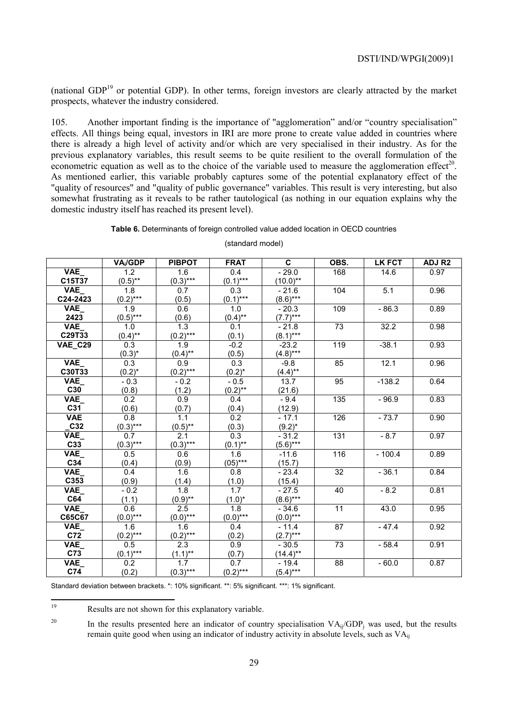(national GDP19 or potential GDP). In other terms, foreign investors are clearly attracted by the market prospects, whatever the industry considered.

105. Another important finding is the importance of "agglomeration" and/or "country specialisation" effects. All things being equal, investors in IRI are more prone to create value added in countries where there is already a high level of activity and/or which are very specialised in their industry. As for the previous explanatory variables, this result seems to be quite resilient to the overall formulation of the econometric equation as well as to the choice of the variable used to measure the agglomeration effect<sup>20</sup>. As mentioned earlier, this variable probably captures some of the potential explanatory effect of the "quality of resources" and "quality of public governance" variables. This result is very interesting, but also somewhat frustrating as it reveals to be rather tautological (as nothing in our equation explains why the domestic industry itself has reached its present level).

#### **Table 6.** Determinants of foreign controlled value added location in OECD countries

|                | VA <sub>i</sub> /GDP | <b>PIBPOT</b>    | <b>FRAT</b>      | C           | OBS.            | <b>LK FCT</b> | ADJ R <sub>2</sub> |
|----------------|----------------------|------------------|------------------|-------------|-----------------|---------------|--------------------|
| VAE_           | $\overline{1.2}$     | 1.6              | 0.4              | $-29.0$     | 168             | 14.6          | 0.97               |
| C15T37         | $(0.5)$ **           | $(0.3)***$       | $(0.1)***$       | $(10.0)$ ** |                 |               |                    |
| VAE_           | 1.8                  | 0.7              | 0.3              | $-21.6$     | 104             | 5.1           | 0.96               |
| C24-2423       | $(0.2)***$           | (0.5)            | $(0.1)$ ***      | $(8.6)***$  |                 |               |                    |
| VAE            | 1.9                  | 0.6              | 1.0              | $-20.3$     | 109             | $-86.3$       | 0.89               |
| 2423           | $(0.5)$ ***          | (0.6)            | $(0.4)$ **       | $(7.7)$ *** |                 |               |                    |
| VAE            | 1.0                  | $\overline{1.3}$ | 0.1              | $-21.8$     | $\overline{73}$ | 32.2          | 0.98               |
| C29T33         | $(0.4)$ **           | $(0.2)$ ***      | (0.1)            | $(8.1)***$  |                 |               |                    |
| <b>VAE_C29</b> | 0.3                  | 1.9              | $-0.2$           | $-23.2$     | 119             | $-38.1$       | 0.93               |
|                | $(0.3)^*$            | $(0.4)$ **       | (0.5)            | $(4.8)***$  |                 |               |                    |
| $VAE_$         | 0.3                  | 0.9              | 0.3              | $-9.8$      | 85              | 12.1          | 0.96               |
| C30T33         | $(0.2)^{*}$          | $(0.2)$ ***      | $(0.2)^{*}$      | $(4.4)$ **  |                 |               |                    |
| VAE_           | $-0.3$               | $-0.2$           | $-0.5$           | 13.7        | 95              | $-138.2$      | 0.64               |
| C30            | (0.8)                | (1.2)            | $(0.2)$ **       | (21.6)      |                 |               |                    |
| VAE_           | 0.2                  | 0.9              | 0.4              | $-9.4$      | $\frac{135}{1}$ | $-96.9$       | 0.83               |
| C31            | (0.6)                | (0.7)            | (0.4)            | (12.9)      |                 |               |                    |
| <b>VAE</b>     | 0.8                  | 1.1              | 0.2              | $-17.1$     | 126             | $-73.7$       | 0.90               |
| C32            | $(0.3)***$           | $(0.5)$ **       | (0.3)            | $(9.2)^{*}$ |                 |               |                    |
| VAE_           | $0.\overline{7}$     | 2.1              | $\overline{0.3}$ | $-31.2$     | 131             | $-8.7$        | 0.97               |
| C33            | $(0.3)***$           | $(0.3)***$       | $(0.1)$ **       | $(5.6)***$  |                 |               |                    |
| VAE_           | 0.5                  | 0.6              | 1.6              | $-11.6$     | 116             | $-100.4$      | 0.89               |
| C34            | (0.4)                | (0.9)            | $(05)$ ***       | (15.7)      |                 |               |                    |
| VAE            | 0.4                  | 1.6              | 0.8              | $-23.4$     | 32              | $-36.1$       | 0.84               |
| C353           | (0.9)                | (1.4)            | (1.0)            | (15.4)      |                 |               |                    |
| VAE_           | $-0.2$               | $\overline{1.8}$ | 1.7              | $-27.5$     | 40              | $-8.2$        | 0.81               |
| C64            | (1.1)                | $(0.9)$ **       | $(1.0)^*$        | $(8.6)***$  |                 |               |                    |
| VAE_           | 0.6                  | 2.5              | 1.8              | $-34.6$     | $\overline{11}$ | 43.0          | 0.95               |
| C65C67         | $(0.0)$ ***          | $(0.0)$ ***      | $(0.0)$ ***      | $(0.0)$ *** |                 |               |                    |
| VAE_           | 1.6                  | 1.6              | 0.4              | $-11.4$     | 87              | $-47.4$       | 0.92               |
| C72            | $(0.2)***$           | $(0.2)$ ***      | (0.2)            | $(2.7)***$  |                 |               |                    |
| VAE_           | $0.\overline{5}$     | 2.3              | 0.9              | $-30.5$     | 73              | $-58.4$       | 0.91               |
| C73            | $(0.1)$ ***          | $(1.1)$ **       | (0.7)            | $(14.4)$ ** |                 |               |                    |
| VAE_           | 0.2                  | 1.7              | $\overline{0.7}$ | $-19.4$     | 88              | $-60.0$       | 0.87               |
| C74            | (0.2)                | $(0.3)***$       | $(0.2)$ ***      | $(5.4)***$  |                 |               |                    |

(standard model)

Standard deviation between brackets. \*: 10% significant. \*\*: 5% significant. \*\*\*: 1% significant.

19 Results are not shown for this explanatory variable.

<sup>20</sup> In the results presented here an indicator of country specialisation  $VA_{ii}/GDP_i$  was used, but the results remain quite good when using an indicator of industry activity in absolute levels, such as VAij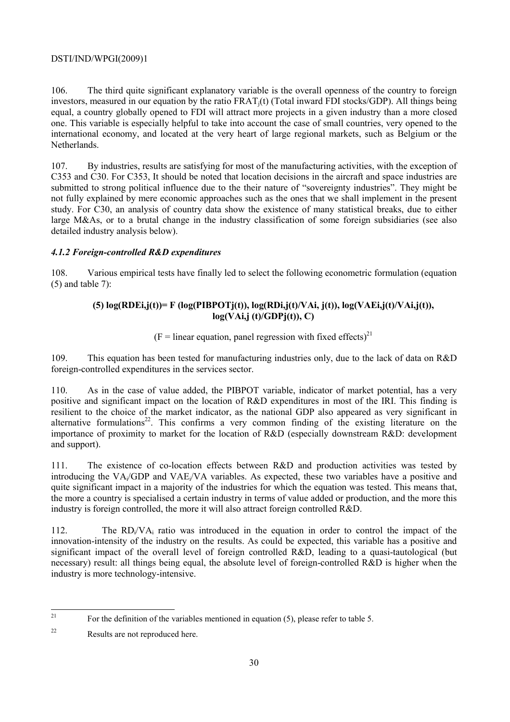106. The third quite significant explanatory variable is the overall openness of the country to foreign investors, measured in our equation by the ratio FRAT<sub>i</sub>(t) (Total inward FDI stocks/GDP). All things being equal, a country globally opened to FDI will attract more projects in a given industry than a more closed one. This variable is especially helpful to take into account the case of small countries, very opened to the international economy, and located at the very heart of large regional markets, such as Belgium or the Netherlands.

107. By industries, results are satisfying for most of the manufacturing activities, with the exception of C353 and C30. For C353, It should be noted that location decisions in the aircraft and space industries are submitted to strong political influence due to the their nature of "sovereignty industries". They might be not fully explained by mere economic approaches such as the ones that we shall implement in the present study. For C30, an analysis of country data show the existence of many statistical breaks, due to either large M&As, or to a brutal change in the industry classification of some foreign subsidiaries (see also detailed industry analysis below).

## *4.1.2 Foreign-controlled R&D expenditures*

108. Various empirical tests have finally led to select the following econometric formulation (equation  $(5)$  and table 7):

# (5)  $log(RDEi, j(t)) = F (log(PIBPOTi(t)), log(RDi, j(t)/VAi, j(t)), log(VAEi, j(t)/VAi, j(t)),$ **log(VAi,j (t)/GDPj(t)), C)**

## $(F = linear equation, panel regression with fixed effects)<sup>21</sup>$

109. This equation has been tested for manufacturing industries only, due to the lack of data on R&D foreign-controlled expenditures in the services sector.

110. As in the case of value added, the PIBPOT variable, indicator of market potential, has a very positive and significant impact on the location of R&D expenditures in most of the IRI. This finding is resilient to the choice of the market indicator, as the national GDP also appeared as very significant in alternative formulations<sup>22</sup>. This confirms a very common finding of the existing literature on the importance of proximity to market for the location of R&D (especially downstream R&D: development and support).

111. The existence of co-location effects between R&D and production activities was tested by introducing the VAi/GDP and VAEi/VA variables. As expected, these two variables have a positive and quite significant impact in a majority of the industries for which the equation was tested. This means that, the more a country is specialised a certain industry in terms of value added or production, and the more this industry is foreign controlled, the more it will also attract foreign controlled R&D.

112. The RDi/VAi ratio was introduced in the equation in order to control the impact of the innovation-intensity of the industry on the results. As could be expected, this variable has a positive and significant impact of the overall level of foreign controlled R&D, leading to a quasi-tautological (but necessary) result: all things being equal, the absolute level of foreign-controlled R&D is higher when the industry is more technology-intensive.

 $21$ 21 For the definition of the variables mentioned in equation (5), please refer to table 5.

<sup>22</sup> Results are not reproduced here.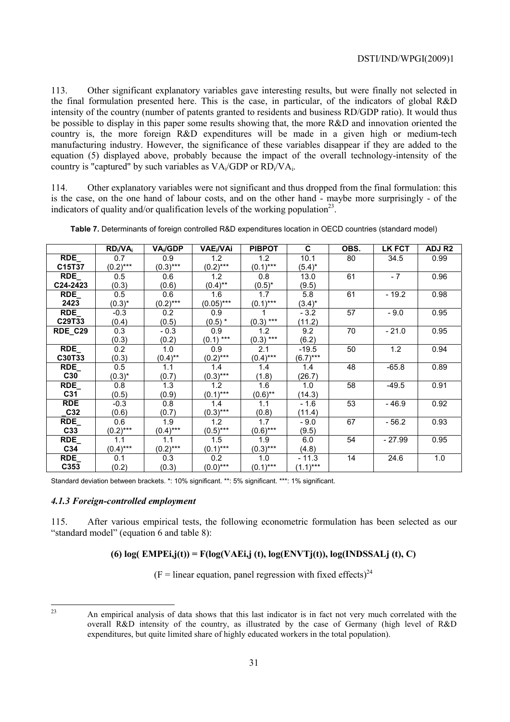113. Other significant explanatory variables gave interesting results, but were finally not selected in the final formulation presented here. This is the case, in particular, of the indicators of global R&D intensity of the country (number of patents granted to residents and business RD/GDP ratio). It would thus be possible to display in this paper some results showing that, the more R&D and innovation oriented the country is, the more foreign R&D expenditures will be made in a given high or medium-tech manufacturing industry. However, the significance of these variables disappear if they are added to the equation (5) displayed above, probably because the impact of the overall technology-intensity of the country is "captured" by such variables as  $VA_i/GDP$  or  $RD_i/VA_i$ .

114. Other explanatory variables were not significant and thus dropped from the final formulation: this is the case, on the one hand of labour costs, and on the other hand - maybe more surprisingly - of the indicators of quality and/or qualification levels of the working population<sup>23</sup>.

|            | $RD_i/VA_i$ | VA <sub>i</sub> /GDP | VAE <sub>i</sub> /VAi | <b>PIBPOT</b> | C.          | OBS. | <b>LK FCT</b> | ADJ R <sub>2</sub> |
|------------|-------------|----------------------|-----------------------|---------------|-------------|------|---------------|--------------------|
| RDE        | 0.7         | 0.9                  | 1.2                   | 1.2           | 10.1        | 80   | 34.5          | 0.99               |
| C15T37     | $(0.2)$ *** | $(0.3)***$           | $(0.2)$ ***           | $(0.1)$ ***   | $(5.4)^*$   |      |               |                    |
| <b>RDE</b> | 0.5         | 0.6                  | 1.2                   | 0.8           | 13.0        | 61   | $-7$          | 0.96               |
| C24-2423   | (0.3)       | (0.6)                | $(0.4)$ **            | $(0.5)^*$     | (9.5)       |      |               |                    |
| <b>RDE</b> | 0.5         | 0.6                  | 1.6                   | 1.7           | 5.8         | 61   | $-19.2$       | 0.98               |
| 2423       | $(0.3)^*$   | $(0.2)$ ***          | $(0.05)***$           | $(0.1)$ ***   | $(3.4)^*$   |      |               |                    |
| <b>RDE</b> | $-0.3$      | 0.2                  | 0.9                   |               | $-3.2$      | 57   | $-9.0$        | 0.95               |
| C29T33     | (0.4)       | (0.5)                | $(0.5)$ $*$           | $(0.3)$ ***   | (11.2)      |      |               |                    |
| RDE_C29    | 0.3         | $-0.3$               | 0.9                   | 1.2           | 9.2         | 70   | $-21.0$       | 0.95               |
|            | (0.3)       | (0.2)                | $(0.1)$ ***           | $(0.3)$ ***   | (6.2)       |      |               |                    |
| <b>RDE</b> | 0.2         | 1.0                  | 0.9                   | 2.1           | $-19.5$     | 50   | 1.2           | 0.94               |
| C30T33     | (0.3)       | $(0.4)$ **           | $(0.2)$ ***           | $(0.4)$ ***   | $(6.7)$ *** |      |               |                    |
| <b>RDE</b> | 0.5         | 1.1                  | 1.4                   | 1.4           | 1.4         | 48   | $-65.8$       | 0.89               |
| C30        | $(0.3)^*$   | (0.7)                | $(0.3)***$            | (1.8)         | (26.7)      |      |               |                    |
| <b>RDE</b> | 0.8         | 1.3                  | 1.2                   | 1.6           | 1.0         | 58   | $-49.5$       | 0.91               |
| C31        | (0.5)       | (0.9)                | $(0.1)$ ***           | $(0.6)$ **    | (14.3)      |      |               |                    |
| <b>RDE</b> | $-0.3$      | 0.8                  | 1.4                   | 1.1           | $-1.6$      | 53   | $-46.9$       | 0.92               |
| C32        | (0.6)       | (0.7)                | $(0.3)$ ***           | (0.8)         | (11.4)      |      |               |                    |
| RDE        | 0.6         | 1.9                  | 1.2                   | 1.7           | $-9.0$      | 67   | $-56.2$       | 0.93               |
| C33        | $(0.2)$ *** | $(0.4)$ ***          | $(0.5)***$            | $(0.6)$ ***   | (9.5)       |      |               |                    |
| <b>RDE</b> | 1.1         | 1.1                  | 1.5                   | 1.9           | 6.0         | 54   | $-27.99$      | 0.95               |
| C34        | $(0.4)$ *** | $(0.2)$ ***          | $(0.1)$ ***           | $(0.3)$ ***   | (4.8)       |      |               |                    |
| RDE        | 0.1         | 0.3                  | 0.2                   | 1.0           | - 11.3      | 14   | 24.6          | 1.0                |
| C353       | (0.2)       | (0.3)                | $(0.0)$ ***           | $(0.1)$ ***   | $(1.1)$ *** |      |               |                    |

| Table 7. Determinants of foreign controlled R&D expenditures location in OECD countries (standard model) |  |  |
|----------------------------------------------------------------------------------------------------------|--|--|
|----------------------------------------------------------------------------------------------------------|--|--|

Standard deviation between brackets. \*: 10% significant. \*\*: 5% significant. \*\*\*: 1% significant.

### *4.1.3 Foreign-controlled employment*

115. After various empirical tests, the following econometric formulation has been selected as our "standard model" (equation 6 and table 8):

### **(6) log( EMPEi,j(t)) = F(log(VAEi,j (t), log(ENVTj(t)), log(INDSSALj (t), C)**

 $(F = linear equation, panel regression with fixed effects)<sup>24</sup>$ 

 $23$ 

<sup>23</sup> An empirical analysis of data shows that this last indicator is in fact not very much correlated with the overall R&D intensity of the country, as illustrated by the case of Germany (high level of R&D expenditures, but quite limited share of highly educated workers in the total population).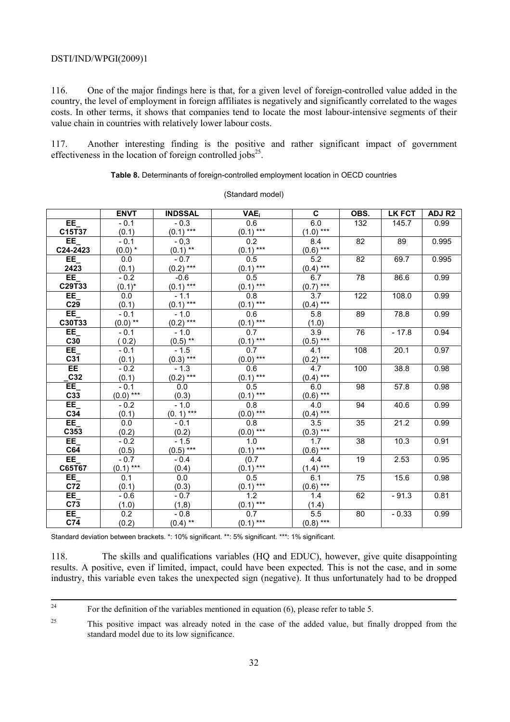116. One of the major findings here is that, for a given level of foreign-controlled value added in the country, the level of employment in foreign affiliates is negatively and significantly correlated to the wages costs. In other terms, it shows that companies tend to locate the most labour-intensive segments of their value chain in countries with relatively lower labour costs.

117. Another interesting finding is the positive and rather significant impact of government effectiveness in the location of foreign controlled jobs<sup>25</sup>.

**Table 8.** Determinants of foreign-controlled employment location in OECD countries

|                  | <b>ENVT</b>          | <b>INDSSAL</b>            | <b>VAE</b>               | C                | OBS.            | <b>LK FCT</b> | ADJ R <sub>2</sub> |
|------------------|----------------------|---------------------------|--------------------------|------------------|-----------------|---------------|--------------------|
| $EE_{-}$         | $-0.1$               | $-0.3$                    |                          | 6.0              | 132             | 145.7         | 0.99               |
| C15T37           | (0.1)                | $(0.1)$ ***               | $0.6$<br>(0.1) ***       | $(1.0)$ ***      |                 |               |                    |
| EE               | $-0.1$               | $-0,3$                    |                          | 8.4              | $\overline{82}$ | 89            | 0.995              |
| $C24-2423$       | $(0.0)*$             | $(0.1)$ **                | $\frac{0.2}{(0.1)***}$   | $(0.6)$ ***      |                 |               |                    |
| EE               | $\overline{0.0}$     | $-0.7$                    | 0.5                      | 5.2              | $\overline{82}$ | 69.7          | 0.995              |
| 2423             | (0.1)                | $(0.2)$ ***               | $(0.1)$ ***              | $(0.4)$ ***      |                 |               |                    |
| EE               | $-0.2$               | $-0.6$                    | 0.5                      | 6.7              | 78              | 86.6          | 0.99               |
| C29T33           | $(0.1)^*$            | $(0.1)$ ***               | $(0.1)$ ***              | $(0.7)$ ***      |                 |               |                    |
| EE               | 0.0                  | $-1.1$                    | $\overline{0.8}$         | 3.7              | 122             | 108.0         | 0.99               |
| C <sub>29</sub>  | (0.1)                | $(0.1)$ ***               | $(0.1)$ ***              | $(0.4)$ ***      |                 |               |                    |
| EE_<br>C30T33    | $-0.1$               | $-1.0$                    | 0.6                      | 5.8              | 89              | 78.8          | 0.99               |
|                  | $(0.0)$ **           | $(0.2)$ ***               | $\frac{(0.1)***}{0.7}$   | (1.0)            |                 |               |                    |
| EE_              | $-0.1$               | $-1.0$                    |                          | 3.9              | $\overline{76}$ | $-17.8$       | 0.94               |
| C30              | (0.2)                | $\frac{(0.5)^{**}}{-1.5}$ | $(0.1)$ ***              | $(0.5)$ ***      |                 |               |                    |
| EE               | $-0.1$               |                           | 0.7                      | 4.1              | 108             | 20.1          | 0.97               |
| C31              | (0.1)                | $(0.3)$ ***               | $(0.0)$ ***              | $(0.2)$ ***      |                 |               |                    |
| EE               | $-0.2$               | $-1.3$                    | 0.6                      | 4.7              | 100             | 38.8          | 0.98               |
| C32              | (0.1)                | $(0.2)$ ***               | $(0.1)$ ***              | $(0.4)$ ***      |                 |               |                    |
| EE               | $-0.1$               | 0.0                       | 0.5                      | 6.0              | $\overline{98}$ | 57.8          | 0.98               |
| C33              | $(0.0)$ ***          | (0.3)                     | $(0.1)$ ***              | $(0.6)$ ***      |                 |               |                    |
| EE               | $-0.2$               | $-1.0$                    | 0.8                      | 4.0              | 94              | 40.6          | 0.99               |
| $C3\overline{4}$ | (0.1)                | $(0.1)$ ***               | $(0.0)$ ***              | $(0.4)$ ***      |                 |               |                    |
| EE               | $\overline{0.0}$     | $-0.1$                    | 0.8                      | $\overline{3.5}$ | $\overline{35}$ | 21.2          | 0.99               |
| C353             | (0.2)                | (0.2)                     | $\frac{(0.0)$ ***<br>1.0 | $(0.3)$ ***      |                 |               |                    |
| EE               | $-0.2$               | $-1.5$                    |                          | 1.7              | 38              | 10.3          | 0.91               |
| $C6\overline{4}$ | $\frac{(0.5)}{-0.7}$ | $\underline{(0.5)}$ ***   | $(0.1)$ ***              | $(0.6)$ ***      |                 |               |                    |
| EE_<br>C65T67    |                      | $-0.4$                    | (0.7)                    | 4.4              | 19              | 2.53          | 0.95               |
|                  | $(0.1)$ ***          | (0.4)                     | $(0.1)$ ***              | $(1.4)$ ***      |                 |               |                    |
| EE               | 0.1                  | 0.0                       | 0.5                      | 6.1              | 75              | 15.6          | 0.98               |
| C <sub>72</sub>  | (0.1)                | (0.3)                     | $(0.1)$ ***              | $(0.6)$ ***      |                 |               |                    |
| EE               | $-0.6$               | $-0.7$                    | $\overline{1.2}$         | $\overline{1.4}$ | 62              | $-91.3$       | 0.81               |
| C <sub>73</sub>  | (1.0)                | (1,8)                     | $(0.1)$ ***              | (1.4)            |                 |               |                    |
| EE               | 0.2                  | $-0.8$                    | 0.7                      | 5.5              | 80              | $-0.33$       | 0.99               |
| C74              | (0.2)                | $(0.4)$ **                | $(0.1)$ ***              | $(0.8)$ ***      |                 |               |                    |

(Standard model)

Standard deviation between brackets. \*: 10% significant. \*\*: 5% significant. \*\*\*: 1% significant.

118. The skills and qualifications variables (HQ and EDUC), however, give quite disappointing results. A positive, even if limited, impact, could have been expected. This is not the case, and in some industry, this variable even takes the unexpected sign (negative). It thus unfortunately had to be dropped

<sup>&</sup>lt;sup>24</sup> For the definition of the variables mentioned in equation (6), please refer to table 5.

<sup>&</sup>lt;sup>25</sup> This positive impact was already noted in the case of the added value, but finally dropped from the standard model due to its low significance.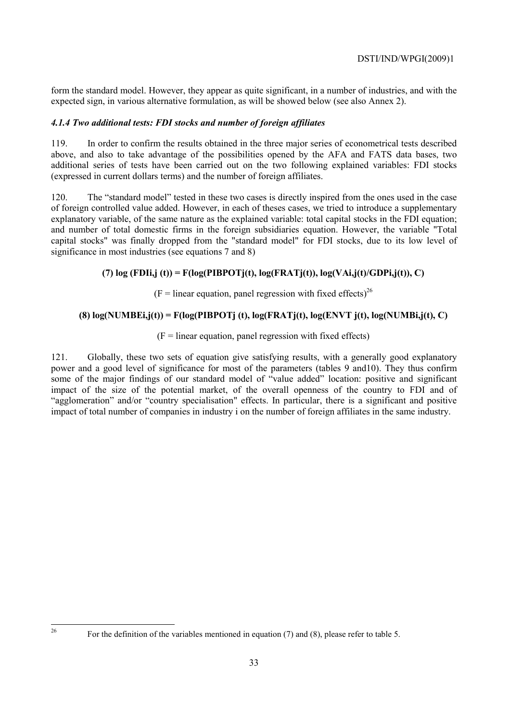form the standard model. However, they appear as quite significant, in a number of industries, and with the expected sign, in various alternative formulation, as will be showed below (see also Annex 2).

# *4.1.4 Two additional tests: FDI stocks and number of foreign affiliates*

119. In order to confirm the results obtained in the three major series of econometrical tests described above, and also to take advantage of the possibilities opened by the AFA and FATS data bases, two additional series of tests have been carried out on the two following explained variables: FDI stocks (expressed in current dollars terms) and the number of foreign affiliates.

120. The "standard model" tested in these two cases is directly inspired from the ones used in the case of foreign controlled value added. However, in each of theses cases, we tried to introduce a supplementary explanatory variable, of the same nature as the explained variable: total capital stocks in the FDI equation; and number of total domestic firms in the foreign subsidiaries equation. However, the variable "Total capital stocks" was finally dropped from the "standard model" for FDI stocks, due to its low level of significance in most industries (see equations 7 and 8)

# **(7) log (FDIi,j (t)) = F(log(PIBPOTj(t), log(FRATj(t)), log(VAi,j(t)/GDPi,j(t)), C)**

 $(F = linear equation, panel regression with fixed effects)<sup>26</sup>$ 

# **(8) log(NUMBEi,j(t)) = F(log(PIBPOTj (t), log(FRATj(t), log(ENVT j(t), log(NUMBi,j(t), C)**

 $(F = linear equation, panel regression with fixed effects)$ 

121. Globally, these two sets of equation give satisfying results, with a generally good explanatory power and a good level of significance for most of the parameters (tables 9 and10). They thus confirm some of the major findings of our standard model of "value added" location: positive and significant impact of the size of the potential market, of the overall openness of the country to FDI and of "agglomeration" and/or "country specialisation" effects. In particular, there is a significant and positive impact of total number of companies in industry i on the number of foreign affiliates in the same industry.

 $26$ 

For the definition of the variables mentioned in equation (7) and (8), please refer to table 5.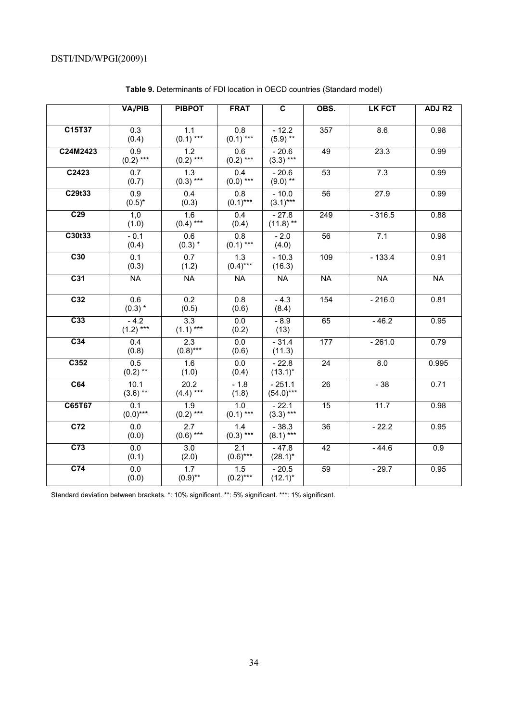|                    | VA <sub>i</sub> /PIB            | <b>PIBPOT</b>             | <b>FRAT</b>                     | $\overline{\mathbf{c}}$ | OBS.            | <b>LK FCT</b> | ADJ R <sub>2</sub> |
|--------------------|---------------------------------|---------------------------|---------------------------------|-------------------------|-----------------|---------------|--------------------|
|                    |                                 |                           |                                 |                         |                 |               |                    |
| C15T37             | 0.3<br>(0.4)                    | 1.1<br>$(0.1)$ ***        | $\overline{0.8}$<br>$(0.1)$ *** | $-12.2$<br>$(5.9)$ **   | 357             | 8.6           | 0.98               |
| C24M2423           | 0.9<br>$(0.2)$ ***              | 1.2<br>$(0.2)$ ***        | 0.6<br>$(0.2)$ ***              | $-20.6$<br>$(3.3)$ ***  | 49              | 23.3          | 0.99               |
| $\overline{C}2423$ | $\overline{0.7}$<br>(0.7)       | 1.3<br>$(0.3)$ ***        | 0.4<br>$(0.0)$ ***              | $-20.6$<br>$(9.0)$ **   | 53              | 7.3           | 0.99               |
| C29t33             | 0.9<br>$(0.5)^*$                | 0.4<br>(0.3)              | $\overline{0.8}$<br>$(0.1)$ *** | $-10.0$<br>$(3.1)***$   | 56              | 27.9          | 0.99               |
| C <sub>29</sub>    | 1,0<br>(1.0)                    | 1.6<br>$(0.4)$ ***        | 0.4<br>(0.4)                    | $-27.8$<br>$(11.8)$ **  | 249             | $-316.5$      | 0.88               |
| C30t33             | $-0.1$<br>(0.4)                 | 0.6<br>$(0.3)$ *          | $\overline{0.8}$<br>$(0.1)$ *** | $-2.0$<br>(4.0)         | 56              | 7.1           | 0.98               |
| C30                | 0.1<br>(0.3)                    | 0.7<br>(1.2)              | 1.3<br>$(0.4)$ ***              | $-10.3$<br>(16.3)       | 109             | $-133.4$      | 0.91               |
| C <sub>31</sub>    | <b>NA</b>                       | <b>NA</b>                 | <b>NA</b>                       | <b>NA</b>               | <b>NA</b>       | <b>NA</b>     | <b>NA</b>          |
| C <sub>32</sub>    | 0.6<br>$(0.3)$ *                | $\overline{0.2}$<br>(0.5) | 0.8<br>(0.6)                    | $-4.3$<br>(8.4)         | 154             | $-216.0$      | 0.81               |
| C <sub>33</sub>    | $-4.2$<br>$(1.2)$ ***           | 3.3<br>$(1.1)$ ***        | 0.0<br>(0.2)                    | $-8.9$<br>(13)          | 65              | $-46.2$       | 0.95               |
| C <sub>34</sub>    | 0.4<br>(0.8)                    | 2.3<br>$(0.8)$ ***        | $\overline{0.0}$<br>(0.6)       | $-31.4$<br>(11.3)       | 177             | $-261.0$      | 0.79               |
| C352               | 0.5<br>$(0.2)$ **               | 1.6<br>(1.0)              | 0.0<br>(0.4)                    | $-22.8$<br>$(13.1)^*$   | $\overline{24}$ | 8.0           | 0.995              |
| C64                | $10.\overline{1}$<br>$(3.6)$ ** | 20.2<br>$(4.4)$ ***       | $-1.8$<br>(1.8)                 | $-251.1$<br>$(54.0***$  | 26              | $-38$         | 0.71               |
| C65T67             | 0.1<br>$(0.0)$ ***              | 1.9<br>$(0.2)$ ***        | 1.0<br>$(0.1)$ ***              | $-22.1$<br>$(3.3)$ ***  | $\overline{15}$ | 11.7          | 0.98               |
| C <sub>72</sub>    | 0.0<br>(0.0)                    | 2.7<br>$(0.6)$ ***        | 1.4<br>$(0.3)$ ***              | $-38.3$<br>$(8.1)$ ***  | $\overline{36}$ | $-22.2$       | 0.95               |
| C <sub>73</sub>    | 0.0<br>(0.1)                    | 3.0<br>(2.0)              | 2.1<br>$(0.6)$ ***              | $-47.8$<br>$(28.1)^*$   | 42              | $-44.6$       | 0.9                |
| C <sub>74</sub>    | 0.0<br>(0.0)                    | 1.7<br>$(0.9)$ **         | 1.5<br>$(0.2)$ ***              | $-20.5$<br>$(12.1)^*$   | $\overline{59}$ | $-29.7$       | 0.95               |

**Table 9.** Determinants of FDI location in OECD countries (Standard model)

Standard deviation between brackets. \*: 10% significant. \*\*: 5% significant. \*\*\*: 1% significant.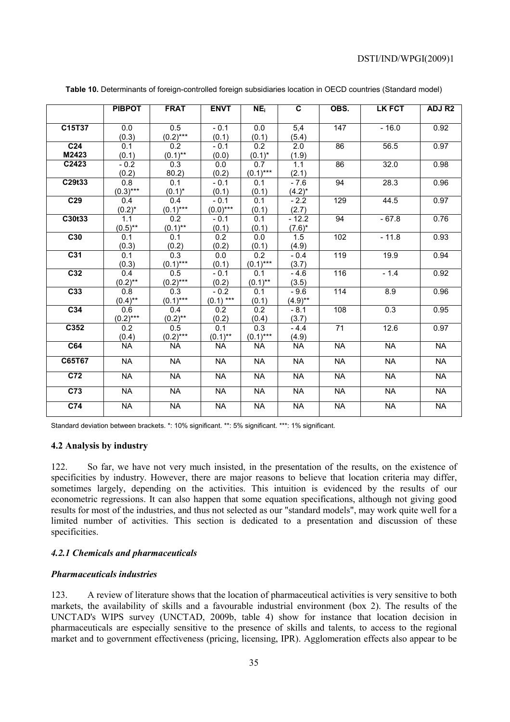|                 | <b>PIBPOT</b>    | <b>FRAT</b>            | <b>ENVT</b>      | NE <sub>i</sub>  | $\overline{\mathbf{c}}$ | OBS.             | LK FCT    | ADJ R <sub>2</sub> |
|-----------------|------------------|------------------------|------------------|------------------|-------------------------|------------------|-----------|--------------------|
|                 |                  |                        |                  |                  |                         |                  |           |                    |
| C15T37          | 0.0              | 0.5                    | $-0.1$           | 0.0              | 5,4                     | 147              | $-16.0$   | 0.92               |
|                 | (0.3)            | $\frac{(0.2)***}{0.2}$ | (0.1)            | (0.1)            | (5.4)                   |                  |           |                    |
| C <sub>24</sub> | 0.1              |                        | $-0.1$           | $\overline{0.2}$ | $\overline{2.0}$        | 86               | 56.5      | 0.97               |
| M2423           | (0.1)            | $(0.1)$ **             | (0.0)            | $(0.1)^*$        | (1.9)                   |                  |           |                    |
| C2423           | $-0.2$           | 0.3                    | $\overline{0.0}$ | 0.7              | 1.1                     | $\overline{86}$  | 32.0      | 0.98               |
|                 | (0.2)            | 80.2)                  | (0.2)            | $(0.1)$ ***      | (2.1)                   |                  |           |                    |
| C29t33          | 0.8              | 0.1                    | $-0.1$           | 0.1              | $-7.6$                  | 94               | 28.3      | 0.96               |
|                 | $(0.3)***$       | $(0.1)^*$              | (0.1)            | (0.1)            | $(4.2)^{*}$             |                  |           |                    |
| C <sub>29</sub> | 0.4              | 0.4                    | $-0.1$           | 0.1              | $-2.2$                  | $\overline{129}$ | 44.5      | 0.97               |
|                 | $(0.2)^{*}$      | $(0.1)***$             | $(0.0)$ ***      | (0.1)            | (2.7)                   |                  |           |                    |
| C30t33          | 1.1              | 0.2                    | $-0.1$           | 0.1              | $-12.2$                 | 94               | $-67.8$   | 0.76               |
|                 | $(0.5)$ **       | $(0.1)$ **             | (0.1)            | (0.1)            | $(7.6)^*$               |                  |           |                    |
| C30             | 0.1              | $\overline{0.1}$       | $\overline{0.2}$ | 0.0              | 1.5                     | 102              | $-11.8$   | 0.93               |
|                 | (0.3)            | (0.2)                  | (0.2)            | (0.1)            | (4.9)                   |                  |           |                    |
| C <sub>31</sub> | 0.1              | $\overline{0.3}$       | 0.0              | 0.2              | $-0.4$                  | 119              | 19.9      | 0.94               |
|                 | (0.3)            | $(0.1)$ ***            | (0.1)            | $(0.1)$ ***      | (3.7)                   |                  |           |                    |
| C <sub>32</sub> | 0.4              | 0.5                    | $-0.1$           | $\overline{0.1}$ | $-4.6$                  | 116              | $-1.4$    | 0.92               |
|                 | $(0.2)$ **       | $(0.2)***$             | (0.2)            | $(0.1)$ **       | (3.5)                   |                  |           |                    |
| C <sub>33</sub> | $\overline{0.8}$ | $\overline{0.3}$       | $-0.2$           | 0.1              | $-9.6$                  | 114              | 8.9       | 0.96               |
|                 | $(0.4)$ **       | $(0.1)***$             | $(0.1)$ ***      | (0.1)            | $(4.9)$ **              |                  |           |                    |
| C <sub>34</sub> | 0.6              | 0.4                    | 0.2              | 0.2              | $-8.1$                  | 108              | 0.3       | 0.95               |
|                 | $(0.2)***$       | $(0.2)$ **             | (0.2)            | (0.4)            | (3.7)                   |                  |           |                    |
| C352            | 0.2              | 0.5                    | $\overline{0.1}$ | 0.3              | $-4.4$                  | $\overline{71}$  | 12.6      | 0.97               |
|                 | (0.4)            | $(0.2)***$             | $(0.1)$ **       | $(0.1)$ ***      | (4.9)                   |                  |           |                    |
| C64             | <b>NA</b>        | <b>NA</b>              | <b>NA</b>        | <b>NA</b>        | <b>NA</b>               | <b>NA</b>        | <b>NA</b> | <b>NA</b>          |
| C65T67          | <b>NA</b>        | <b>NA</b>              | <b>NA</b>        | <b>NA</b>        | <b>NA</b>               | <b>NA</b>        | <b>NA</b> | <b>NA</b>          |
| C <sub>72</sub> | <b>NA</b>        | <b>NA</b>              | <b>NA</b>        | <b>NA</b>        | <b>NA</b>               | <b>NA</b>        | <b>NA</b> | <b>NA</b>          |
| C <sub>73</sub> | <b>NA</b>        | <b>NA</b>              | <b>NA</b>        | <b>NA</b>        | <b>NA</b>               | <b>NA</b>        | <b>NA</b> | <b>NA</b>          |
| C74             | <b>NA</b>        | <b>NA</b>              | <b>NA</b>        | <b>NA</b>        | <b>NA</b>               | <b>NA</b>        | <b>NA</b> | <b>NA</b>          |

**Table 10.** Determinants of foreign-controlled foreign subsidiaries location in OECD countries (Standard model)

Standard deviation between brackets. \*: 10% significant. \*\*: 5% significant. \*\*\*: 1% significant.

### **4.2 Analysis by industry**

122. So far, we have not very much insisted, in the presentation of the results, on the existence of specificities by industry. However, there are major reasons to believe that location criteria may differ, sometimes largely, depending on the activities. This intuition is evidenced by the results of our econometric regressions. It can also happen that some equation specifications, although not giving good results for most of the industries, and thus not selected as our "standard models", may work quite well for a limited number of activities. This section is dedicated to a presentation and discussion of these specificities.

#### *4.2.1 Chemicals and pharmaceuticals*

#### *Pharmaceuticals industries*

123. A review of literature shows that the location of pharmaceutical activities is very sensitive to both markets, the availability of skills and a favourable industrial environment (box 2). The results of the UNCTAD's WIPS survey (UNCTAD, 2009b, table 4) show for instance that location decision in pharmaceuticals are especially sensitive to the presence of skills and talents, to access to the regional market and to government effectiveness (pricing, licensing, IPR). Agglomeration effects also appear to be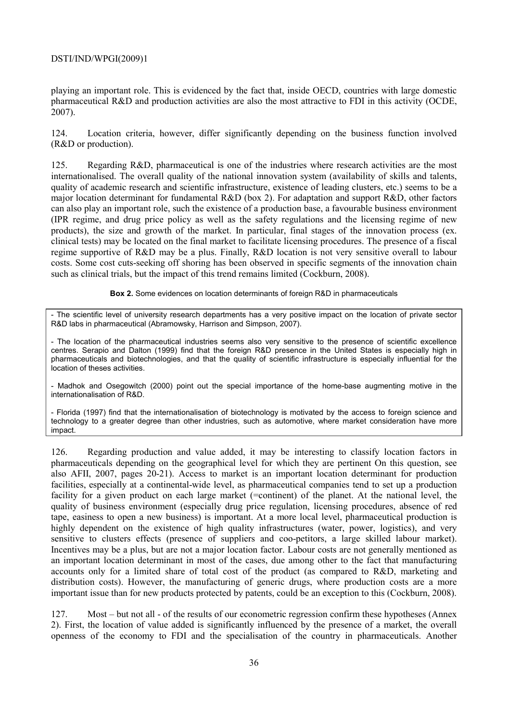playing an important role. This is evidenced by the fact that, inside OECD, countries with large domestic pharmaceutical R&D and production activities are also the most attractive to FDI in this activity (OCDE, 2007).

124. Location criteria, however, differ significantly depending on the business function involved (R&D or production).

125. Regarding R&D, pharmaceutical is one of the industries where research activities are the most internationalised. The overall quality of the national innovation system (availability of skills and talents, quality of academic research and scientific infrastructure, existence of leading clusters, etc.) seems to be a major location determinant for fundamental R&D (box 2). For adaptation and support R&D, other factors can also play an important role, such the existence of a production base, a favourable business environment (IPR regime, and drug price policy as well as the safety regulations and the licensing regime of new products), the size and growth of the market. In particular, final stages of the innovation process (ex. clinical tests) may be located on the final market to facilitate licensing procedures. The presence of a fiscal regime supportive of R&D may be a plus. Finally, R&D location is not very sensitive overall to labour costs. Some cost cuts-seeking off shoring has been observed in specific segments of the innovation chain such as clinical trials, but the impact of this trend remains limited (Cockburn, 2008).

**Box 2.** Some evidences on location determinants of foreign R&D in pharmaceuticals

The scientific level of university research departments has a very positive impact on the location of private sector R&D labs in pharmaceutical (Abramowsky, Harrison and Simpson, 2007).

- The location of the pharmaceutical industries seems also very sensitive to the presence of scientific excellence centres. Serapio and Dalton (1999) find that the foreign R&D presence in the United States is especially high in pharmaceuticals and biotechnologies, and that the quality of scientific infrastructure is especially influential for the location of theses activities.

- Madhok and Osegowitch (2000) point out the special importance of the home-base augmenting motive in the internationalisation of R&D.

- Florida (1997) find that the internationalisation of biotechnology is motivated by the access to foreign science and technology to a greater degree than other industries, such as automotive, where market consideration have more impact.

126. Regarding production and value added, it may be interesting to classify location factors in pharmaceuticals depending on the geographical level for which they are pertinent On this question, see also AFII, 2007, pages 20-21). Access to market is an important location determinant for production facilities, especially at a continental-wide level, as pharmaceutical companies tend to set up a production facility for a given product on each large market (=continent) of the planet. At the national level, the quality of business environment (especially drug price regulation, licensing procedures, absence of red tape, easiness to open a new business) is important. At a more local level, pharmaceutical production is highly dependent on the existence of high quality infrastructures (water, power, logistics), and very sensitive to clusters effects (presence of suppliers and coo-petitors, a large skilled labour market). Incentives may be a plus, but are not a major location factor. Labour costs are not generally mentioned as an important location determinant in most of the cases, due among other to the fact that manufacturing accounts only for a limited share of total cost of the product (as compared to R&D, marketing and distribution costs). However, the manufacturing of generic drugs, where production costs are a more important issue than for new products protected by patents, could be an exception to this (Cockburn, 2008).

127. Most – but not all - of the results of our econometric regression confirm these hypotheses (Annex 2). First, the location of value added is significantly influenced by the presence of a market, the overall openness of the economy to FDI and the specialisation of the country in pharmaceuticals. Another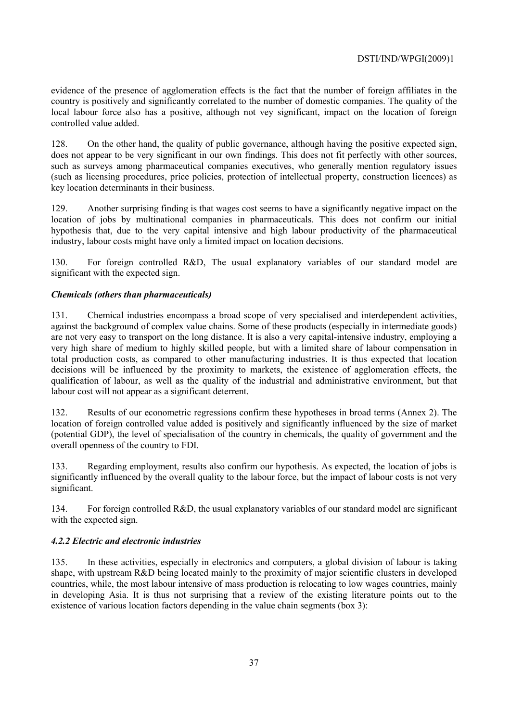evidence of the presence of agglomeration effects is the fact that the number of foreign affiliates in the country is positively and significantly correlated to the number of domestic companies. The quality of the local labour force also has a positive, although not vey significant, impact on the location of foreign controlled value added.

128. On the other hand, the quality of public governance, although having the positive expected sign, does not appear to be very significant in our own findings. This does not fit perfectly with other sources, such as surveys among pharmaceutical companies executives, who generally mention regulatory issues (such as licensing procedures, price policies, protection of intellectual property, construction licences) as key location determinants in their business.

129. Another surprising finding is that wages cost seems to have a significantly negative impact on the location of jobs by multinational companies in pharmaceuticals. This does not confirm our initial hypothesis that, due to the very capital intensive and high labour productivity of the pharmaceutical industry, labour costs might have only a limited impact on location decisions.

130. For foreign controlled R&D, The usual explanatory variables of our standard model are significant with the expected sign.

## *Chemicals (others than pharmaceuticals)*

131. Chemical industries encompass a broad scope of very specialised and interdependent activities, against the background of complex value chains. Some of these products (especially in intermediate goods) are not very easy to transport on the long distance. It is also a very capital-intensive industry, employing a very high share of medium to highly skilled people, but with a limited share of labour compensation in total production costs, as compared to other manufacturing industries. It is thus expected that location decisions will be influenced by the proximity to markets, the existence of agglomeration effects, the qualification of labour, as well as the quality of the industrial and administrative environment, but that labour cost will not appear as a significant deterrent.

132. Results of our econometric regressions confirm these hypotheses in broad terms (Annex 2). The location of foreign controlled value added is positively and significantly influenced by the size of market (potential GDP), the level of specialisation of the country in chemicals, the quality of government and the overall openness of the country to FDI.

133. Regarding employment, results also confirm our hypothesis. As expected, the location of jobs is significantly influenced by the overall quality to the labour force, but the impact of labour costs is not very significant.

134. For foreign controlled R&D, the usual explanatory variables of our standard model are significant with the expected sign.

## *4.2.2 Electric and electronic industries*

135. In these activities, especially in electronics and computers, a global division of labour is taking shape, with upstream R&D being located mainly to the proximity of major scientific clusters in developed countries, while, the most labour intensive of mass production is relocating to low wages countries, mainly in developing Asia. It is thus not surprising that a review of the existing literature points out to the existence of various location factors depending in the value chain segments (box 3):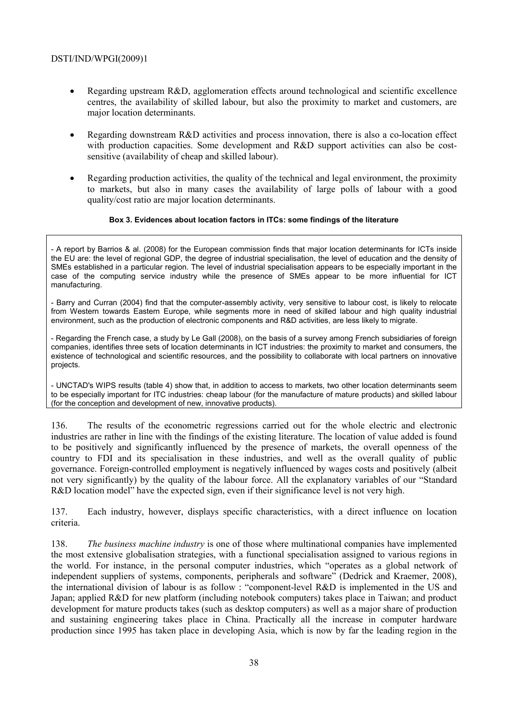- Regarding upstream R&D, agglomeration effects around technological and scientific excellence centres, the availability of skilled labour, but also the proximity to market and customers, are major location determinants.
- Regarding downstream R&D activities and process innovation, there is also a co-location effect with production capacities. Some development and R&D support activities can also be costsensitive (availability of cheap and skilled labour).
- Regarding production activities, the quality of the technical and legal environment, the proximity to markets, but also in many cases the availability of large polls of labour with a good quality/cost ratio are major location determinants.

### **Box 3. Evidences about location factors in ITCs: some findings of the literature**

- A report by Barrios & al. (2008) for the European commission finds that major location determinants for ICTs inside the EU are: the level of regional GDP, the degree of industrial specialisation, the level of education and the density of SMEs established in a particular region. The level of industrial specialisation appears to be especially important in the case of the computing service industry while the presence of SMEs appear to be more influential for ICT manufacturing.

- Barry and Curran (2004) find that the computer-assembly activity, very sensitive to labour cost, is likely to relocate from Western towards Eastern Europe, while segments more in need of skilled labour and high quality industrial environment, such as the production of electronic components and R&D activities, are less likely to migrate.

- Regarding the French case, a study by Le Gall (2008), on the basis of a survey among French subsidiaries of foreign companies, identifies three sets of location determinants in ICT industries: the proximity to market and consumers, the existence of technological and scientific resources, and the possibility to collaborate with local partners on innovative projects.

- UNCTAD's WIPS results (table 4) show that, in addition to access to markets, two other location determinants seem to be especially important for ITC industries: cheap labour (for the manufacture of mature products) and skilled labour (for the conception and development of new, innovative products).

136. The results of the econometric regressions carried out for the whole electric and electronic industries are rather in line with the findings of the existing literature. The location of value added is found to be positively and significantly influenced by the presence of markets, the overall openness of the country to FDI and its specialisation in these industries, and well as the overall quality of public governance. Foreign-controlled employment is negatively influenced by wages costs and positively (albeit not very significantly) by the quality of the labour force. All the explanatory variables of our "Standard R&D location model" have the expected sign, even if their significance level is not very high.

137. Each industry, however, displays specific characteristics, with a direct influence on location criteria.

138. *The business machine industry* is one of those where multinational companies have implemented the most extensive globalisation strategies, with a functional specialisation assigned to various regions in the world. For instance, in the personal computer industries, which "operates as a global network of independent suppliers of systems, components, peripherals and software" (Dedrick and Kraemer, 2008), the international division of labour is as follow : "component-level R&D is implemented in the US and Japan; applied R&D for new platform (including notebook computers) takes place in Taiwan; and product development for mature products takes (such as desktop computers) as well as a major share of production and sustaining engineering takes place in China. Practically all the increase in computer hardware production since 1995 has taken place in developing Asia, which is now by far the leading region in the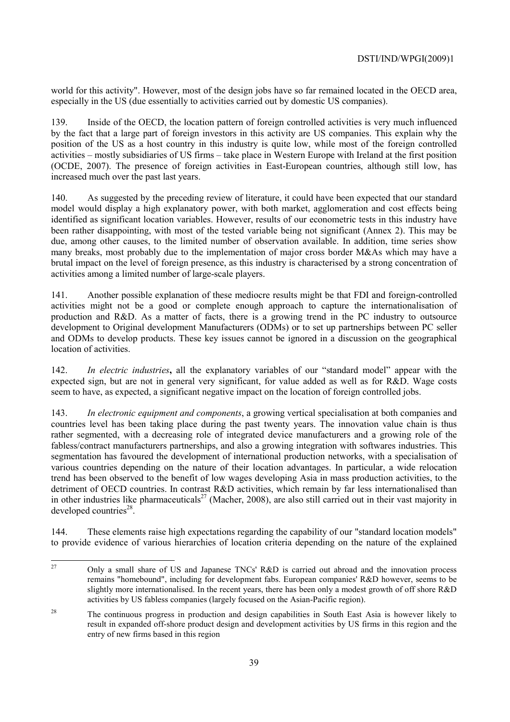world for this activity". However, most of the design jobs have so far remained located in the OECD area, especially in the US (due essentially to activities carried out by domestic US companies).

139. Inside of the OECD, the location pattern of foreign controlled activities is very much influenced by the fact that a large part of foreign investors in this activity are US companies. This explain why the position of the US as a host country in this industry is quite low, while most of the foreign controlled activities – mostly subsidiaries of US firms – take place in Western Europe with Ireland at the first position (OCDE, 2007). The presence of foreign activities in East-European countries, although still low, has increased much over the past last years.

140. As suggested by the preceding review of literature, it could have been expected that our standard model would display a high explanatory power, with both market, agglomeration and cost effects being identified as significant location variables. However, results of our econometric tests in this industry have been rather disappointing, with most of the tested variable being not significant (Annex 2). This may be due, among other causes, to the limited number of observation available. In addition, time series show many breaks, most probably due to the implementation of major cross border M&As which may have a brutal impact on the level of foreign presence, as this industry is characterised by a strong concentration of activities among a limited number of large-scale players.

141. Another possible explanation of these mediocre results might be that FDI and foreign-controlled activities might not be a good or complete enough approach to capture the internationalisation of production and R&D. As a matter of facts, there is a growing trend in the PC industry to outsource development to Original development Manufacturers (ODMs) or to set up partnerships between PC seller and ODMs to develop products. These key issues cannot be ignored in a discussion on the geographical location of activities.

142. *In electric industries***,** all the explanatory variables of our "standard model" appear with the expected sign, but are not in general very significant, for value added as well as for R&D. Wage costs seem to have, as expected, a significant negative impact on the location of foreign controlled jobs.

143. *In electronic equipment and components*, a growing vertical specialisation at both companies and countries level has been taking place during the past twenty years. The innovation value chain is thus rather segmented, with a decreasing role of integrated device manufacturers and a growing role of the fabless/contract manufacturers partnerships, and also a growing integration with softwares industries. This segmentation has favoured the development of international production networks, with a specialisation of various countries depending on the nature of their location advantages. In particular, a wide relocation trend has been observed to the benefit of low wages developing Asia in mass production activities, to the detriment of OECD countries. In contrast R&D activities, which remain by far less internationalised than in other industries like pharmaceuticals<sup>27</sup> (Macher, 2008), are also still carried out in their vast majority in developed countries $^{28}$ .

144. These elements raise high expectations regarding the capability of our "standard location models" to provide evidence of various hierarchies of location criteria depending on the nature of the explained

 $27$ 27 Only a small share of US and Japanese TNCs' R&D is carried out abroad and the innovation process remains "homebound", including for development fabs. European companies' R&D however, seems to be slightly more internationalised. In the recent years, there has been only a modest growth of off shore R&D activities by US fabless companies (largely focused on the Asian-Pacific region).

<sup>&</sup>lt;sup>28</sup> The continuous progress in production and design capabilities in South East Asia is however likely to result in expanded off-shore product design and development activities by US firms in this region and the entry of new firms based in this region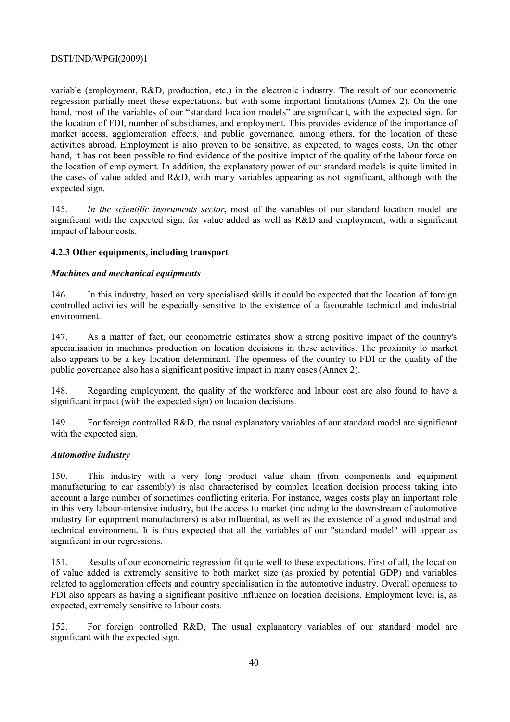variable (employment, R&D, production, etc.) in the electronic industry. The result of our econometric regression partially meet these expectations, but with some important limitations (Annex 2). On the one hand, most of the variables of our "standard location models" are significant, with the expected sign, for the location of FDI, number of subsidiaries, and employment. This provides evidence of the importance of market access, agglomeration effects, and public governance, among others, for the location of these activities abroad. Employment is also proven to be sensitive, as expected, to wages costs. On the other hand, it has not been possible to find evidence of the positive impact of the quality of the labour force on the location of employment. In addition, the explanatory power of our standard models is quite limited in the cases of value added and R&D, with many variables appearing as not significant, although with the expected sign.

145. *In the scientific instruments sector***,** most of the variables of our standard location model are significant with the expected sign, for value added as well as R&D and employment, with a significant impact of labour costs.

## **4.2.3 Other equipments, including transport**

### *Machines and mechanical equipments*

146. In this industry, based on very specialised skills it could be expected that the location of foreign controlled activities will be especially sensitive to the existence of a favourable technical and industrial environment.

147. As a matter of fact, our econometric estimates show a strong positive impact of the country's specialisation in machines production on location decisions in these activities. The proximity to market also appears to be a key location determinant. The openness of the country to FDI or the quality of the public governance also has a significant positive impact in many cases (Annex 2).

148. Regarding employment, the quality of the workforce and labour cost are also found to have a significant impact (with the expected sign) on location decisions.

149. For foreign controlled R&D, the usual explanatory variables of our standard model are significant with the expected sign.

### *Automotive industry*

150. This industry with a very long product value chain (from components and equipment manufacturing to car assembly) is also characterised by complex location decision process taking into account a large number of sometimes conflicting criteria. For instance, wages costs play an important role in this very labour-intensive industry, but the access to market (including to the downstream of automotive industry for equipment manufacturers) is also influential, as well as the existence of a good industrial and technical environment. It is thus expected that all the variables of our "standard model" will appear as significant in our regressions.

151. Results of our econometric regression fit quite well to these expectations. First of all, the location of value added is extremely sensitive to both market size (as proxied by potential GDP) and variables related to agglomeration effects and country specialisation in the automotive industry. Overall openness to FDI also appears as having a significant positive influence on location decisions. Employment level is, as expected, extremely sensitive to labour costs.

152. For foreign controlled R&D, The usual explanatory variables of our standard model are significant with the expected sign.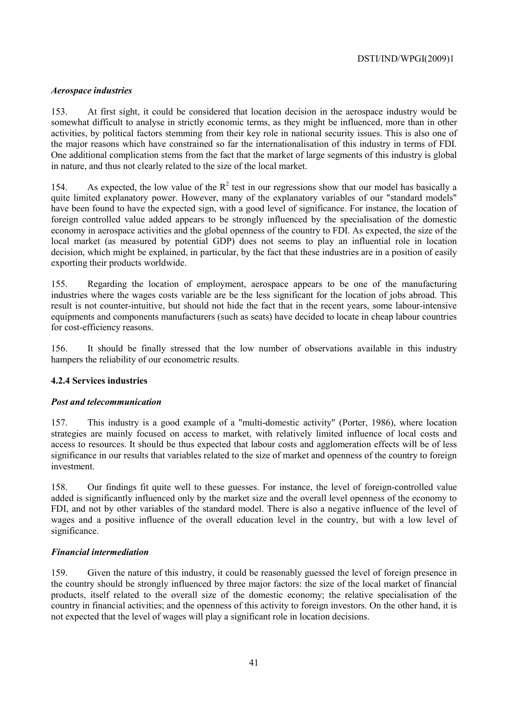### *Aerospace industries*

153. At first sight, it could be considered that location decision in the aerospace industry would be somewhat difficult to analyse in strictly economic terms, as they might be influenced, more than in other activities, by political factors stemming from their key role in national security issues. This is also one of the major reasons which have constrained so far the internationalisation of this industry in terms of FDI. One additional complication stems from the fact that the market of large segments of this industry is global in nature, and thus not clearly related to the size of the local market.

154. As expected, the low value of the  $R^2$  test in our regressions show that our model has basically a quite limited explanatory power. However, many of the explanatory variables of our "standard models" have been found to have the expected sign, with a good level of significance. For instance, the location of foreign controlled value added appears to be strongly influenced by the specialisation of the domestic economy in aerospace activities and the global openness of the country to FDI. As expected, the size of the local market (as measured by potential GDP) does not seems to play an influential role in location decision, which might be explained, in particular, by the fact that these industries are in a position of easily exporting their products worldwide.

155. Regarding the location of employment, aerospace appears to be one of the manufacturing industries where the wages costs variable are be the less significant for the location of jobs abroad. This result is not counter-intuitive, but should not hide the fact that in the recent years, some labour-intensive equipments and components manufacturers (such as seats) have decided to locate in cheap labour countries for cost-efficiency reasons.

156. It should be finally stressed that the low number of observations available in this industry hampers the reliability of our econometric results.

### **4.2.4 Services industries**

### *Post and telecommunication*

157. This industry is a good example of a "multi-domestic activity" (Porter, 1986), where location strategies are mainly focused on access to market, with relatively limited influence of local costs and access to resources. It should be thus expected that labour costs and agglomeration effects will be of less significance in our results that variables related to the size of market and openness of the country to foreign investment.

158. Our findings fit quite well to these guesses. For instance, the level of foreign-controlled value added is significantly influenced only by the market size and the overall level openness of the economy to FDI, and not by other variables of the standard model. There is also a negative influence of the level of wages and a positive influence of the overall education level in the country, but with a low level of significance.

### *Financial intermediation*

159. Given the nature of this industry, it could be reasonably guessed the level of foreign presence in the country should be strongly influenced by three major factors: the size of the local market of financial products, itself related to the overall size of the domestic economy; the relative specialisation of the country in financial activities; and the openness of this activity to foreign investors. On the other hand, it is not expected that the level of wages will play a significant role in location decisions.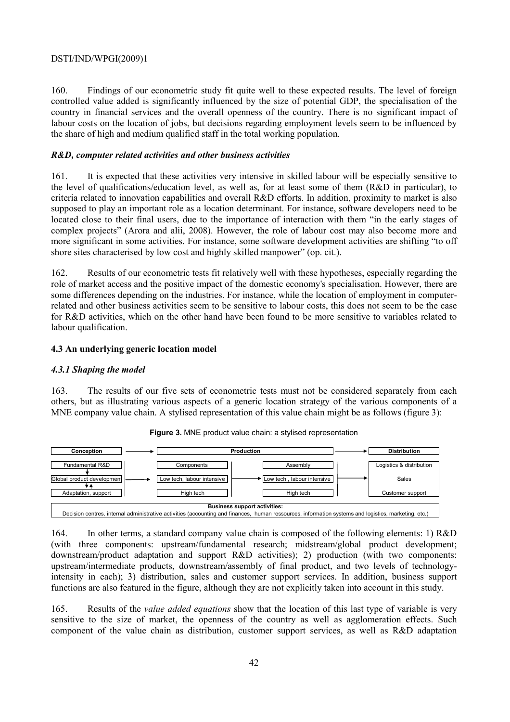160. Findings of our econometric study fit quite well to these expected results. The level of foreign controlled value added is significantly influenced by the size of potential GDP, the specialisation of the country in financial services and the overall openness of the country. There is no significant impact of labour costs on the location of jobs, but decisions regarding employment levels seem to be influenced by the share of high and medium qualified staff in the total working population.

#### *R&D, computer related activities and other business activities*

161. It is expected that these activities very intensive in skilled labour will be especially sensitive to the level of qualifications/education level, as well as, for at least some of them (R&D in particular), to criteria related to innovation capabilities and overall R&D efforts. In addition, proximity to market is also supposed to play an important role as a location determinant. For instance, software developers need to be located close to their final users, due to the importance of interaction with them "in the early stages of complex projects" (Arora and alii, 2008). However, the role of labour cost may also become more and more significant in some activities. For instance, some software development activities are shifting "to off shore sites characterised by low cost and highly skilled manpower" (op. cit.).

162. Results of our econometric tests fit relatively well with these hypotheses, especially regarding the role of market access and the positive impact of the domestic economy's specialisation. However, there are some differences depending on the industries. For instance, while the location of employment in computerrelated and other business activities seem to be sensitive to labour costs, this does not seem to be the case for R&D activities, which on the other hand have been found to be more sensitive to variables related to labour qualification.

#### **4.3 An underlying generic location model**

#### *4.3.1 Shaping the model*

163. The results of our five sets of econometric tests must not be considered separately from each others, but as illustrating various aspects of a generic location strategy of the various components of a MNE company value chain. A stylised representation of this value chain might be as follows (figure 3):



**Figure 3.** MNE product value chain: a stylised representation

164. In other terms, a standard company value chain is composed of the following elements: 1) R&D (with three components: upstream/fundamental research; midstream/global product development; downstream/product adaptation and support R&D activities); 2) production (with two components: upstream/intermediate products, downstream/assembly of final product, and two levels of technologyintensity in each); 3) distribution, sales and customer support services. In addition, business support functions are also featured in the figure, although they are not explicitly taken into account in this study.

165. Results of the *value added equations* show that the location of this last type of variable is very sensitive to the size of market, the openness of the country as well as agglomeration effects. Such component of the value chain as distribution, customer support services, as well as R&D adaptation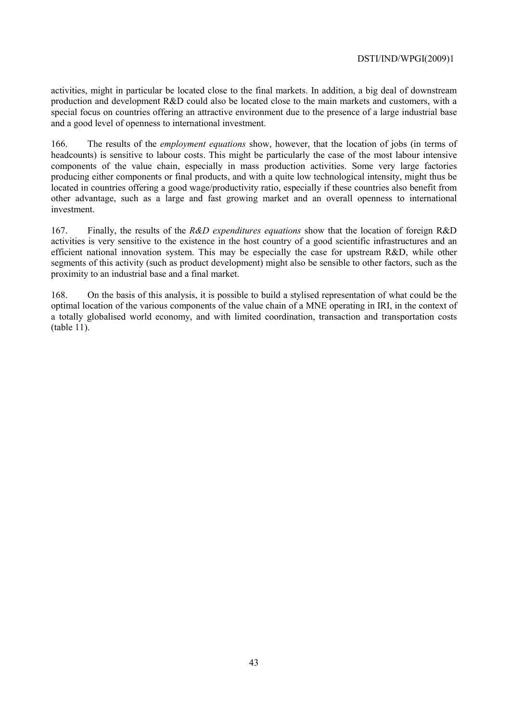activities, might in particular be located close to the final markets. In addition, a big deal of downstream production and development R&D could also be located close to the main markets and customers, with a special focus on countries offering an attractive environment due to the presence of a large industrial base and a good level of openness to international investment.

166. The results of the *employment equations* show, however, that the location of jobs (in terms of headcounts) is sensitive to labour costs. This might be particularly the case of the most labour intensive components of the value chain, especially in mass production activities. Some very large factories producing either components or final products, and with a quite low technological intensity, might thus be located in countries offering a good wage/productivity ratio, especially if these countries also benefit from other advantage, such as a large and fast growing market and an overall openness to international investment.

167. Finally, the results of the *R&D expenditures equations* show that the location of foreign R&D activities is very sensitive to the existence in the host country of a good scientific infrastructures and an efficient national innovation system. This may be especially the case for upstream R&D, while other segments of this activity (such as product development) might also be sensible to other factors, such as the proximity to an industrial base and a final market.

168. On the basis of this analysis, it is possible to build a stylised representation of what could be the optimal location of the various components of the value chain of a MNE operating in IRI, in the context of a totally globalised world economy, and with limited coordination, transaction and transportation costs (table 11).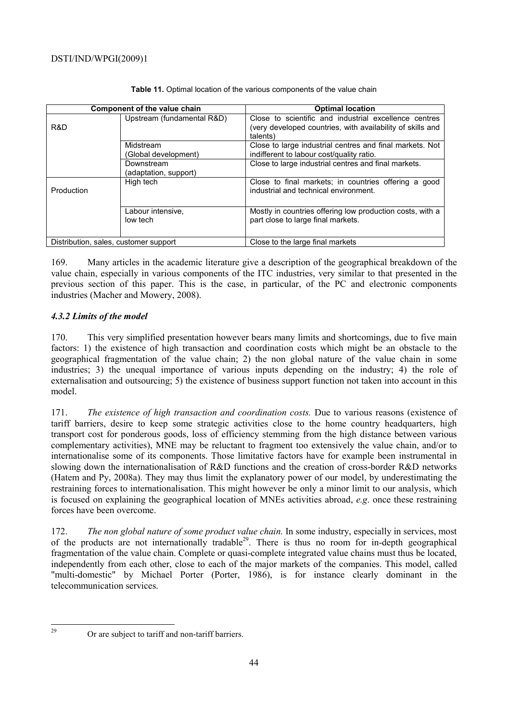|                                       | Component of the value chain        | <b>Optimal location</b>                                                                                                         |
|---------------------------------------|-------------------------------------|---------------------------------------------------------------------------------------------------------------------------------|
| R&D                                   | Upstream (fundamental R&D)          | Close to scientific and industrial excellence centres<br>(very developed countries, with availability of skills and<br>talents) |
|                                       | Midstream<br>(Global development)   | Close to large industrial centres and final markets. Not<br>indifferent to labour cost/quality ratio.                           |
|                                       | Downstream<br>(adaptation, support) | Close to large industrial centres and final markets.                                                                            |
| Production                            | High tech                           | Close to final markets; in countries offering a good<br>industrial and technical environment.                                   |
|                                       | Labour intensive,<br>low tech       | Mostly in countries offering low production costs, with a<br>part close to large final markets.                                 |
| Distribution, sales, customer support |                                     | Close to the large final markets                                                                                                |

Table 11. Optimal location of the various components of the value chain

169. Many articles in the academic literature give a description of the geographical breakdown of the value chain, especially in various components of the ITC industries, very similar to that presented in the previous section of this paper. This is the case, in particular, of the PC and electronic components industries (Macher and Mowery, 2008).

# *4.3.2 Limits of the model*

170. This very simplified presentation however bears many limits and shortcomings, due to five main factors: 1) the existence of high transaction and coordination costs which might be an obstacle to the geographical fragmentation of the value chain; 2) the non global nature of the value chain in some industries; 3) the unequal importance of various inputs depending on the industry; 4) the role of externalisation and outsourcing; 5) the existence of business support function not taken into account in this model.

171. *The existence of high transaction and coordination costs.* Due to various reasons (existence of tariff barriers, desire to keep some strategic activities close to the home country headquarters, high transport cost for ponderous goods, loss of efficiency stemming from the high distance between various complementary activities), MNE may be reluctant to fragment too extensively the value chain, and/or to internationalise some of its components. Those limitative factors have for example been instrumental in slowing down the internationalisation of R&D functions and the creation of cross-border R&D networks (Hatem and Py, 2008a). They may thus limit the explanatory power of our model, by underestimating the restraining forces to internationalisation. This might however be only a minor limit to our analysis, which is focused on explaining the geographical location of MNEs activities abroad, *e.g*. once these restraining forces have been overcome.

172. *The non global nature of some product value chain.* In some industry, especially in services, most of the products are not internationally tradable<sup>29</sup>. There is thus no room for in-depth geographical fragmentation of the value chain. Complete or quasi-complete integrated value chains must thus be located, independently from each other, close to each of the major markets of the companies. This model, called "multi-domestic" by Michael Porter (Porter, 1986), is for instance clearly dominant in the telecommunication services.

 $29$ 

Or are subject to tariff and non-tariff barriers.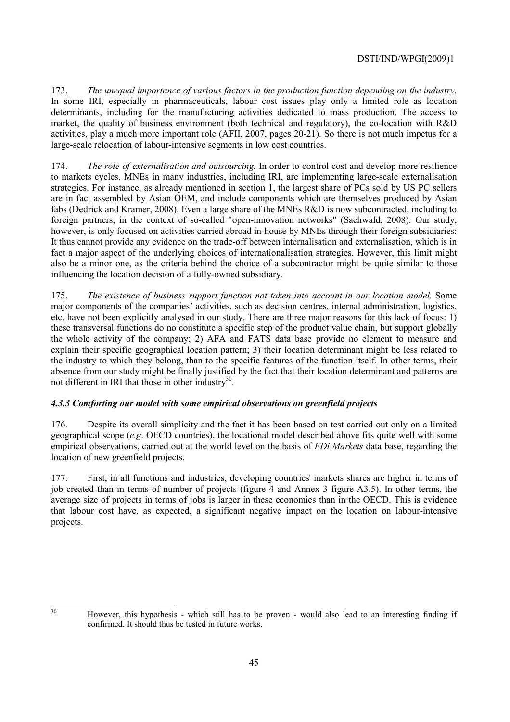173. *The unequal importance of various factors in the production function depending on the industry.* In some IRI, especially in pharmaceuticals, labour cost issues play only a limited role as location determinants, including for the manufacturing activities dedicated to mass production. The access to market, the quality of business environment (both technical and regulatory), the co-location with R&D activities, play a much more important role (AFII, 2007, pages 20-21). So there is not much impetus for a large-scale relocation of labour-intensive segments in low cost countries.

174. *The role of externalisation and outsourcing.* In order to control cost and develop more resilience to markets cycles, MNEs in many industries, including IRI, are implementing large-scale externalisation strategies. For instance, as already mentioned in section 1, the largest share of PCs sold by US PC sellers are in fact assembled by Asian OEM, and include components which are themselves produced by Asian fabs (Dedrick and Kramer, 2008). Even a large share of the MNEs R&D is now subcontracted, including to foreign partners, in the context of so-called "open-innovation networks" (Sachwald, 2008). Our study, however, is only focused on activities carried abroad in-house by MNEs through their foreign subsidiaries: It thus cannot provide any evidence on the trade-off between internalisation and externalisation, which is in fact a major aspect of the underlying choices of internationalisation strategies. However, this limit might also be a minor one, as the criteria behind the choice of a subcontractor might be quite similar to those influencing the location decision of a fully-owned subsidiary.

175. *The existence of business support function not taken into account in our location model.* Some major components of the companies' activities, such as decision centres, internal administration, logistics, etc. have not been explicitly analysed in our study. There are three major reasons for this lack of focus: 1) these transversal functions do no constitute a specific step of the product value chain, but support globally the whole activity of the company; 2) AFA and FATS data base provide no element to measure and explain their specific geographical location pattern; 3) their location determinant might be less related to the industry to which they belong, than to the specific features of the function itself. In other terms, their absence from our study might be finally justified by the fact that their location determinant and patterns are not different in IRI that those in other industry $30$ .

## *4.3.3 Comforting our model with some empirical observations on greenfield projects*

176. Despite its overall simplicity and the fact it has been based on test carried out only on a limited geographical scope (*e.g*. OECD countries), the locational model described above fits quite well with some empirical observations, carried out at the world level on the basis of *FDi Markets* data base, regarding the location of new greenfield projects.

177. First, in all functions and industries, developing countries' markets shares are higher in terms of job created than in terms of number of projects (figure 4 and Annex 3 figure A3.5). In other terms, the average size of projects in terms of jobs is larger in these economies than in the OECD. This is evidence that labour cost have, as expected, a significant negative impact on the location on labour-intensive projects.

 $30$ 

<sup>30</sup> However, this hypothesis - which still has to be proven - would also lead to an interesting finding if confirmed. It should thus be tested in future works.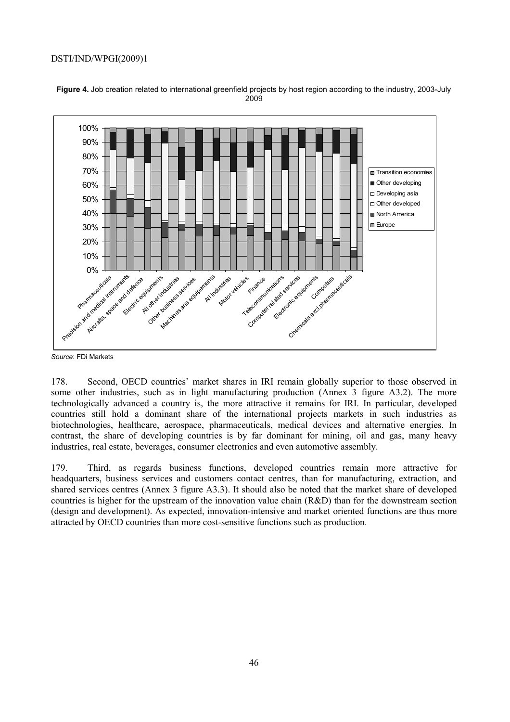

**Figure 4.** Job creation related to international greenfield projects by host region according to the industry, 2003-July 2009

*Source*: FDi Markets

178. Second, OECD countries' market shares in IRI remain globally superior to those observed in some other industries, such as in light manufacturing production (Annex 3 figure A3.2). The more technologically advanced a country is, the more attractive it remains for IRI. In particular, developed countries still hold a dominant share of the international projects markets in such industries as biotechnologies, healthcare, aerospace, pharmaceuticals, medical devices and alternative energies. In contrast, the share of developing countries is by far dominant for mining, oil and gas, many heavy industries, real estate, beverages, consumer electronics and even automotive assembly.

179. Third, as regards business functions, developed countries remain more attractive for headquarters, business services and customers contact centres, than for manufacturing, extraction, and shared services centres (Annex 3 figure A3.3). It should also be noted that the market share of developed countries is higher for the upstream of the innovation value chain (R&D) than for the downstream section (design and development). As expected, innovation-intensive and market oriented functions are thus more attracted by OECD countries than more cost-sensitive functions such as production.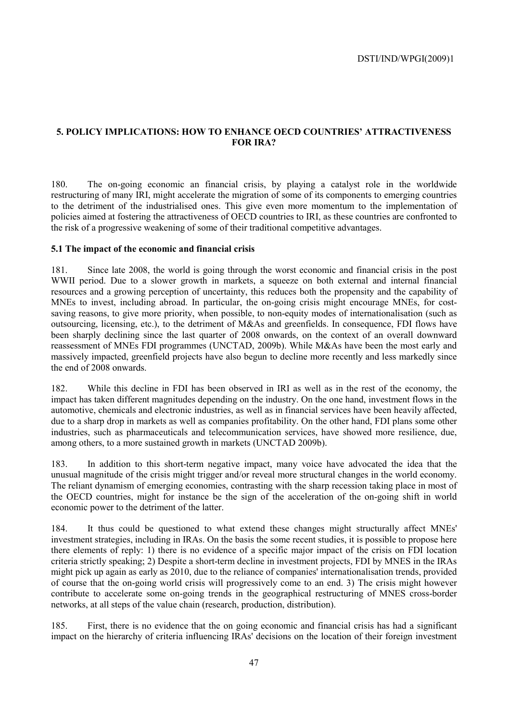## **5. POLICY IMPLICATIONS: HOW TO ENHANCE OECD COUNTRIES' ATTRACTIVENESS FOR IRA?**

180. The on-going economic an financial crisis, by playing a catalyst role in the worldwide restructuring of many IRI, might accelerate the migration of some of its components to emerging countries to the detriment of the industrialised ones. This give even more momentum to the implementation of policies aimed at fostering the attractiveness of OECD countries to IRI, as these countries are confronted to the risk of a progressive weakening of some of their traditional competitive advantages.

#### **5.1 The impact of the economic and financial crisis**

181. Since late 2008, the world is going through the worst economic and financial crisis in the post WWII period. Due to a slower growth in markets, a squeeze on both external and internal financial resources and a growing perception of uncertainty, this reduces both the propensity and the capability of MNEs to invest, including abroad. In particular, the on-going crisis might encourage MNEs, for costsaving reasons, to give more priority, when possible, to non-equity modes of internationalisation (such as outsourcing, licensing, etc.), to the detriment of M&As and greenfields. In consequence, FDI flows have been sharply declining since the last quarter of 2008 onwards, on the context of an overall downward reassessment of MNEs FDI programmes (UNCTAD, 2009b). While M&As have been the most early and massively impacted, greenfield projects have also begun to decline more recently and less markedly since the end of 2008 onwards.

182. While this decline in FDI has been observed in IRI as well as in the rest of the economy, the impact has taken different magnitudes depending on the industry. On the one hand, investment flows in the automotive, chemicals and electronic industries, as well as in financial services have been heavily affected, due to a sharp drop in markets as well as companies profitability. On the other hand, FDI plans some other industries, such as pharmaceuticals and telecommunication services, have showed more resilience, due, among others, to a more sustained growth in markets (UNCTAD 2009b).

183. In addition to this short-term negative impact, many voice have advocated the idea that the unusual magnitude of the crisis might trigger and/or reveal more structural changes in the world economy. The reliant dynamism of emerging economies, contrasting with the sharp recession taking place in most of the OECD countries, might for instance be the sign of the acceleration of the on-going shift in world economic power to the detriment of the latter.

184. It thus could be questioned to what extend these changes might structurally affect MNEs' investment strategies, including in IRAs. On the basis the some recent studies, it is possible to propose here there elements of reply: 1) there is no evidence of a specific major impact of the crisis on FDI location criteria strictly speaking; 2) Despite a short-term decline in investment projects, FDI by MNES in the IRAs might pick up again as early as 2010, due to the reliance of companies' internationalisation trends, provided of course that the on-going world crisis will progressively come to an end. 3) The crisis might however contribute to accelerate some on-going trends in the geographical restructuring of MNES cross-border networks, at all steps of the value chain (research, production, distribution).

185. First, there is no evidence that the on going economic and financial crisis has had a significant impact on the hierarchy of criteria influencing IRAs' decisions on the location of their foreign investment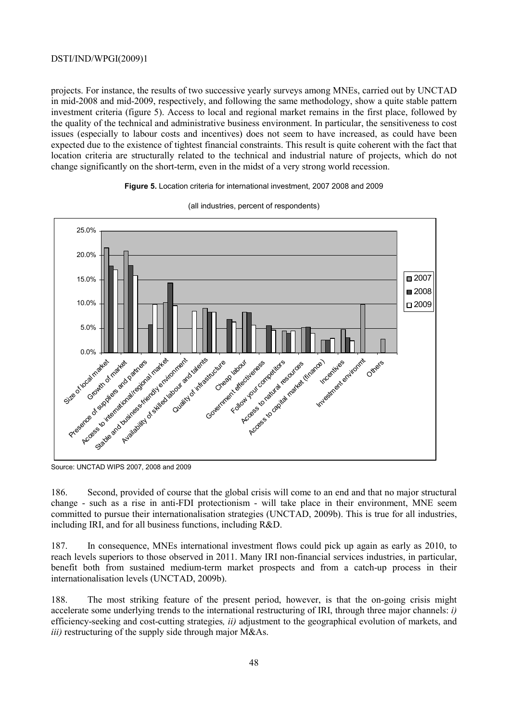projects. For instance, the results of two successive yearly surveys among MNEs, carried out by UNCTAD in mid-2008 and mid-2009, respectively, and following the same methodology, show a quite stable pattern investment criteria (figure 5). Access to local and regional market remains in the first place, followed by the quality of the technical and administrative business environment. In particular, the sensitiveness to cost issues (especially to labour costs and incentives) does not seem to have increased, as could have been expected due to the existence of tightest financial constraints. This result is quite coherent with the fact that location criteria are structurally related to the technical and industrial nature of projects, which do not change significantly on the short-term, even in the midst of a very strong world recession.

#### **Figure 5.** Location criteria for international investment, 2007 2008 and 2009



(all industries, percent of respondents)

Source: UNCTAD WIPS 2007, 2008 and 2009

186. Second, provided of course that the global crisis will come to an end and that no major structural change - such as a rise in anti-FDI protectionism - will take place in their environment, MNE seem committed to pursue their internationalisation strategies (UNCTAD, 2009b). This is true for all industries, including IRI, and for all business functions, including R&D.

187. In consequence, MNEs international investment flows could pick up again as early as 2010, to reach levels superiors to those observed in 2011. Many IRI non-financial services industries, in particular, benefit both from sustained medium-term market prospects and from a catch-up process in their internationalisation levels (UNCTAD, 2009b).

188. The most striking feature of the present period, however, is that the on-going crisis might accelerate some underlying trends to the international restructuring of IRI, through three major channels: *i)* efficiency-seeking and cost-cutting strategies*, ii)* adjustment to the geographical evolution of markets, and *iii)* restructuring of the supply side through major M&As.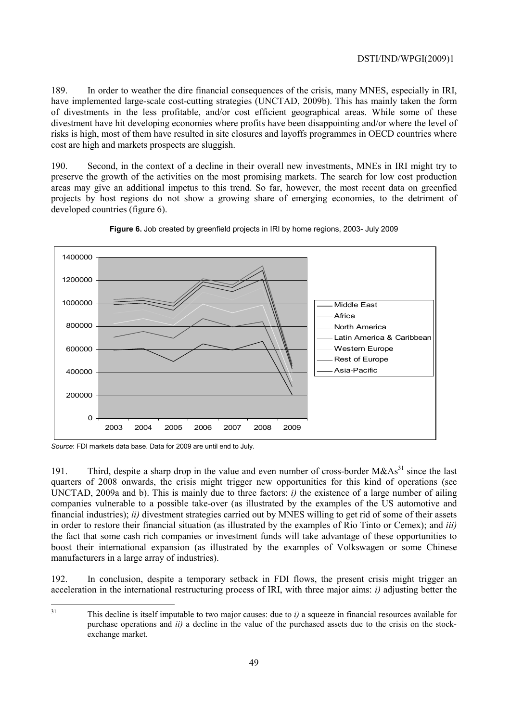189. In order to weather the dire financial consequences of the crisis, many MNES, especially in IRI, have implemented large-scale cost-cutting strategies (UNCTAD, 2009b). This has mainly taken the form of divestments in the less profitable, and/or cost efficient geographical areas. While some of these divestment have hit developing economies where profits have been disappointing and/or where the level of risks is high, most of them have resulted in site closures and layoffs programmes in OECD countries where cost are high and markets prospects are sluggish.

190. Second, in the context of a decline in their overall new investments, MNEs in IRI might try to preserve the growth of the activities on the most promising markets. The search for low cost production areas may give an additional impetus to this trend. So far, however, the most recent data on greenfied projects by host regions do not show a growing share of emerging economies, to the detriment of developed countries (figure 6).





*Source*: FDI markets data base. Data for 2009 are until end to July.

191. Third, despite a sharp drop in the value and even number of cross-border  $M\&As^{31}$  since the last quarters of 2008 onwards, the crisis might trigger new opportunities for this kind of operations (see UNCTAD, 2009a and b). This is mainly due to three factors: *i)* the existence of a large number of ailing companies vulnerable to a possible take-over (as illustrated by the examples of the US automotive and financial industries); *ii)* divestment strategies carried out by MNES willing to get rid of some of their assets in order to restore their financial situation (as illustrated by the examples of Rio Tinto or Cemex); and *iii)* the fact that some cash rich companies or investment funds will take advantage of these opportunities to boost their international expansion (as illustrated by the examples of Volkswagen or some Chinese manufacturers in a large array of industries).

192. In conclusion, despite a temporary setback in FDI flows, the present crisis might trigger an acceleration in the international restructuring process of IRI, with three major aims: *i)* adjusting better the

 $31$ 

This decline is itself imputable to two major causes: due to *i*) a squeeze in financial resources available for purchase operations and *ii)* a decline in the value of the purchased assets due to the crisis on the stockexchange market.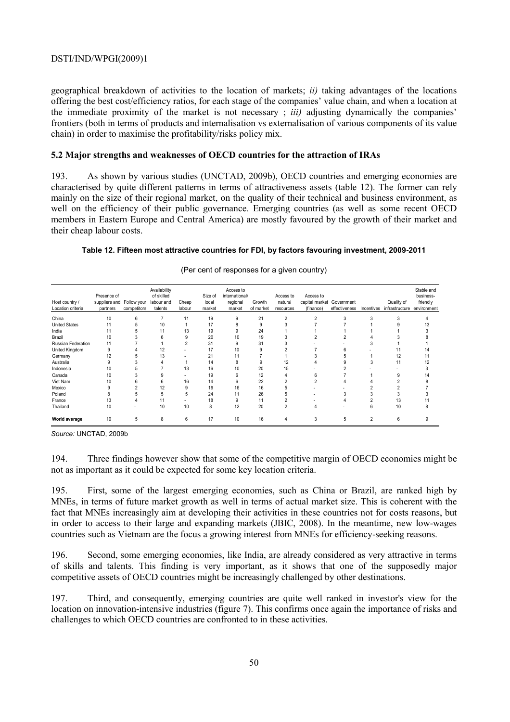geographical breakdown of activities to the location of markets; *ii)* taking advantages of the locations offering the best cost/efficiency ratios, for each stage of the companies' value chain, and when a location at the immediate proximity of the market is not necessary ; *iii)* adjusting dynamically the companies' frontiers (both in terms of products and internalisation vs externalisation of various components of its value chain) in order to maximise the profitability/risks policy mix.

#### **5.2 Major strengths and weaknesses of OECD countries for the attraction of IRAs**

193. As shown by various studies (UNCTAD, 2009b), OECD countries and emerging economies are characterised by quite different patterns in terms of attractiveness assets (table 12). The former can rely mainly on the size of their regional market, on the quality of their technical and business environment, as well on the efficiency of their public governance. Emerging countries (as well as some recent OECD members in Eastern Europe and Central America) are mostly favoured by the growth of their market and their cheap labour costs.

#### **Table 12. Fifteen most attractive countries for FDI, by factors favouring investment, 2009-2011**

| Host country /<br>Location criteria | Presence of<br>suppliers and Follow your<br>partners | competitors | Availability<br>of skilled<br>labour and<br>talents | Cheap<br>labour | Size of<br>local<br>market | Access to<br>international/<br>regional<br>market | Growth<br>of market | Access to<br>natural<br>resources | Access to<br>capital market<br>(finance) | Government<br>effectiveness | Incentives     | Quality of<br>infrastructure | Stable and<br>business-<br>friendly<br>environment |
|-------------------------------------|------------------------------------------------------|-------------|-----------------------------------------------------|-----------------|----------------------------|---------------------------------------------------|---------------------|-----------------------------------|------------------------------------------|-----------------------------|----------------|------------------------------|----------------------------------------------------|
| China                               | 10                                                   | 6           |                                                     | 11              | 19                         | g                                                 | 21                  | $\overline{c}$                    |                                          |                             |                |                              |                                                    |
| <b>United States</b>                | 11                                                   |             | 10                                                  |                 | 17                         |                                                   | 9                   |                                   |                                          |                             |                |                              |                                                    |
| India                               | 11                                                   |             | 11                                                  | 13              | 19                         |                                                   | 24                  |                                   |                                          |                             |                |                              |                                                    |
| Brazil                              | 10                                                   |             | ĥ                                                   | 9               | 20                         | 10                                                | 19                  | 3                                 |                                          |                             |                |                              |                                                    |
| Russian Federation                  | 11                                                   |             |                                                     |                 | 31                         | g                                                 | 31                  |                                   |                                          |                             |                |                              |                                                    |
| United Kingdom                      | 9                                                    |             | 12                                                  |                 | 17                         | 10                                                | g                   |                                   |                                          |                             |                |                              |                                                    |
| Germany                             | 12                                                   |             | 13                                                  |                 | 21                         | 11                                                |                     |                                   |                                          |                             |                | 12                           |                                                    |
| Australia                           | 9                                                    |             |                                                     |                 | 14                         | 8                                                 | 9                   | 12                                |                                          |                             | 3              | 11                           | 12                                                 |
| Indonesia                           | 10                                                   |             |                                                     | 13              | 16                         | 10                                                | 20                  | 15                                |                                          |                             |                |                              |                                                    |
| Canada                              | 10                                                   |             |                                                     |                 | 19                         | 6                                                 | 12                  |                                   | 6                                        |                             |                |                              |                                                    |
| Viet Nam                            | 10                                                   |             |                                                     | 16              | 14                         | 6                                                 | 22                  |                                   |                                          |                             |                |                              |                                                    |
| Mexico                              | 9                                                    |             | 12                                                  |                 | 19                         | 16                                                | 16                  |                                   |                                          |                             |                |                              |                                                    |
| Poland                              | R                                                    |             | 5                                                   |                 | 24                         | 11                                                | 26                  |                                   |                                          |                             |                |                              |                                                    |
| France                              | 13                                                   |             | 11                                                  |                 | 18                         | 9                                                 | 11                  |                                   |                                          |                             |                | 13                           |                                                    |
| Thailand                            | 10                                                   |             | 10                                                  | 10              | 8                          | 12                                                | 20                  | $\overline{2}$                    |                                          |                             | 6              | 10                           |                                                    |
| World average                       | 10                                                   | 5           | 8                                                   | 6               | 17                         | 10                                                | 16                  | 4                                 | 3                                        | b.                          | $\overline{2}$ | 6                            |                                                    |

(Per cent of responses for a given country)

*Source:* UNCTAD, 2009b

194. Three findings however show that some of the competitive margin of OECD economies might be not as important as it could be expected for some key location criteria.

195. First, some of the largest emerging economies, such as China or Brazil, are ranked high by MNEs, in terms of future market growth as well in terms of actual market size. This is coherent with the fact that MNEs increasingly aim at developing their activities in these countries not for costs reasons, but in order to access to their large and expanding markets (JBIC, 2008). In the meantime, new low-wages countries such as Vietnam are the focus a growing interest from MNEs for efficiency-seeking reasons.

196. Second, some emerging economies, like India, are already considered as very attractive in terms of skills and talents. This finding is very important, as it shows that one of the supposedly major competitive assets of OECD countries might be increasingly challenged by other destinations.

197. Third, and consequently, emerging countries are quite well ranked in investor's view for the location on innovation-intensive industries (figure 7). This confirms once again the importance of risks and challenges to which OECD countries are confronted to in these activities.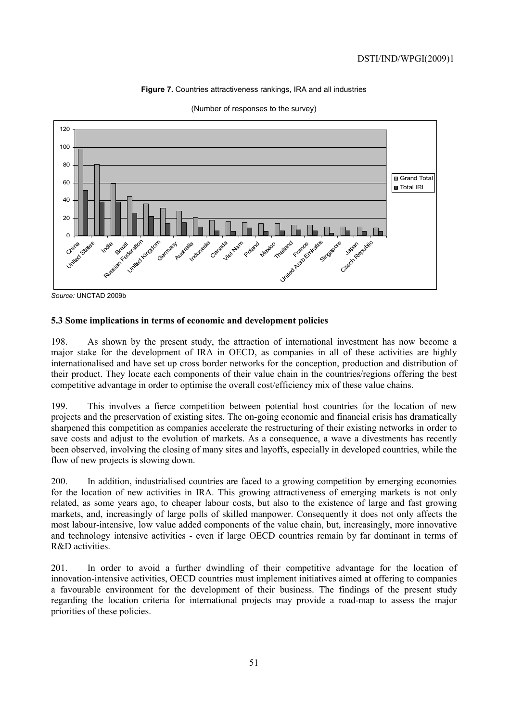#### **Figure 7.** Countries attractiveness rankings, IRA and all industries



(Number of responses to the survey)

### **5.3 Some implications in terms of economic and development policies**

198. As shown by the present study, the attraction of international investment has now become a major stake for the development of IRA in OECD, as companies in all of these activities are highly internationalised and have set up cross border networks for the conception, production and distribution of their product. They locate each components of their value chain in the countries/regions offering the best competitive advantage in order to optimise the overall cost/efficiency mix of these value chains.

199. This involves a fierce competition between potential host countries for the location of new projects and the preservation of existing sites. The on-going economic and financial crisis has dramatically sharpened this competition as companies accelerate the restructuring of their existing networks in order to save costs and adjust to the evolution of markets. As a consequence, a wave a divestments has recently been observed, involving the closing of many sites and layoffs, especially in developed countries, while the flow of new projects is slowing down.

200. In addition, industrialised countries are faced to a growing competition by emerging economies for the location of new activities in IRA. This growing attractiveness of emerging markets is not only related, as some years ago, to cheaper labour costs, but also to the existence of large and fast growing markets, and, increasingly of large polls of skilled manpower. Consequently it does not only affects the most labour-intensive, low value added components of the value chain, but, increasingly, more innovative and technology intensive activities - even if large OECD countries remain by far dominant in terms of R&D activities.

201. In order to avoid a further dwindling of their competitive advantage for the location of innovation-intensive activities, OECD countries must implement initiatives aimed at offering to companies a favourable environment for the development of their business. The findings of the present study regarding the location criteria for international projects may provide a road-map to assess the major priorities of these policies.

*Source:* UNCTAD 2009b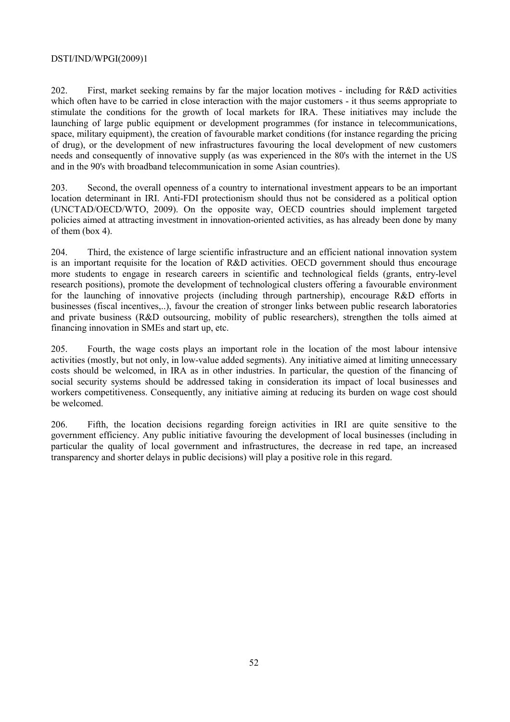202. First, market seeking remains by far the major location motives - including for R&D activities which often have to be carried in close interaction with the major customers - it thus seems appropriate to stimulate the conditions for the growth of local markets for IRA. These initiatives may include the launching of large public equipment or development programmes (for instance in telecommunications, space, military equipment), the creation of favourable market conditions (for instance regarding the pricing of drug), or the development of new infrastructures favouring the local development of new customers needs and consequently of innovative supply (as was experienced in the 80's with the internet in the US and in the 90's with broadband telecommunication in some Asian countries).

203. Second, the overall openness of a country to international investment appears to be an important location determinant in IRI. Anti-FDI protectionism should thus not be considered as a political option (UNCTAD/OECD/WTO, 2009). On the opposite way, OECD countries should implement targeted policies aimed at attracting investment in innovation-oriented activities, as has already been done by many of them (box 4).

204. Third, the existence of large scientific infrastructure and an efficient national innovation system is an important requisite for the location of R&D activities. OECD government should thus encourage more students to engage in research careers in scientific and technological fields (grants, entry-level research positions), promote the development of technological clusters offering a favourable environment for the launching of innovative projects (including through partnership), encourage R&D efforts in businesses (fiscal incentives,..), favour the creation of stronger links between public research laboratories and private business (R&D outsourcing, mobility of public researchers), strengthen the tolls aimed at financing innovation in SMEs and start up, etc.

205. Fourth, the wage costs plays an important role in the location of the most labour intensive activities (mostly, but not only, in low-value added segments). Any initiative aimed at limiting unnecessary costs should be welcomed, in IRA as in other industries. In particular, the question of the financing of social security systems should be addressed taking in consideration its impact of local businesses and workers competitiveness. Consequently, any initiative aiming at reducing its burden on wage cost should be welcomed.

206. Fifth, the location decisions regarding foreign activities in IRI are quite sensitive to the government efficiency. Any public initiative favouring the development of local businesses (including in particular the quality of local government and infrastructures, the decrease in red tape, an increased transparency and shorter delays in public decisions) will play a positive role in this regard.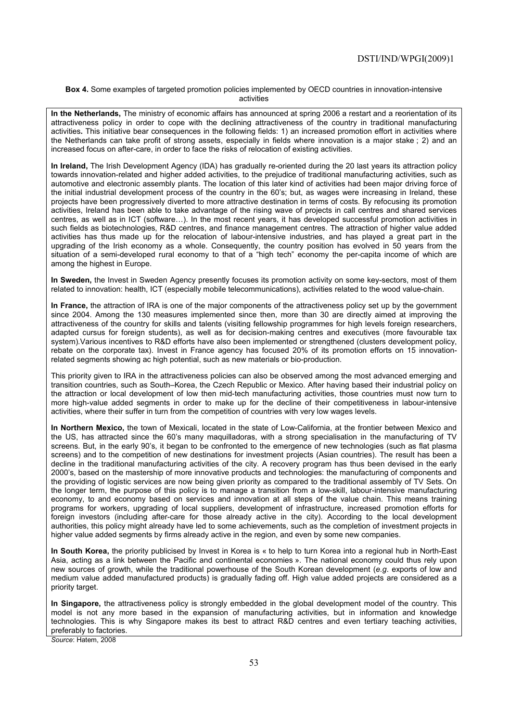#### **Box 4.** Some examples of targeted promotion policies implemented by OECD countries in innovation-intensive activities

**In the Netherlands,** The ministry of economic affairs has announced at spring 2006 a restart and a reorientation of its attractiveness policy in order to cope with the declining attractiveness of the country in traditional manufacturing activities**.** This initiative bear consequences in the following fields: 1) an increased promotion effort in activities where the Netherlands can take profit of strong assets, especially in fields where innovation is a major stake ; 2) and an increased focus on after-care, in order to face the risks of relocation of existing activities.

**In Ireland,** The Irish Development Agency (IDA) has gradually re-oriented during the 20 last years its attraction policy towards innovation-related and higher added activities, to the prejudice of traditional manufacturing activities, such as automotive and electronic assembly plants. The location of this later kind of activities had been major driving force of the initial industrial development process of the country in the 60's; but, as wages were increasing in Ireland, these projects have been progressively diverted to more attractive destination in terms of costs. By refocusing its promotion activities, Ireland has been able to take advantage of the rising wave of projects in call centres and shared services centres, as well as in ICT (software…). In the most recent years, it has developed successful promotion activities in such fields as biotechnologies, R&D centres, and finance management centres. The attraction of higher value added activities has thus made up for the relocation of labour-intensive industries, and has played a great part in the upgrading of the Irish economy as a whole. Consequently, the country position has evolved in 50 years from the situation of a semi-developed rural economy to that of a "high tech" economy the per-capita income of which are among the highest in Europe.

**In Sweden,** the Invest in Sweden Agency presently focuses its promotion activity on some key-sectors, most of them related to innovation: health, ICT (especially mobile telecommunications), activities related to the wood value-chain.

**In France,** the attraction of IRA is one of the major components of the attractiveness policy set up by the government since 2004. Among the 130 measures implemented since then, more than 30 are directly aimed at improving the attractiveness of the country for skills and talents (visiting fellowship programmes for high levels foreign researchers, adapted cursus for foreign students), as well as for decision-making centres and executives (more favourable tax system).Various incentives to R&D efforts have also been implemented or strengthened (clusters development policy, rebate on the corporate tax). Invest in France agency has focused 20% of its promotion efforts on 15 innovationrelated segments showing ac high potential, such as new materials or bio-production.

This priority given to IRA in the attractiveness policies can also be observed among the most advanced emerging and transition countries, such as South–Korea, the Czech Republic or Mexico. After having based their industrial policy on the attraction or local development of low then mid-tech manufacturing activities, those countries must now turn to more high-value added segments in order to make up for the decline of their competitiveness in labour-intensive activities, where their suffer in turn from the competition of countries with very low wages levels.

**In Northern Mexico,** the town of Mexicali, located in the state of Low-California, at the frontier between Mexico and the US, has attracted since the 60's many maquilladoras, with a strong specialisation in the manufacturing of TV screens. But, in the early 90's, it began to be confronted to the emergence of new technologies (such as flat plasma screens) and to the competition of new destinations for investment projects (Asian countries). The result has been a decline in the traditional manufacturing activities of the city. A recovery program has thus been devised in the early 2000's, based on the mastership of more innovative products and technologies: the manufacturing of components and the providing of logistic services are now being given priority as compared to the traditional assembly of TV Sets. On the longer term, the purpose of this policy is to manage a transition from a low-skill, labour-intensive manufacturing economy, to and economy based on services and innovation at all steps of the value chain. This means training programs for workers, upgrading of local suppliers, development of infrastructure, increased promotion efforts for foreign investors (including after-care for those already active in the city). According to the local development authorities, this policy might already have led to some achievements, such as the completion of investment projects in higher value added segments by firms already active in the region, and even by some new companies.

**In South Korea,** the priority publicised by Invest in Korea is « to help to turn Korea into a regional hub in North-East Asia, acting as a link between the Pacific and continental economies ». The national economy could thus rely upon new sources of growth, while the traditional powerhouse of the South Korean development (*e.g*. exports of low and medium value added manufactured products) is gradually fading off. High value added projects are considered as a priority target.

**In Singapore,** the attractiveness policy is strongly embedded in the global development model of the country. This model is not any more based in the expansion of manufacturing activities, but in information and knowledge technologies. This is why Singapore makes its best to attract R&D centres and even tertiary teaching activities, preferably to factories.

*Source*: Hatem, 2008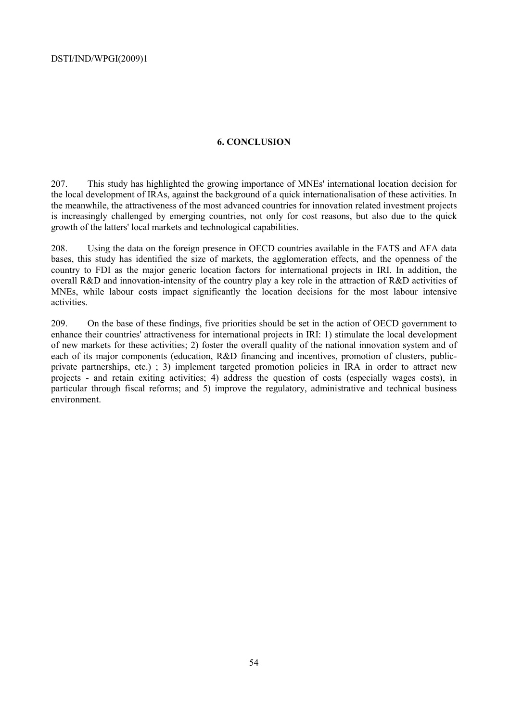### **6. CONCLUSION**

207. This study has highlighted the growing importance of MNEs' international location decision for the local development of IRAs, against the background of a quick internationalisation of these activities. In the meanwhile, the attractiveness of the most advanced countries for innovation related investment projects is increasingly challenged by emerging countries, not only for cost reasons, but also due to the quick growth of the latters' local markets and technological capabilities.

208. Using the data on the foreign presence in OECD countries available in the FATS and AFA data bases, this study has identified the size of markets, the agglomeration effects, and the openness of the country to FDI as the major generic location factors for international projects in IRI. In addition, the overall R&D and innovation-intensity of the country play a key role in the attraction of R&D activities of MNEs, while labour costs impact significantly the location decisions for the most labour intensive activities.

209. On the base of these findings, five priorities should be set in the action of OECD government to enhance their countries' attractiveness for international projects in IRI: 1) stimulate the local development of new markets for these activities; 2) foster the overall quality of the national innovation system and of each of its major components (education, R&D financing and incentives, promotion of clusters, publicprivate partnerships, etc.); 3) implement targeted promotion policies in IRA in order to attract new projects - and retain exiting activities; 4) address the question of costs (especially wages costs), in particular through fiscal reforms; and 5) improve the regulatory, administrative and technical business environment.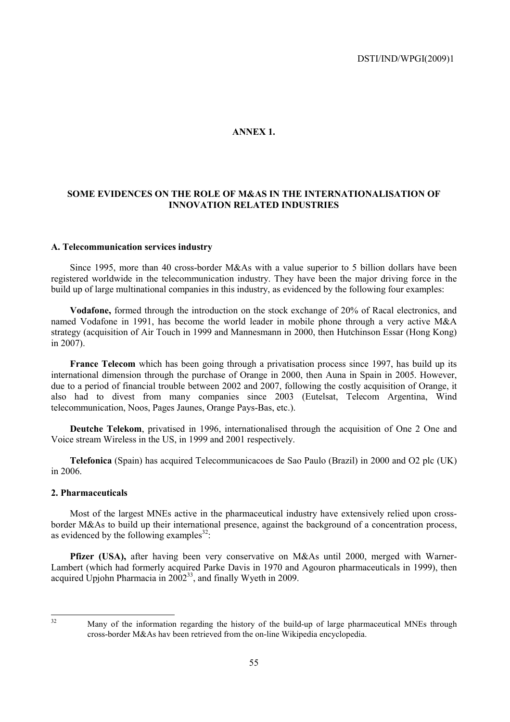#### **ANNEX 1.**

### **SOME EVIDENCES ON THE ROLE OF M&AS IN THE INTERNATIONALISATION OF INNOVATION RELATED INDUSTRIES**

#### **A. Telecommunication services industry**

Since 1995, more than 40 cross-border M&As with a value superior to 5 billion dollars have been registered worldwide in the telecommunication industry. They have been the major driving force in the build up of large multinational companies in this industry, as evidenced by the following four examples:

**Vodafone,** formed through the introduction on the stock exchange of 20% of Racal electronics, and named Vodafone in 1991, has become the world leader in mobile phone through a very active M&A strategy (acquisition of Air Touch in 1999 and Mannesmann in 2000, then Hutchinson Essar (Hong Kong) in 2007).

**France Telecom** which has been going through a privatisation process since 1997, has build up its international dimension through the purchase of Orange in 2000, then Auna in Spain in 2005. However, due to a period of financial trouble between 2002 and 2007, following the costly acquisition of Orange, it also had to divest from many companies since 2003 (Eutelsat, Telecom Argentina, Wind telecommunication, Noos, Pages Jaunes, Orange Pays-Bas, etc.).

**Deutche Telekom**, privatised in 1996, internationalised through the acquisition of One 2 One and Voice stream Wireless in the US, in 1999 and 2001 respectively.

**Telefonica** (Spain) has acquired Telecommunicacoes de Sao Paulo (Brazil) in 2000 and O2 plc (UK) in 2006.

#### **2. Pharmaceuticals**

Most of the largest MNEs active in the pharmaceutical industry have extensively relied upon crossborder M&As to build up their international presence, against the background of a concentration process, as evidenced by the following examples<sup>32</sup>:

Pfizer (USA), after having been very conservative on M&As until 2000, merged with Warner-Lambert (which had formerly acquired Parke Davis in 1970 and Agouron pharmaceuticals in 1999), then acquired Upjohn Pharmacia in  $2002^{33}$ , and finally Wyeth in 2009.

 $32$ 

Many of the information regarding the history of the build-up of large pharmaceutical MNEs through cross-border M&As hav been retrieved from the on-line Wikipedia encyclopedia.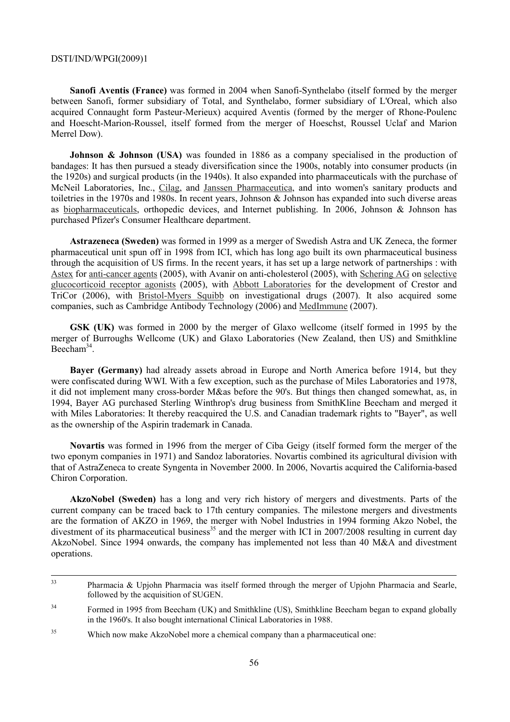**Sanofi Aventis (France)** was formed in 2004 when Sanofi-Synthelabo (itself formed by the merger between Sanofi, former subsidiary of Total, and Synthelabo, former subsidiary of L'Oreal, which also acquired Connaught form Pasteur-Merieux) acquired Aventis (formed by the merger of Rhone-Poulenc and Hoescht-Marion-Roussel, itself formed from the merger of Hoeschst, Roussel Uclaf and Marion Merrel Dow).

**Johnson & Johnson (USA)** was founded in 1886 as a company specialised in the production of bandages: It has then pursued a steady diversification since the 1900s, notably into consumer products (in the 1920s) and surgical products (in the 1940s). It also expanded into pharmaceuticals with the purchase of McNeil Laboratories, Inc., Cilag, and Janssen Pharmaceutica, and into women's sanitary products and toiletries in the 1970s and 1980s. In recent years, Johnson & Johnson has expanded into such diverse areas as biopharmaceuticals, orthopedic devices, and Internet publishing. In 2006, Johnson & Johnson has purchased Pfizer's Consumer Healthcare department.

**Astrazeneca (Sweden)** was formed in 1999 as a merger of Swedish Astra and UK Zeneca, the former pharmaceutical unit spun off in 1998 from ICI, which has long ago built its own pharmaceutical business through the acquisition of US firms. In the recent years, it has set up a large network of partnerships : with Astex for anti-cancer agents (2005), with Avanir on anti-cholesterol (2005), with Schering AG on selective glucocorticoid receptor agonists (2005), with Abbott Laboratories for the development of Crestor and TriCor (2006), with Bristol-Myers Squibb on investigational drugs (2007). It also acquired some companies, such as Cambridge Antibody Technology (2006) and MedImmune (2007).

**GSK (UK)** was formed in 2000 by the merger of Glaxo wellcome (itself formed in 1995 by the merger of Burroughs Wellcome (UK) and Glaxo Laboratories (New Zealand, then US) and Smithkline Beecham<sup>34</sup>.

**Bayer (Germany)** had already assets abroad in Europe and North America before 1914, but they were confiscated during WWI. With a few exception, such as the purchase of Miles Laboratories and 1978, it did not implement many cross-border M&as before the 90's. But things then changed somewhat, as, in 1994, Bayer AG purchased Sterling Winthrop's drug business from SmithKline Beecham and merged it with Miles Laboratories: It thereby reacquired the U.S. and Canadian trademark rights to "Bayer", as well as the ownership of the Aspirin trademark in Canada.

**Novartis** was formed in 1996 from the merger of Ciba Geigy (itself formed form the merger of the two eponym companies in 1971) and Sandoz laboratories. Novartis combined its agricultural division with that of AstraZeneca to create Syngenta in November 2000. In 2006, Novartis acquired the California-based Chiron Corporation.

**AkzoNobel (Sweden)** has a long and very rich history of mergers and divestments. Parts of the current company can be traced back to 17th century companies. The milestone mergers and divestments are the formation of AKZO in 1969, the merger with Nobel Industries in 1994 forming Akzo Nobel, the divestment of its pharmaceutical business<sup>35</sup> and the merger with ICI in 2007/2008 resulting in current day AkzoNobel. Since 1994 onwards, the company has implemented not less than 40 M&A and divestment operations.

<sup>&</sup>lt;sup>33</sup> Pharmacia & Upjohn Pharmacia was itself formed through the merger of Upjohn Pharmacia and Searle, followed by the acquisition of SUGEN.

<sup>&</sup>lt;sup>34</sup> Formed in 1995 from Beecham (UK) and Smithkline (US), Smithkline Beecham began to expand globally in the 1960's. It also bought international Clinical Laboratories in 1988.

<sup>35</sup> Which now make AkzoNobel more a chemical company than a pharmaceutical one: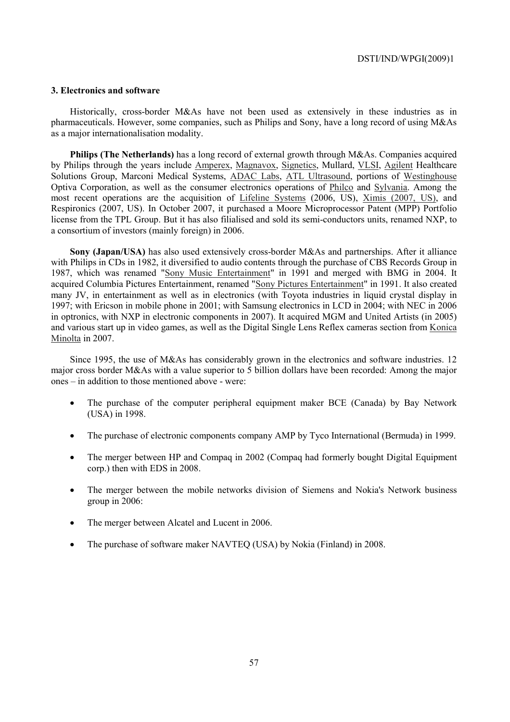#### **3. Electronics and software**

Historically, cross-border M&As have not been used as extensively in these industries as in pharmaceuticals. However, some companies, such as Philips and Sony, have a long record of using M&As as a major internationalisation modality.

**Philips (The Netherlands)** has a long record of external growth through M&As. Companies acquired by Philips through the years include Amperex, Magnavox, Signetics, Mullard, VLSI, Agilent Healthcare Solutions Group, Marconi Medical Systems, ADAC Labs, ATL Ultrasound, portions of Westinghouse Optiva Corporation, as well as the consumer electronics operations of Philco and Sylvania. Among the most recent operations are the acquisition of Lifeline Systems (2006, US), Ximis (2007, US), and Respironics (2007, US). In October 2007, it purchased a Moore Microprocessor Patent (MPP) Portfolio license from the TPL Group. But it has also filialised and sold its semi-conductors units, renamed NXP, to a consortium of investors (mainly foreign) in 2006.

**Sony (Japan/USA)** has also used extensively cross-border M&As and partnerships. After it alliance with Philips in CDs in 1982, it diversified to audio contents through the purchase of CBS Records Group in 1987, which was renamed "Sony Music Entertainment" in 1991 and merged with BMG in 2004. It acquired Columbia Pictures Entertainment, renamed "Sony Pictures Entertainment" in 1991. It also created many JV, in entertainment as well as in electronics (with Toyota industries in liquid crystal display in 1997; with Ericson in mobile phone in 2001; with Samsung electronics in LCD in 2004; with NEC in 2006 in optronics, with NXP in electronic components in 2007). It acquired MGM and United Artists (in 2005) and various start up in video games, as well as the Digital Single Lens Reflex cameras section from Konica Minolta in 2007.

Since 1995, the use of M&As has considerably grown in the electronics and software industries. 12 major cross border M&As with a value superior to 5 billion dollars have been recorded: Among the major ones – in addition to those mentioned above - were:

- The purchase of the computer peripheral equipment maker BCE (Canada) by Bay Network (USA) in 1998.
- The purchase of electronic components company AMP by Tyco International (Bermuda) in 1999.
- The merger between HP and Compaq in 2002 (Compaq had formerly bought Digital Equipment corp.) then with EDS in 2008.
- The merger between the mobile networks division of Siemens and Nokia's Network business group in 2006:
- The merger between Alcatel and Lucent in 2006.
- The purchase of software maker NAVTEQ (USA) by Nokia (Finland) in 2008.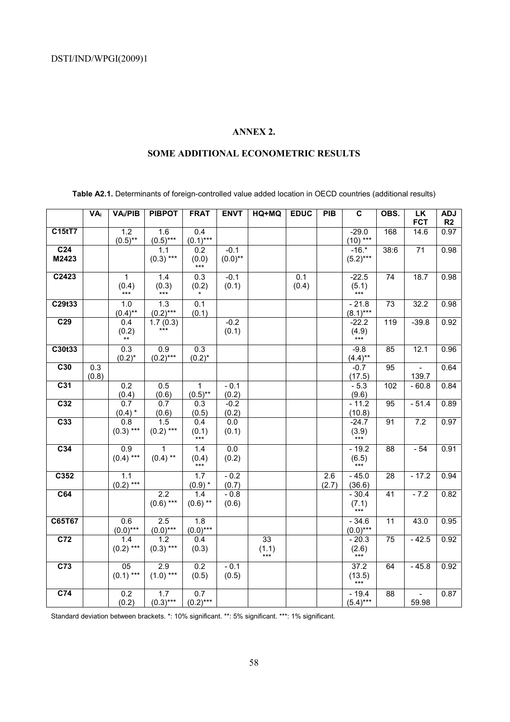## **ANNEX 2.**

### **SOME ADDITIONAL ECONOMETRIC RESULTS**

**Table A2.1.** Determinants of foreign-controlled value added location in OECD countries (additional results)

|                  | $\overline{VA_i}$ | VA <sub>i</sub> /PIB | <b>PIBPOT</b>           | <b>FRAT</b>        | <b>ENVT</b>      | HQ+MQ          | <b>EDUC</b> | PIB   | $\overline{\mathbf{c}}$                           | OBS.            | LK                       | <b>ADJ</b> |
|------------------|-------------------|----------------------|-------------------------|--------------------|------------------|----------------|-------------|-------|---------------------------------------------------|-----------------|--------------------------|------------|
|                  |                   |                      |                         |                    |                  |                |             |       |                                                   |                 | <b>FCT</b>               | R2         |
| C15tT7           |                   | 1.2<br>$(0.5)$ **    | 1.6<br>$(0.5)$ ***      | 0.4<br>$(0.1)$ *** |                  |                |             |       | $-29.0$<br>$(10)$ ***                             | 168             | 14.6                     | 0.97       |
| C <sub>24</sub>  |                   |                      | 1.1                     | 0.2                | $-0.1$           |                |             |       | $-16.*$                                           | 38:6            | $\overline{71}$          | 0.98       |
| M2423            |                   |                      | $(0.3)$ ***             | (0.0)<br>$***$     | $(0.0)$ **       |                |             |       | $(5.2)***$                                        |                 |                          |            |
| C2423            |                   | $\mathbf{1}$         | 1.4                     | 0.3                | $-0.1$           |                | 0.1         |       | $-22.5$                                           | 74              | 18.7                     | 0.98       |
|                  |                   | (0.4)<br>$***$       | (0.3)<br>$***$          | (0.2)              | (0.1)            |                | (0.4)       |       | $(\mathbf{5.1}) \\ast \ast \ast$                  |                 |                          |            |
| C29t33           |                   | 1.0                  | 1.3                     | 0.1                |                  |                |             |       | $-21.8$                                           | 73              | 32.2                     | 0.98       |
| C <sub>29</sub>  |                   | $(0.4)$ **<br>0.4    | $(0.2)$ ***<br>1.7(0.3) | (0.1)              | $-0.2$           |                |             |       | $(8.1)***$<br>$-22.2$                             | 119             | $-39.8$                  | 0.92       |
|                  |                   | (0.2)                | $***$                   |                    | (0.1)            |                |             |       | $\underset{***}{(4.9)}$                           |                 |                          |            |
|                  |                   | $***$                |                         |                    |                  |                |             |       |                                                   |                 |                          |            |
| C30t33           |                   | 0.3                  | 0.9                     | $\overline{0.3}$   |                  |                |             |       | $-9.8$                                            | 85              | 12.1                     | 0.96       |
| C30              | 0.3               | $(0.2)^{*}$          | $(0.2)***$              | $(0.2)^{*}$        |                  |                |             |       | $(4.4)$ **<br>$-0.7$                              | 95              | $\overline{\phantom{a}}$ | 0.64       |
|                  | (0.8)             |                      |                         |                    |                  |                |             |       | (17.5)                                            |                 | 139.7                    |            |
| $\overline{C31}$ |                   | 0.2                  | 0.5                     | 1                  | $-0.1$           |                |             |       | $-5.3$                                            | 102             | $-60.8$                  | 0.84       |
|                  |                   | (0.4)                | (0.6)                   | $(0.5)$ **         | (0.2)            |                |             |       | (9.6)                                             |                 |                          |            |
| C <sub>32</sub>  |                   | 0.7                  | 0.7                     | 0.3                | $-0.2$           |                |             |       | $-11.2$                                           | 95              | $-51.4$                  | 0.89       |
| C <sub>33</sub>  |                   | $(0.4)$ *<br>0.8     | (0.6)<br>1.5            | (0.5)<br>0.4       | (0.2)<br>$0.0\,$ |                |             |       | (10.8)<br>$-24.7$                                 | 91              | 7.2                      | 0.97       |
|                  |                   | $(0.3)$ ***          | $(0.2)$ ***             | (0.1)              | (0.1)            |                |             |       | (3.9)                                             |                 |                          |            |
|                  |                   |                      |                         | $***$              |                  |                |             |       | ***                                               |                 |                          |            |
| C <sub>34</sub>  |                   | 0.9                  | 1                       | 1.4                | 0.0              |                |             |       | $-19.2$                                           | 88              | $-54$                    | 0.91       |
|                  |                   | $(0.4)$ ***          | $(0.4)$ **              | (0.4)<br>$***$     | (0.2)            |                |             |       | $(\mathbf{6.5})$ ***                              |                 |                          |            |
| C352             |                   | 1.1                  |                         | 1.7                | $-0.2$           |                |             | 2.6   | $-45.0$                                           | 28              | $-17.2$                  | 0.94       |
|                  |                   | $(0.2)$ ***          |                         | $(0.9)$ *          | (0.7)            |                |             | (2.7) | (36.6)                                            |                 |                          |            |
| C64              |                   |                      | 2.2                     | 1.4                | $-0.8$           |                |             |       | $-30.4$                                           | 41              | $-7.2$                   | 0.82       |
|                  |                   |                      | $(0.6)$ ***             | $(0.6)$ **         | (0.6)            |                |             |       | (7.1)                                             |                 |                          |            |
| C65T67           |                   | 0.6                  | $\overline{2.5}$        | 1.8                |                  |                |             |       | $-34.6$                                           | 11              | 43.0                     | 0.95       |
|                  |                   | $(0.0)$ ***          | $(0.0)$ ***             | $(0.0)$ ***        |                  |                |             |       | $(0.0)$ ***                                       |                 |                          |            |
| C <sub>72</sub>  |                   | 1.4                  | 1.2                     | 0.4                |                  | 33             |             |       | $-20.3$                                           | 75              | $-42.5$                  | 0.92       |
|                  |                   | $(0.2)$ ***          | $(0.3)$ ***             | (0.3)              |                  | (1.1)<br>$***$ |             |       | (2.6)                                             |                 |                          |            |
| C <sub>73</sub>  |                   | $\overline{05}$      | $\overline{2.9}$        | $\overline{0.2}$   | $-0.1$           |                |             |       | $\overline{37.2}$                                 | 64              | $-45.8$                  | 0.92       |
|                  |                   | $(0.1)$ ***          | $(1.0)$ ***             | (0.5)              | (0.5)            |                |             |       | $(13.5)$ $\underset{***}{\scriptstyle\text{***}}$ |                 |                          |            |
| C <sub>74</sub>  |                   | 0.2                  | 1.7                     | 0.7                |                  |                |             |       | $-19.4$                                           | $\overline{88}$ |                          | 0.87       |
|                  |                   | (0.2)                | $(0.3)$ ***             | $(0.2)$ ***        |                  |                |             |       | $(5.4)***$                                        |                 | 59.98                    |            |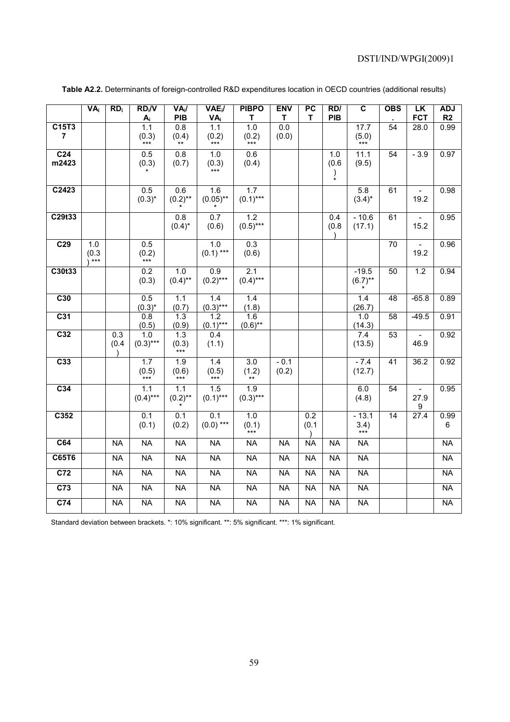|                          | <b>VA</b> <sub>i</sub>         | RD <sub>i</sub> | $RD_i/V$<br>$A_i$         | $VA_i/$<br>PIB                  | $VAE_i$<br>VAi        | <b>PIBPO</b><br>т                  | <b>ENV</b><br>т | PC<br>T                   | RD/<br>PIB                    | $\overline{\mathbf{c}}$  | <b>OBS</b>      | LK<br><b>FCT</b>         | <b>ADJ</b><br>R2 |
|--------------------------|--------------------------------|-----------------|---------------------------|---------------------------------|-----------------------|------------------------------------|-----------------|---------------------------|-------------------------------|--------------------------|-----------------|--------------------------|------------------|
| C15T3<br>$\overline{7}$  |                                |                 | 1.1<br>(0.3)<br>***       | 0.8<br>(0.4)<br>$^{\star\star}$ | 1.1<br>(0.2)<br>$***$ | 1.0<br>(0.2)<br>$***$              | 0.0<br>(0.0)    |                           |                               | 17.7<br>(5.0)<br>$***$   | $\overline{54}$ | 28.0                     | 0.99             |
| C <sub>24</sub><br>m2423 |                                |                 | 0.5<br>(0.3)              | 0.8<br>(0.7)                    | 1.0                   | 0.6<br>(0.4)                       |                 |                           | 1.0<br>(0.6)<br>$\frac{1}{1}$ | 11.1<br>(9.5)            | 54              | $-3.9$                   | 0.97             |
| C2423                    |                                |                 | 0.5<br>$(0.3)^*$          | 0.6<br>$(0.2)$ **               | 1.6<br>$(0.05)$ **    | 1.7<br>$(0.1)***$                  |                 |                           |                               | 5.8<br>$(3.4)^*$         | 61              | $\frac{1}{2}$<br>19.2    | 0.98             |
| C29t33                   |                                |                 |                           | 0.8<br>$(0.4)^*$                | 0.7<br>(0.6)          | 1.2<br>$(0.5)$ ***                 |                 |                           | 0.4<br>(0.8)                  | $-10.6$<br>(17.1)        | 61              | 15.2                     | 0.95             |
| C <sub>29</sub>          | 1.0<br>(0.3)<br>$^{\cdot}$ *** |                 | 0.5<br>(0.2)<br>***       |                                 | 1.0<br>$(0.1)$ ***    | 0.3<br>(0.6)                       |                 |                           |                               |                          | 70              | 19.2                     | 0.96             |
| C30t33                   |                                |                 | 0.2<br>(0.3)              | 1.0<br>$(0.4)$ **               | 0.9<br>$(0.2)$ ***    | 2.1<br>$(0.4)$ ***                 |                 |                           |                               | $-19.5$<br>$(6.7)$ **    | 50              | 1.2                      | 0.94             |
| C30                      |                                |                 | 0.5<br>$(0.3)^*$          | 1.1<br>(0.7)                    | 1.4<br>$(0.3)***$     | 1.4<br>(1.8)                       |                 |                           |                               | 1.4<br>(26.7)            | 48              | $-65.8$                  | 0.89             |
| C <sub>31</sub>          |                                |                 | 0.8<br>(0.5)              | 1.3<br>(0.9)                    | 1.2<br>$(0.1)***$     | 1.6<br>$(0.6)$ **                  |                 |                           |                               | 1.0<br>(14.3)            | $\overline{58}$ | $-49.5$                  | 0.91             |
| C <sub>32</sub>          |                                | 0.3<br>(0.4)    | 1.0<br>$(0.3)***$         | 1.3<br>(0.3)                    | 0.4<br>(1.1)          |                                    |                 |                           |                               | 7.4<br>(13.5)            | $\overline{53}$ | $\overline{a}$<br>46.9   | 0.92             |
| C <sub>33</sub>          |                                |                 | $\overline{1.7}$          | 1.9                             | 1.4                   | $\overline{3.0}$<br>(1.2)          | $-0.1$<br>(0.2) |                           |                               | $-7.4$<br>(12.7)         | 41              | 36.2                     | 0.92             |
| C <sub>34</sub>          |                                |                 | 1.1<br>$(0.4)$ ***        | 1.1<br>$(0.2)$ **               | 1.5<br>$(0.1)$ ***    | $\overline{1.9}$<br>$(0.3)***$     |                 |                           |                               | 6.0<br>(4.8)             | $\overline{54}$ | 27.9<br>$\boldsymbol{9}$ | 0.95             |
| C352                     |                                |                 | $\overline{0.1}$<br>(0.1) | $\overline{0.1}$<br>(0.2)       | 0.1<br>$(0.0)$ ***    | $\overline{1.0}$<br>(0.1)<br>$***$ |                 | 0.2<br>(0.1)<br>$\lambda$ |                               | $-13.1$<br>3.4)<br>$***$ | $\overline{14}$ | 27.4                     | 0.99<br>6        |
| C64                      |                                | <b>NA</b>       | <b>NA</b>                 | <b>NA</b>                       | <b>NA</b>             | <b>NA</b>                          | <b>NA</b>       | <b>NA</b>                 | <b>NA</b>                     | <b>NA</b>                |                 |                          | <b>NA</b>        |
| C65T6                    |                                | N <sub>A</sub>  | N <sub>A</sub>            | <b>NA</b>                       | N <sub>A</sub>        | <b>NA</b>                          | <b>NA</b>       | N <sub>A</sub>            | <b>NA</b>                     | <b>NA</b>                |                 |                          | N <sub>A</sub>   |
| C <sub>72</sub>          |                                | <b>NA</b>       | $\overline{NA}$           | <b>NA</b>                       | <b>NA</b>             | <b>NA</b>                          | <b>NA</b>       | <b>NA</b>                 | <b>NA</b>                     | <b>NA</b>                |                 |                          | <b>NA</b>        |
| C <sub>73</sub>          |                                | <b>NA</b>       | <b>NA</b>                 | <b>NA</b>                       | <b>NA</b>             | <b>NA</b>                          | <b>NA</b>       | <b>NA</b>                 | <b>NA</b>                     | <b>NA</b>                |                 |                          | <b>NA</b>        |
| C <sub>74</sub>          |                                | <b>NA</b>       | <b>NA</b>                 | <b>NA</b>                       | <b>NA</b>             | <b>NA</b>                          | <b>NA</b>       | <b>NA</b>                 | <b>NA</b>                     | <b>NA</b>                |                 |                          | <b>NA</b>        |

**Table A2.2.** Determinants of foreign-controlled R&D expenditures location in OECD countries (additional results)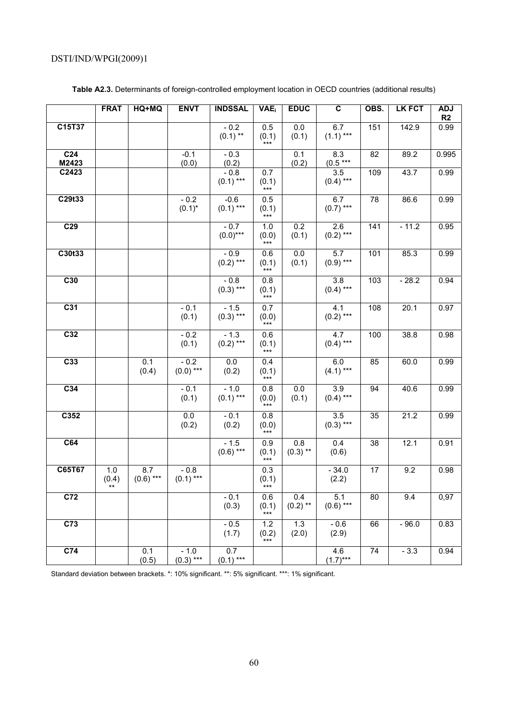|                          | <b>FRAT</b>        | HQ+MQ              | <b>ENVT</b>           | <b>INDSSAL</b>        | <b>VAE</b>            | <b>EDUC</b>               | $\overline{\mathbf{c}}$         | OBS. | <b>LK FCT</b> | <b>ADJ</b><br>R2 |
|--------------------------|--------------------|--------------------|-----------------------|-----------------------|-----------------------|---------------------------|---------------------------------|------|---------------|------------------|
| C15T37                   |                    |                    |                       | $-0.2$<br>$(0.1)$ **  | 0.5<br>(0.1)<br>***   | $\overline{0.0}$<br>(0.1) | 6.7<br>$(1.1)$ ***              | 151  | 142.9         | 0.99             |
| C <sub>24</sub><br>M2423 |                    |                    | $-0.1$<br>(0.0)       | $-0.3$<br>(0.2)       |                       | 0.1<br>(0.2)              | 8.3<br>$(0.5***$                | 82   | 89.2          | 0.995            |
| C2423                    |                    |                    |                       | $-0.8$<br>$(0.1)$ *** | 0.7<br>(0.1)<br>***   |                           | 3.5<br>$(0.4)$ ***              | 109  | 43.7          | 0.99             |
| C29t33                   |                    |                    | $-0.2$<br>$(0.1)^*$   | $-0.6$<br>$(0.1)$ *** | 0.5<br>(0.1)<br>$***$ |                           | 6.7<br>$(0.7)$ ***              | 78   | 86.6          | 0.99             |
| C <sub>29</sub>          |                    |                    |                       | $-0.7$<br>$(0.0)$ *** | 1.0<br>(0.0)<br>$***$ | 0.2<br>(0.1)              | 2.6<br>$(0.2)$ ***              | 141  | $-11.2$       | 0.95             |
| C30t33                   |                    |                    |                       | $-0.9$<br>$(0.2)$ *** | 0.6<br>(0.1)<br>$***$ | 0.0<br>(0.1)              | $\overline{5.7}$<br>$(0.9)$ *** | 101  | 85.3          | 0.99             |
| C30                      |                    |                    |                       | $-0.8$<br>$(0.3)$ *** | 0.8<br>(0.1)<br>$***$ |                           | $\overline{3.8}$<br>$(0.4)$ *** | 103  | $-28.2$       | 0.94             |
| C <sub>31</sub>          |                    |                    | $-0.1$<br>(0.1)       | $-1.5$<br>$(0.3)$ *** | 0.7<br>(0.0)<br>$***$ |                           | 4.1<br>$(0.2)$ ***              | 108  | 20.1          | 0.97             |
| C <sub>32</sub>          |                    |                    | $-0.2$<br>(0.1)       | $-1.3$<br>$(0.2)$ *** | 0.6<br>(0.1)<br>$***$ |                           | 4.7<br>$(0.4)$ ***              | 100  | 38.8          | 0.98             |
| $\overline{C33}$         |                    | 0.1<br>(0.4)       | $-0.2$<br>$(0.0)$ *** | 0.0<br>(0.2)          | 0.4<br>(0.1)<br>$***$ |                           | 6.0<br>$(4.1)$ ***              | 85   | 60.0          | 0.99             |
| C <sub>34</sub>          |                    |                    | $-0.1$<br>(0.1)       | $-1.0$<br>$(0.1)$ *** | 0.8<br>(0.0)<br>$***$ | 0.0<br>(0.1)              | $\overline{3.9}$<br>$(0.4)$ *** | 94   | 40.6          | 0.99             |
| C352                     |                    |                    | 0.0<br>(0.2)          | $-0.1$<br>(0.2)       | 0.8<br>(0.0)<br>$***$ |                           | $\overline{3.5}$<br>$(0.3)$ *** | 35   | 21.2          | 0.99             |
| C64                      |                    |                    |                       | $-1.5$<br>$(0.6)$ *** | 0.9<br>(0.1)<br>$***$ | 0.8<br>$(0.3)$ **         | 0.4<br>(0.6)                    | 38   | 12.1          | 0.91             |
| C65T67                   | 1.0<br>(0.4)<br>** | 8.7<br>$(0.6)$ *** | $-0.8$<br>$(0.1)$ *** |                       | 0.3<br>(0.1)<br>***   |                           | $-34.0$<br>(2.2)                | 17   | 9.2           | 0.98             |
| C <sub>72</sub>          |                    |                    |                       | $-0.1$<br>(0.3)       | 0.6<br>(0.1)<br>***   | 0.4<br>$(0.2)$ **         | 5.1<br>$(0.6)$ ***              | 80   | 9.4           | 0,97             |
| C <sub>73</sub>          |                    |                    |                       | $-0.5$<br>(1.7)       | 1.2<br>(0.2)<br>$***$ | 1.3<br>(2.0)              | $-0.6$<br>(2.9)                 | 66   | $-96.0$       | 0.83             |
| C <sub>74</sub>          |                    | 0.1<br>(0.5)       | $-1.0$<br>$(0.3)$ *** | 0.7<br>$(0.1)$ ***    |                       |                           | 4.6<br>$(1.7)***$               | 74   | $-3.3$        | 0.94             |

**Table A2.3.** Determinants of foreign-controlled employment location in OECD countries (additional results)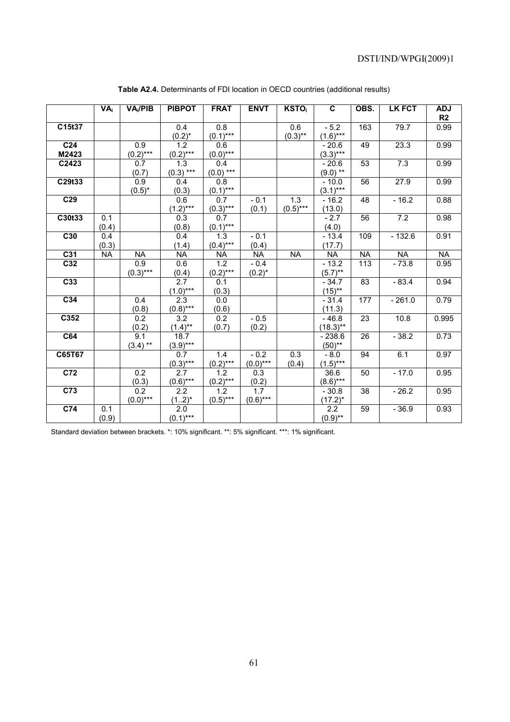|                  | $VA_i$    | VA <sub>i</sub> /PIB | <b>PIBPOT</b>    | <b>FRAT</b>               | <b>ENVT</b>      | <b>KSTO</b>      | C                | OBS.             | <b>LK FCT</b> | <b>ADJ</b><br>R2 |
|------------------|-----------|----------------------|------------------|---------------------------|------------------|------------------|------------------|------------------|---------------|------------------|
| C15t37           |           |                      | 0.4              | 0.8                       |                  | 0.6              | $-5.2$           | 163              | 79.7          | 0.99             |
|                  |           |                      | $(0.2)^{*}$      | $(0.1)***$                |                  | $(0.3)$ **       | $(1.6)***$       |                  |               |                  |
| C <sub>24</sub>  |           | 0.9                  | $\overline{1.2}$ | 0.6                       |                  |                  | $-20.6$          | 49               | 23.3          | 0.99             |
| M2423            |           | $(0.2)***$           | $(0.2)$ ***      | $(0.0)$ ***               |                  |                  | $(3.3)***$       |                  |               |                  |
| C2423            |           | 0.7                  | 1.3              | 0.4                       |                  |                  | $-20.6$          | 53               | 7.3           | 0.99             |
|                  |           | (0.7)                | $(0.3)$ ***      | $(0.0)$ ***               |                  |                  | $(9.0)$ **       |                  |               |                  |
| C29t33           |           | 0.9                  | 0.4              | 0.8                       |                  |                  | $-10.0$          | 56               | 27.9          | 0.99             |
|                  |           | $(0.5)^*$            | (0.3)            | $(0.1)$ ***               |                  |                  | $(3.1)***$       |                  |               |                  |
| C <sub>29</sub>  |           |                      | 0.6              | 0.7                       | $-0.1$           | 1.3              | $-16.2$          | $\overline{48}$  | $-16.2$       | 0.88             |
|                  |           |                      | $(1.2)***$       | $(0.3)***$                | (0.1)            | $(0.5)$ ***      | (13.0)           |                  |               |                  |
| C30t33           | 0.1       |                      | 0.3              | 0.7                       |                  |                  | $-2.7$           | $\overline{56}$  | 7.2           | 0.98             |
|                  | (0.4)     |                      | (0.8)            | $(0.1)$ ***               |                  |                  | (4.0)            |                  |               |                  |
| C30              | 0.4       |                      | 0.4              | 1.3                       | $-0.1$           |                  | $-13.4$          | 109              | $-132.6$      | 0.91             |
|                  | (0.3)     |                      | (1.4)            | $(0.4)$ ***               | (0.4)            |                  | (17.7)           |                  |               |                  |
| C31              | <b>NA</b> | <b>NA</b>            | $\overline{NA}$  | <b>NA</b>                 | <b>NA</b>        | <b>NA</b>        | <b>NA</b>        | <b>NA</b>        | <b>NA</b>     | <b>NA</b>        |
| C <sub>32</sub>  |           | 0.9                  | 0.6              | 1.2                       | $-0.4$           |                  | $-13.2$          | $\overline{113}$ | $-73.8$       | 0.95             |
|                  |           | $(0.3)$ ***          | (0.4)            | $(0.2)$ ***               | $(0.2)^{*}$      |                  | $(5.7)$ **       |                  |               |                  |
| C <sub>33</sub>  |           |                      | $\overline{2.7}$ | 0.1                       |                  |                  | $-34.7$          | 83               | $-83.4$       | 0.94             |
|                  |           |                      | $(1.0)$ ***      | (0.3)                     |                  |                  | $(15)$ **        |                  |               |                  |
| C <sub>34</sub>  |           | 0.4                  | 2.3              | 0.0                       |                  |                  | $-31.4$          | 177              | $-261.0$      | 0.79             |
|                  |           | (0.8)                | $(0.8)$ ***      | (0.6)                     |                  |                  | (11.3)           |                  |               |                  |
| C352             |           | $\overline{0.2}$     | $\overline{3.2}$ | $\overline{0.2}$          | $-0.5$           |                  | $-46.8$          | $\overline{23}$  | 10.8          | 0.995            |
|                  |           | (0.2)                | $(1.4)$ **       | (0.7)                     | (0.2)            |                  | $(18.3)$ **      |                  |               |                  |
| C64              |           | $\overline{9.1}$     | 18.7             |                           |                  |                  | $-238.6$         | 26               | $-38.2$       | 0.73             |
|                  |           | $(3.4)$ **           | $(3.9)***$       |                           |                  |                  | $(50)$ **        |                  |               |                  |
| C65T67           |           |                      | 0.7              | 1.4                       | $-0.2$           | $\overline{0.3}$ | $-8.0$           | 94               | 6.1           | 0.97             |
|                  |           |                      | $(0.3)***$       | $\frac{(0.2)^{***}}{1.2}$ | $(0.0)$ ***      | (0.4)            | $(1.5)***$       |                  |               |                  |
| $\overline{C72}$ |           | 0.2                  | 2.7              |                           | 0.3              |                  | 36.6             | 50               | $-17.0$       | 0.95             |
|                  |           | (0.3)                | $(0.6)$ ***      | $\frac{(0.2)^{***}}{1.2}$ | (0.2)            |                  | $(8.6)***$       |                  |               |                  |
| C <sub>73</sub>  |           | 0.2                  | 2.2              |                           | $\overline{1.7}$ |                  | $-30.8$          | 38               | $-26.2$       | 0.95             |
|                  |           | $(0.0)$ ***          | $(12)^{*}$       | $(0.5)$ ***               | $(0.6)$ ***      |                  | $(17.2)^*$       |                  |               |                  |
| C <sub>74</sub>  | 0.1       |                      | $\overline{2.0}$ |                           |                  |                  | $\overline{2.2}$ | 59               | $-36.9$       | 0.93             |
|                  | (0.9)     |                      | $(0.1)$ ***      |                           |                  |                  | $(0.9)$ **       |                  |               |                  |

**Table A2.4.** Determinants of FDI location in OECD countries (additional results)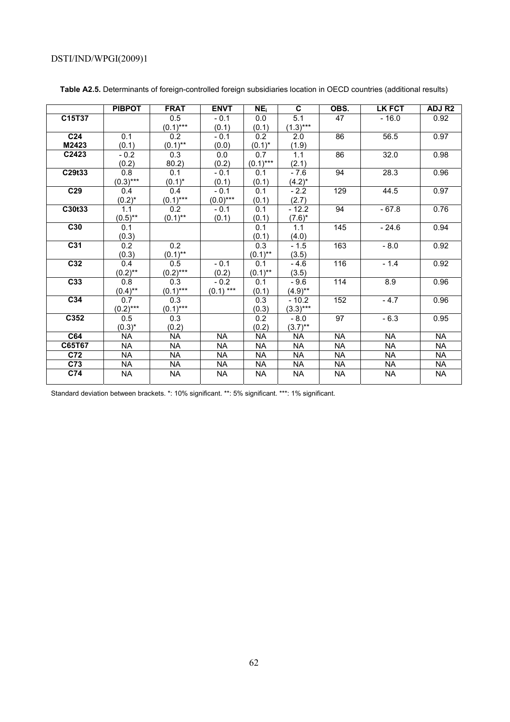|                 | <b>PIBPOT</b>    | <b>FRAT</b>      | <b>ENVT</b> | NE <sub>i</sub> | C          | OBS.      | <b>LK FCT</b> | ADJ R <sub>2</sub> |
|-----------------|------------------|------------------|-------------|-----------------|------------|-----------|---------------|--------------------|
| C15T37          |                  | 0.5              | $-0.1$      | 0.0             | 5.1        | 47        | $-16.0$       | 0.92               |
|                 |                  | $(0.1)$ ***      | (0.1)       | (0.1)           | $(1.3)***$ |           |               |                    |
| C <sub>24</sub> | 0.1              | 0.2              | $-0.1$      | 0.2             | 2.0        | 86        | 56.5          | 0.97               |
| M2423           | (0.1)            | $(0.1)$ **       | (0.0)       | $(0.1)^*$       | (1.9)      |           |               |                    |
| C2423           | $-0.2$           | 0.3              | 0.0         | 0.7             | 1.1        | 86        | 32.0          | 0.98               |
|                 | (0.2)            | 80.2)            | (0.2)       | $(0.1)***$      | (2.1)      |           |               |                    |
| C29t33          | $0.\overline{8}$ | 0.1              | $-0.1$      | 0.1             | $-7.6$     | 94        | 28.3          | 0.96               |
|                 | $(0.3)***$       | $(0.1)^*$        | (0.1)       | (0.1)           | $(4.2)^*$  |           |               |                    |
| C <sub>29</sub> | 0.4              | 0.4              | $-0.1$      | 0.1             | $-2.2$     | 129       | 44.5          | 0.97               |
|                 | $(0.2)^{*}$      | $(0.1)$ ***      | $(0.0)$ *** | (0.1)           | (2.7)      |           |               |                    |
| C30t33          | 1.1              | $\overline{0.2}$ | $-0.1$      | 0.1             | $-12.2$    | 94        | $-67.8$       | 0.76               |
|                 | $(0.5)$ **       | $(0.1)$ **       | (0.1)       | (0.1)           | $(7.6)^*$  |           |               |                    |
| C30             | 0.1              |                  |             | 0.1             | 1.1        | 145       | $-24.6$       | 0.94               |
|                 | (0.3)            |                  |             | (0.1)           | (4.0)      |           |               |                    |
| C <sub>31</sub> | 0.2              | 0.2              |             | 0.3             | $-1.5$     | 163       | $-8.0$        | 0.92               |
|                 | (0.3)            | $(0.1)$ **       |             | $(0.1)$ **      | (3.5)      |           |               |                    |
| C32             | 0.4              | $0.\overline{5}$ | $-0.1$      | 0.1             | $-4.6$     | 116       | $-1.4$        | 0.92               |
|                 | $(0.2)$ **       | $(0.2)***$       | (0.2)       | $(0.1)$ **      | (3.5)      |           |               |                    |
| C <sub>33</sub> | 0.8              | $\overline{0.3}$ | $-0.2$      | 0.1             | $-9.6$     | 114       | 8.9           | 0.96               |
|                 | $(0.4)$ **       | $(0.1***$        | $(0.1)$ *** | (0.1)           | $(4.9)$ ** |           |               |                    |
| C34             | 0.7              | $\overline{0.3}$ |             | 0.3             | $-10.2$    | 152       | $-4.7$        | 0.96               |
|                 | $(0.2)$ ***      | $(0.1)$ ***      |             | (0.3)           | $(3.3)***$ |           |               |                    |
| C352            | 0.5              | 0.3              |             | 0.2             | $-8.0$     | 97        | $-6.3$        | 0.95               |
|                 | $(0.3)^*$        | (0.2)            |             | (0.2)           | $(3.7)$ ** |           |               |                    |
| C64             | <b>NA</b>        | <b>NA</b>        | <b>NA</b>   | <b>NA</b>       | <b>NA</b>  | <b>NA</b> | <b>NA</b>     | <b>NA</b>          |
| C65T67          | <b>NA</b>        | <b>NA</b>        | <b>NA</b>   | <b>NA</b>       | <b>NA</b>  | <b>NA</b> | <b>NA</b>     | <b>NA</b>          |
| C72             | <b>NA</b>        | <b>NA</b>        | <b>NA</b>   | <b>NA</b>       | <b>NA</b>  | <b>NA</b> | <b>NA</b>     | <b>NA</b>          |
| C73             | <b>NA</b>        | <b>NA</b>        | <b>NA</b>   | <b>NA</b>       | <b>NA</b>  | <b>NA</b> | <b>NA</b>     | <b>NA</b>          |
| C74             | <b>NA</b>        | <b>NA</b>        | <b>NA</b>   | <b>NA</b>       | <b>NA</b>  | <b>NA</b> | <b>NA</b>     | <b>NA</b>          |
|                 |                  |                  |             |                 |            |           |               |                    |

**Table A2.5.** Determinants of foreign-controlled foreign subsidiaries location in OECD countries (additional results)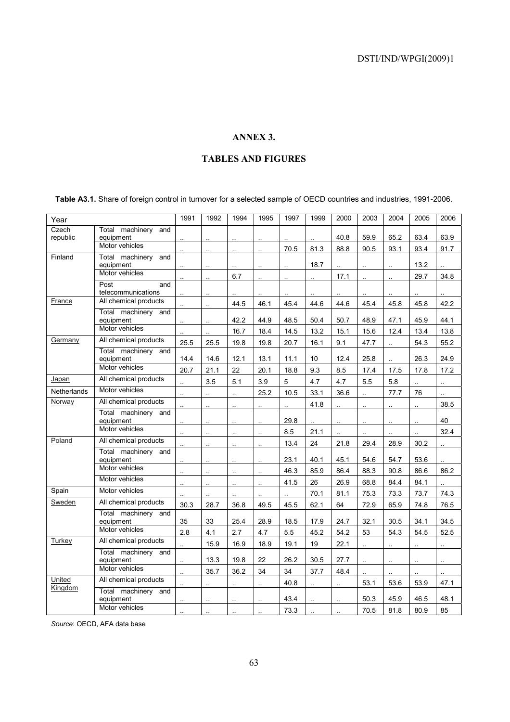# **ANNEX 3.**

# **TABLES AND FIGURES**

**Table A3.1.** Share of foreign control in turnover for a selected sample of OECD countries and industries, 1991-2006.

| Year        |                                  | 1991                        | 1992                        | 1994                        | 1995                        | 1997                 | 1999                        | 2000 | 2003                        | 2004                 | 2005 | 2006               |
|-------------|----------------------------------|-----------------------------|-----------------------------|-----------------------------|-----------------------------|----------------------|-----------------------------|------|-----------------------------|----------------------|------|--------------------|
| Czech       | Total machinery and              |                             |                             |                             |                             |                      |                             |      |                             |                      |      |                    |
| republic    | equipment<br>Motor vehicles      | аń.                         | $\sim$                      | $\sim$                      | $\mathcal{L}_{\mathcal{A}}$ | $\ddot{\phantom{a}}$ |                             | 40.8 | 59.9                        | 65.2                 | 63.4 | 63.9               |
| Finland     | Total machinery and              |                             |                             |                             |                             | 70.5                 | 81.3                        | 88.8 | 90.5                        | 93.1                 | 93.4 | 91.7               |
|             | equipment                        | $\ddot{\phantom{a}}$        | $\ddot{\phantom{a}}$        |                             |                             | ä,                   | 18.7                        |      | ä,                          | à.                   | 13.2 |                    |
|             | Motor vehicles                   | $\ddot{\phantom{1}}$        | $\mathcal{L}_{\mathcal{A}}$ | 6.7                         | $\ddot{\phantom{a}}$        | ä.                   | $\mathcal{L}_{\mathcal{A}}$ | 17.1 | $\mathbf{r}$                | $\ddot{\phantom{1}}$ | 29.7 | 34.8               |
|             | Post<br>and                      |                             |                             |                             |                             |                      |                             |      |                             |                      |      |                    |
|             | telecommunications               |                             |                             |                             |                             |                      |                             |      |                             |                      |      |                    |
| France      | All chemical products            | à.                          | $\mathcal{L}_{\mathcal{A}}$ | 44.5                        | 46.1                        | 45.4                 | 44.6                        | 44.6 | 45.4                        | 45.8                 | 45.8 | 42.2               |
|             | Total machinery and<br>equipment | $\ddot{\phantom{1}}$        | $\mathcal{L}_{\mathcal{A}}$ | 42.2                        | 44.9                        | 48.5                 | 50.4                        | 50.7 | 48.9                        | 47.1                 | 45.9 | 44.1               |
|             | Motor vehicles                   |                             | $\ddotsc$                   | 16.7                        | 18.4                        | 14.5                 | 13.2                        | 15.1 | 15.6                        | 12.4                 | 13.4 | 13.8               |
| Germany     | All chemical products            | 25.5                        | 25.5                        | 19.8                        | 19.8                        | 20.7                 | 16.1                        | 9.1  | 47.7                        | à.                   | 54.3 | 55.2               |
|             | Total machinery and              |                             |                             |                             |                             |                      |                             |      |                             |                      |      |                    |
|             | equipment                        | 14.4                        | 14.6                        | 12.1                        | 13.1                        | 11.1                 | 10                          | 12.4 | 25.8                        | à.                   | 26.3 | 24.9               |
|             | Motor vehicles                   | 20.7                        | 21.1                        | 22                          | 20.1                        | 18.8                 | 9.3                         | 8.5  | 17.4                        | 17.5                 | 17.8 | 17.2               |
| Japan       | All chemical products            |                             | 3.5                         | 5.1                         | 3.9                         | 5                    | 4.7                         | 4.7  | 5.5                         | 5.8                  |      | $\sim$             |
| Netherlands | Motor vehicles                   | $\ddot{\phantom{a}}$        |                             | $\sim$                      | 25.2                        | 10.5                 | 33.1                        | 36.6 | $\ddot{\phantom{a}}$        | 77.7                 | 76   | $\sim$             |
| Norway      | All chemical products            | ä,                          |                             |                             | $\sim$                      | $\ddot{\phantom{a}}$ | 41.8                        |      | ÷.                          |                      |      | 38.5               |
|             | Total machinery and              |                             |                             |                             |                             |                      |                             |      |                             |                      |      |                    |
|             | equipment<br>Motor vehicles      | $\ddot{\phantom{a}}$        |                             |                             | $\ddot{\phantom{a}}$        | 29.8                 |                             |      | $\ddotsc$                   |                      |      | 40                 |
| Poland      | All chemical products            | $\ddot{\phantom{1}}$        | $\ddot{\phantom{a}}$        | ä,                          | $\ddotsc$                   | 8.5                  | 21.1                        |      |                             |                      |      | 32.4               |
|             | Total machinery and              | $\mathbf{r}$ .              | $\mathbf{r}$ .              | $\sim$                      | $\ddot{\phantom{a}}$        | 13.4                 | 24                          | 21.8 | 29.4                        | 28.9                 | 30.2 | $\sim$             |
|             | equipment                        | $\ddot{\phantom{a}}$        | $\ddot{\phantom{a}}$        | $\mathcal{L}_{\mathcal{A}}$ |                             | 23.1                 | 40.1                        | 45.1 | 54.6                        | 54.7                 | 53.6 |                    |
|             | Motor vehicles                   | $\ddot{\phantom{1}}$        | $\bar{\mathbf{r}}$          | $\bar{\Omega}$              | $\ddot{\phantom{1}}$        | 46.3                 | 85.9                        | 86.4 | 88.3                        | 90.8                 | 86.6 | 86.2               |
|             | Motor vehicles                   | $\mathbf{r}$ .              | $\sim$                      | $\sim$                      | $\sim$                      | 41.5                 | 26                          | 26.9 | 68.8                        | 84.4                 | 84.1 | $\bar{\mathbf{r}}$ |
| Spain       | Motor vehicles                   |                             |                             |                             |                             |                      | 70.1                        | 81.1 | 75.3                        | 73.3                 | 73.7 | 74.3               |
| Sweden      | All chemical products            | 30.3                        | 28.7                        | 36.8                        | 49.5                        | 45.5                 | 62.1                        | 64   | 72.9                        | 65.9                 | 74.8 | 76.5               |
|             | Total machinery and              |                             |                             |                             |                             |                      |                             |      |                             |                      |      |                    |
|             | equipment                        | 35                          | 33                          | 25.4                        | 28.9                        | 18.5                 | 17.9                        | 24.7 | 32.1                        | 30.5                 | 34.1 | 34.5               |
|             | Motor vehicles                   | 2.8                         | 4.1                         | 2.7                         | 4.7                         | 5.5                  | 45.2                        | 54.2 | 53                          | 54.3                 | 54.5 | 52.5               |
| Turkey      | All chemical products            | Ω.                          | 15.9                        | 16.9                        | 18.9                        | 19.1                 | 19                          | 22.1 | $\mathcal{L}_{\mathcal{A}}$ | $\ddot{\phantom{1}}$ | Ω.   | $\sim$             |
|             | Total machinery and              |                             | 13.3                        | 19.8                        | 22                          | 26.2                 | 30.5                        | 27.7 |                             |                      |      |                    |
|             | equipment<br>Motor vehicles      | $\mathcal{L}_{\mathcal{A}}$ |                             |                             |                             |                      |                             |      | аś.                         | $\ddot{\phantom{1}}$ | Ω.   | $\sim$             |
| United      | All chemical products            | $\mathbf{r}$ .              | 35.7                        | 36.2                        | 34                          | 34                   | 37.7                        | 48.4 |                             |                      |      |                    |
| Kingdom     | Total machinery and              | $\sim$                      | $\mathbf{r}$                |                             | $\ddot{\phantom{a}}$        | 40.8                 | a.                          | ä,   | 53.1                        | 53.6                 | 53.9 | 47.1               |
|             | equipment                        |                             |                             |                             |                             | 43.4                 |                             |      | 50.3                        | 45.9                 | 46.5 | 48.1               |
|             | Motor vehicles                   |                             |                             |                             |                             | 73.3                 |                             |      | 70.5                        | 81.8                 | 80.9 | 85                 |

*Source*: OECD, AFA data base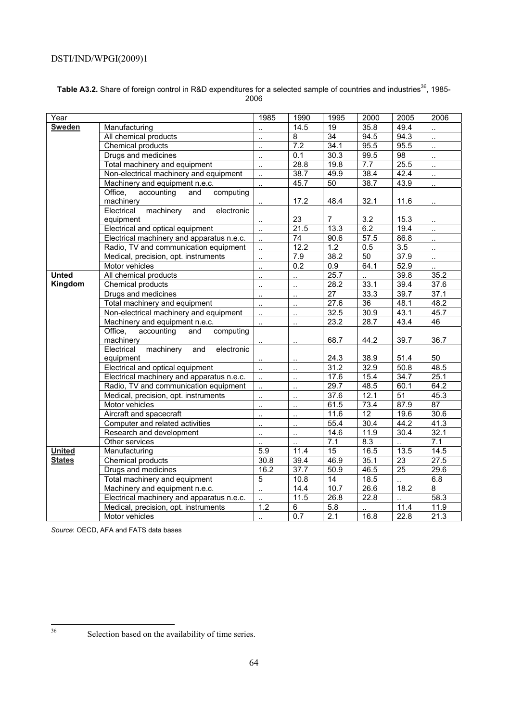#### Table A3.2. Share of foreign control in R&D expenditures for a selected sample of countries and industries<sup>36</sup>, 1985-2006

| Year          |                                              | 1985                 | 1990                 | 1995             | 2000      | 2005              | 2006                        |
|---------------|----------------------------------------------|----------------------|----------------------|------------------|-----------|-------------------|-----------------------------|
| <b>Sweden</b> | Manufacturing                                |                      | 14.5                 | 19               | 35.8      | 49.4              |                             |
|               | All chemical products                        | $\ddotsc$            | $\overline{8}$       | 34               | 94.5      | 94.3              | $\ddotsc$                   |
|               | Chemical products                            | $\ddotsc$            | 7.2                  | 34.1             | 95.5      | 95.5              | $\mathbb{R}^2$              |
|               | Drugs and medicines                          | Ω,                   | 0.1                  | 30.3             | 99.5      | $\overline{98}$   | $\ddotsc$                   |
|               | Total machinery and equipment                | $\ddotsc$            | 28.8                 | 19.8             | 7.7       | 25.5              | $\ddotsc$                   |
|               | Non-electrical machinery and equipment       | $\ddotsc$            | 38.7                 | 49.9             | 38.4      | 42.4              | $\mathcal{L}_{\mathcal{A}}$ |
|               | Machinery and equipment n.e.c.               | $\ddotsc$            | 45.7                 | 50               | 38.7      | 43.9              | $\ddot{\phantom{1}}$        |
|               | Office,<br>accounting<br>computing<br>and    |                      |                      |                  |           |                   |                             |
|               | machinery                                    |                      | 17.2                 | 48.4             | 32.1      | 11.6              |                             |
|               | machinery<br>electronic<br>Electrical<br>and |                      |                      |                  |           |                   |                             |
|               | equipment                                    | $\ddotsc$            | 23                   | $\overline{7}$   | 3.2       | 15.3              |                             |
|               | Electrical and optical equipment             | $\ddot{\phantom{a}}$ | 21.5                 | 13.3             | 6.2       | 19.4              | $\mathbb{R}^2$              |
|               | Electrical machinery and apparatus n.e.c.    | $\ddotsc$            | $\overline{74}$      | 90.6             | 57.5      | 86.8              | $\ddot{\phantom{a}}$        |
|               | Radio, TV and communication equipment        | $\ddotsc$            | $\overline{12.2}$    | $\overline{1.2}$ | 0.5       | $\overline{3.5}$  | $\mathcal{L}_{\mathcal{A}}$ |
|               | Medical, precision, opt. instruments         | ă,                   | 7.9                  | 38.2             | 50        | $\overline{37.9}$ | $\mathbb{Z}^2$              |
|               | Motor vehicles                               | $\ddotsc$            | 0.2                  | 0.9              | 64.1      | 52.9              | $\ddotsc$                   |
| <b>Unted</b>  | All chemical products                        | $\ddotsc$            | ă.                   | 25.7             | $\ddotsc$ | 39.8              | 35.2                        |
| Kingdom       | Chemical products                            | $\ddotsc$            | $\ddotsc$            | 28.2             | 33.1      | 39.4              | 37.6                        |
|               | Drugs and medicines                          | $\ddotsc$            | $\ddotsc$            | $\overline{27}$  | 33.3      | 39.7              | 37.1                        |
|               | Total machinery and equipment                | $\ddotsc$            |                      | 27.6             | 36        | 48.1              | 48.2                        |
|               | Non-electrical machinery and equipment       | $\ddotsc$            | $\ddot{\phantom{a}}$ | 32.5             | 30.9      | 43.1              | 45.7                        |
|               | Machinery and equipment n.e.c.               | $\ddot{\phantom{a}}$ | ä.                   | 23.2             | 28.7      | 43.4              | 46                          |
|               | Office,<br>accounting<br>and<br>computing    |                      |                      |                  |           |                   |                             |
|               | machinery                                    | $\cdot$ .            |                      | 68.7             | 44.2      | 39.7              | 36.7                        |
|               | machinery<br>Electrical<br>and<br>electronic |                      |                      |                  |           |                   |                             |
|               | equipment                                    | $\ddotsc$            | $\ddotsc$            | 24.3             | 38.9      | 51.4              | 50                          |
|               | Electrical and optical equipment             | $\ddotsc$            |                      | 31.2             | 32.9      | 50.8              | 48.5                        |
|               | Electrical machinery and apparatus n.e.c.    | $\ddot{\phantom{a}}$ | $\ddot{\phantom{a}}$ | 17.6             | 15.4      | 34.7              | 25.1                        |
|               | Radio, TV and communication equipment        | Ξ.                   | $\ddot{\phantom{a}}$ | 29.7             | 48.5      | 60.1              | 64.2                        |
|               | Medical, precision, opt. instruments         | $\ddot{\phantom{a}}$ | $\ddotsc$            | 37.6             | 12.1      | 51                | 45.3                        |
|               | Motor vehicles                               | $\ddotsc$            | $\ddot{\phantom{a}}$ | 61.5             | 73.4      | 87.9              | 87                          |
|               | Aircraft and spacecraft                      | $\ddotsc$            | $\ddotsc$            | 11.6             | 12        | 19.6              | 30.6                        |
|               | Computer and related activities              | $\ddotsc$            | $\ddot{\phantom{a}}$ | 55.4             | 30.4      | 44.2              | 41.3                        |
|               | Research and development                     | $\ddotsc$            | $\ddotsc$            | 14.6             | 11.9      | 30.4              | 32.1                        |
|               | Other services                               |                      |                      | 7.1              | 8.3       |                   | 7.1                         |
| <b>United</b> | Manufacturing                                | $\overline{5.9}$     | 11.4                 | 15               | 16.5      | 13.5              | 14.5                        |
| <b>States</b> | Chemical products                            | 30.8                 | 39.4                 | 46.9             | 35.1      | 23                | 27.5                        |
|               | Drugs and medicines                          | 16.2                 | $\overline{37.7}$    | 50.9             | 46.5      | $\overline{25}$   | 29.6                        |
|               | Total machinery and equipment                | 5                    | 10.8                 | 14               | 18.5      |                   | 6.8                         |
|               | Machinery and equipment n.e.c.               | $\ddot{\phantom{a}}$ | 14.4                 | 10.7             | 26.6      | 18.2              | $\overline{8}$              |
|               | Electrical machinery and apparatus n.e.c.    | $\ddotsc$            | 11.5                 | 26.8             | 22.8      |                   | 58.3                        |
|               | Medical, precision, opt. instruments         | 1.2                  | 6                    | 5.8              |           | 11.4              | 11.9                        |
|               | Motor vehicles                               | $\ddotsc$            | 0.7                  | 2.1              | 16.8      | 22.8              | 21.3                        |

*Source*: OECD, AFA and FATS data bases

 $36$ 

Selection based on the availability of time series.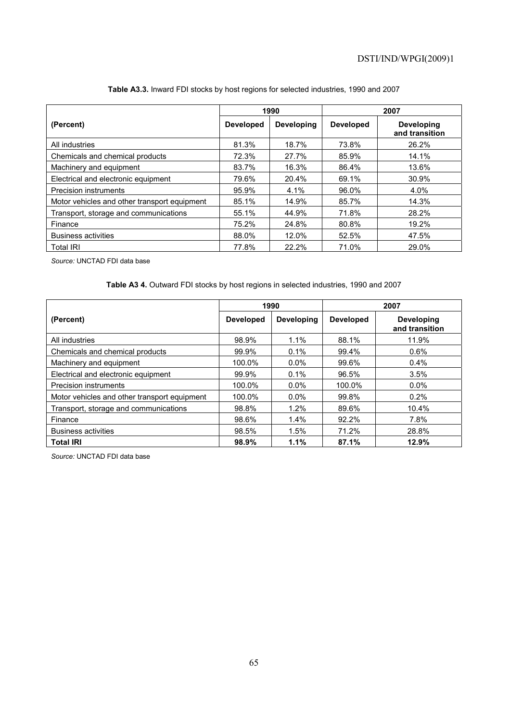|                                              | 1990             |                   |                  | 2007                                |
|----------------------------------------------|------------------|-------------------|------------------|-------------------------------------|
| (Percent)                                    | <b>Developed</b> | <b>Developing</b> | <b>Developed</b> | <b>Developing</b><br>and transition |
| All industries                               | 81.3%            | 18.7%             | 73.8%            | 26.2%                               |
| Chemicals and chemical products              | 72.3%            | 27.7%             | 85.9%            | 14.1%                               |
| Machinery and equipment                      | 83.7%            | 16.3%             | 86.4%            | 13.6%                               |
| Electrical and electronic equipment          | 79.6%            | 20.4%             | 69.1%            | 30.9%                               |
| <b>Precision instruments</b>                 | 95.9%            | 4.1%              | 96.0%            | 4.0%                                |
| Motor vehicles and other transport equipment | 85.1%            | 14.9%             | 85.7%            | 14.3%                               |
| Transport, storage and communications        | 55.1%            | 44.9%             | 71.8%            | 28.2%                               |
| Finance                                      | 75.2%            | 24.8%             | 80.8%            | 19.2%                               |
| <b>Business activities</b>                   | 88.0%            | 12.0%             | 52.5%            | 47.5%                               |
| <b>Total IRI</b>                             | 77.8%            | 22.2%             | 71.0%            | 29.0%                               |

#### **Table A3.3.** Inward FDI stocks by host regions for selected industries, 1990 and 2007

*Source:* UNCTAD FDI data base

## **Table A3 4.** Outward FDI stocks by host regions in selected industries, 1990 and 2007

|                                              |                  | 1990              |                  | 2007                                |
|----------------------------------------------|------------------|-------------------|------------------|-------------------------------------|
| (Percent)                                    | <b>Developed</b> | <b>Developing</b> | <b>Developed</b> | <b>Developing</b><br>and transition |
| All industries                               | 98.9%            | 1.1%              | 88.1%            | 11.9%                               |
| Chemicals and chemical products              | 99.9%            | 0.1%              | 99.4%            | 0.6%                                |
| Machinery and equipment                      | 100.0%           | $0.0\%$           | 99.6%            | $0.4\%$                             |
| Electrical and electronic equipment          | 99.9%            | $0.1\%$           | 96.5%            | 3.5%                                |
| Precision instruments                        | 100.0%           | $0.0\%$           | 100.0%           | $0.0\%$                             |
| Motor vehicles and other transport equipment | 100.0%           | $0.0\%$           | 99.8%            | 0.2%                                |
| Transport, storage and communications        | 98.8%            | 1.2%              | 89.6%            | 10.4%                               |
| Finance                                      | 98.6%            | 1.4%              | 92.2%            | 7.8%                                |
| <b>Business activities</b>                   | 98.5%            | 1.5%              | 71.2%            | 28.8%                               |
| <b>Total IRI</b>                             | 98.9%            | 1.1%              | 87.1%            | 12.9%                               |

*Source:* UNCTAD FDI data base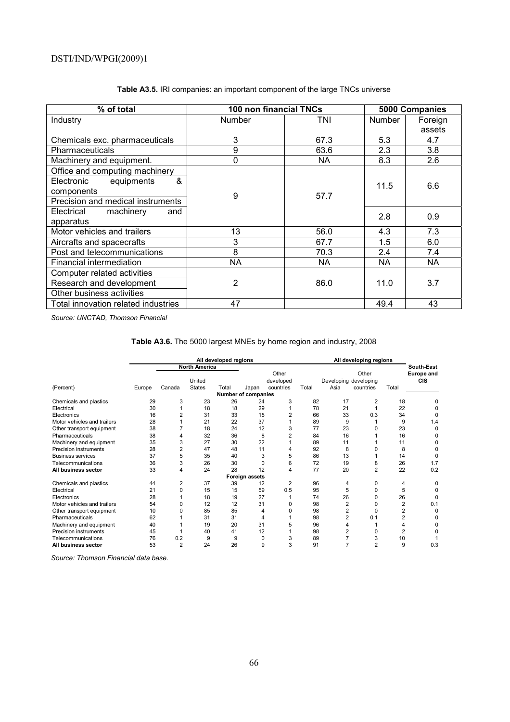| % of total                          | 100 non financial TNCs |           | 5000 Companies |         |  |
|-------------------------------------|------------------------|-----------|----------------|---------|--|
| Industry                            | Number                 | TNI       | <b>Number</b>  | Foreign |  |
|                                     |                        |           |                | assets  |  |
| Chemicals exc. pharmaceuticals      | 3                      | 67.3      | 5.3            | 4.7     |  |
| <b>Pharmaceuticals</b>              | 9                      | 63.6      | 2.3            | 3.8     |  |
| Machinery and equipment.            | 0                      | NА        | 8.3            | 2.6     |  |
| Office and computing machinery      |                        |           |                |         |  |
| &<br>equipments<br>Electronic       |                        |           | 11.5           | 6.6     |  |
| components                          | 9                      | 57.7      |                |         |  |
| Precision and medical instruments   |                        |           |                |         |  |
| Electrical<br>machinery<br>and      |                        |           | 2.8            | 0.9     |  |
| apparatus                           |                        |           |                |         |  |
| Motor vehicles and trailers         | 13                     | 56.0      | 4.3            | 7.3     |  |
| Aircrafts and spacecrafts           | 3                      | 67.7      | 1.5            | 6.0     |  |
| Post and telecommunications         | 8                      | 70.3      | 2.4            | 7.4     |  |
| Financial intermediation            | <b>NA</b>              | <b>NA</b> | NA             | NA      |  |
| Computer related activities         |                        |           |                |         |  |
| Research and development            | $\overline{2}$         | 86.0      | 11.0           | 3.7     |  |
| Other business activities           |                        |           |                |         |  |
| Total innovation related industries | 47                     |           | 49.4           | 43      |  |

# **Table A3.5.** IRI companies: an important component of the large TNCs universe

*Source: UNCTAD, Thomson Financial* 

| Table A3.6. The 5000 largest MNEs by home region and industry, 2008 |  |  |  |  |  |  |  |  |
|---------------------------------------------------------------------|--|--|--|--|--|--|--|--|
|---------------------------------------------------------------------|--|--|--|--|--|--|--|--|

|                             | All developed regions |                      |               |       |                     | All developing regions |       |                       |                |                |                   |
|-----------------------------|-----------------------|----------------------|---------------|-------|---------------------|------------------------|-------|-----------------------|----------------|----------------|-------------------|
|                             |                       | <b>North America</b> |               |       |                     |                        |       |                       |                |                | South-East        |
|                             |                       |                      |               |       |                     | Other                  |       |                       | Other          |                | <b>Europe and</b> |
|                             |                       |                      | United        |       |                     | developed              |       | Developing developing |                |                | <b>CIS</b>        |
| (Percent)                   | Europe                | Canada               | <b>States</b> | Total | Japan               | countries              | Total | Asia                  | countries      | Total          |                   |
|                             |                       |                      |               |       | Number of companies |                        |       |                       |                |                |                   |
| Chemicals and plastics      | 29                    | 3                    | 23            | 26    | 24                  | 3                      | 82    | 17                    | 2              | 18             | 0                 |
| Electrical                  | 30                    |                      | 18            | 18    | 29                  |                        | 78    | 21                    |                | 22             | ſ                 |
| Electronics                 | 16                    | 2                    | 31            | 33    | 15                  |                        | 66    | 33                    | 0.3            | 34             | C                 |
| Motor vehicles and trailers | 28                    |                      | 21            | 22    | 37                  |                        | 89    | 9                     |                | 9              | 1.4               |
| Other transport equipment   | 38                    |                      | 18            | 24    | 12                  | 3                      | 77    | 23                    | 0              | 23             | $\Omega$          |
| Pharmaceuticals             | 38                    | 4                    | 32            | 36    | 8                   | 2                      | 84    | 16                    |                | 16             | O                 |
| Machinery and equipment     | 35                    | 3                    | 27            | 30    | 22                  |                        | 89    | 11                    |                | 11             |                   |
| Precision instruments       | 28                    | $\overline{2}$       | 47            | 48    | 11                  |                        | 92    | 8                     |                | 8              | C                 |
| <b>Business services</b>    | 37                    | 5                    | 35            | 40    | 3                   | 5                      | 86    | 13                    |                | 14             | $\Omega$          |
| Telecommunications          | 36                    | 3                    | 26            | 30    | 0                   | 6                      | 72    | 19                    | 8              | 26             | 1.7               |
| All business sector         | 33                    | 4                    | 24            | 28    | 12                  | 4                      | 77    | 20                    | $\overline{2}$ | 22             | 0.2               |
|                             |                       |                      |               |       | Foreign assets      |                        |       |                       |                |                |                   |
| Chemicals and plastics      | 44                    | $\overline{2}$       | 37            | 39    | 12                  | $\overline{2}$         | 96    | 4                     | 0              | 4              | $\Omega$          |
| Electrical                  | 21                    | 0                    | 15            | 15    | 59                  | 0.5                    | 95    | 5                     | 0              | 5              | 0                 |
| Electronics                 | 28                    |                      | 18            | 19    | 27                  |                        | 74    | 26                    | ი              | 26             | C                 |
| Motor vehicles and trailers | 54                    | ŋ                    | 12            | 12    | 31                  | O                      | 98    | $\overline{2}$        | U              | $\overline{2}$ | 0.1               |
| Other transport equipment   | 10                    | ŋ                    | 85            | 85    | 4                   | ŋ                      | 98    | 2                     | 0              | $\overline{2}$ | $\Omega$          |
| Pharmaceuticals             | 62                    |                      | 31            | 31    | 4                   |                        | 98    | $\overline{2}$        | 0.1            | $\overline{2}$ |                   |
| Machinery and equipment     | 40                    |                      | 19            | 20    | 31                  | 5                      | 96    | 4                     |                |                |                   |
| Precision instruments       | 45                    |                      | 40            | 41    | 12                  |                        | 98    | 2                     | U              | $\overline{2}$ |                   |
| Telecommunications          | 76                    | 0.2                  | 9             | 9     | $\mathbf 0$         | 3                      | 89    |                       | 3              | 10             |                   |
| All business sector         | 53                    | $\overline{2}$       | 24            | 26    | 9                   | 3                      | 91    | 7                     | $\overline{2}$ | 9              | 0.3               |

*Source: Thomson Financial data base.*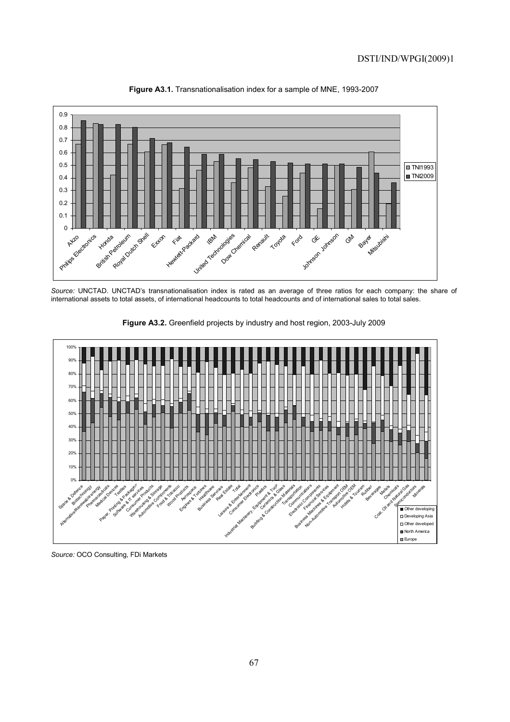

**Figure A3.1.** Transnationalisation index for a sample of MNE, 1993-2007

*Source:* UNCTAD. UNCTAD's transnationalisation index is rated as an average of three ratios for each company: the share of international assets to total assets, of international headcounts to total headcounts and of international sales to total sales.



**Figure A3.2.** Greenfield projects by industry and host region, 2003-July 2009

*Source:* OCO Consulting, FDi Markets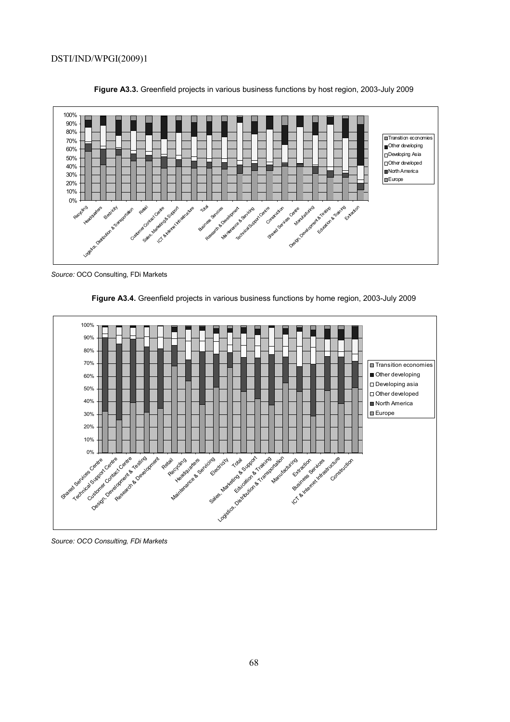

**Figure A3.3.** Greenfield projects in various business functions by host region, 2003-July 2009

*Source:* OCO Consulting, FDi Markets





*Source: OCO Consulting, FDi Markets*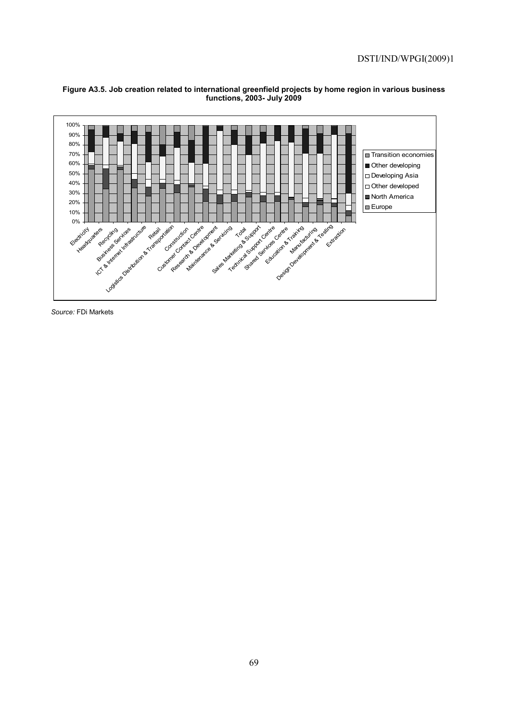

#### **Figure A3.5. Job creation related to international greenfield projects by home region in various business functions, 2003- July 2009**

*Source:* FDi Markets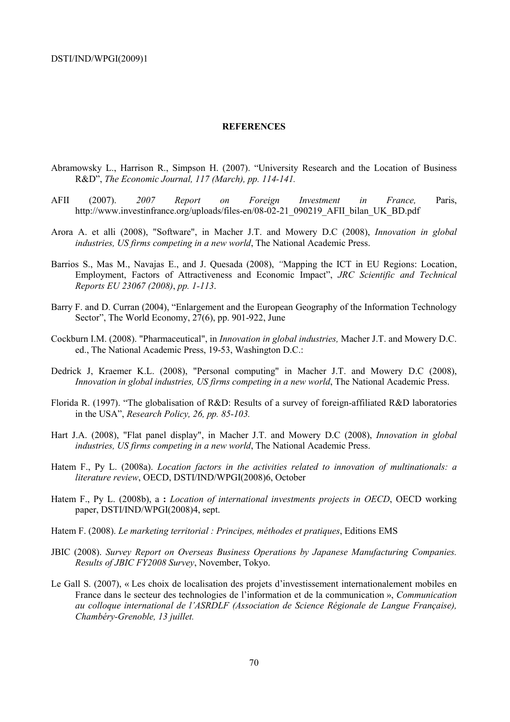#### **REFERENCES**

- Abramowsky L., Harrison R., Simpson H. (2007). "University Research and the Location of Business R&D", *The Economic Journal, 117 (March), pp. 114-141.*
- AFII (2007). *2007 Report on Foreign Investment in France,* Paris, http://www.investinfrance.org/uploads/files-en/08-02-21\_090219\_AFII\_bilan\_UK\_BD.pdf
- Arora A. et alli (2008), "Software", in Macher J.T. and Mowery D.C (2008), *Innovation in global industries, US firms competing in a new world*, The National Academic Press.
- Barrios S., Mas M., Navajas E., and J. Quesada (2008), *"*Mapping the ICT in EU Regions: Location, Employment, Factors of Attractiveness and Economic Impact", *JRC Scientific and Technical Reports EU 23067 (2008)*, *pp. 1-113*.
- Barry F. and D. Curran (2004), "Enlargement and the European Geography of the Information Technology Sector", The World Economy, 27(6), pp. 901-922, June
- Cockburn I.M. (2008). "Pharmaceutical", in *Innovation in global industries,* Macher J.T. and Mowery D.C. ed., The National Academic Press, 19-53, Washington D.C.:
- Dedrick J, Kraemer K.L. (2008), "Personal computing" in Macher J.T. and Mowery D.C (2008), *Innovation in global industries, US firms competing in a new world*, The National Academic Press.
- Florida R. (1997). "The globalisation of R&D: Results of a survey of foreign-affiliated R&D laboratories in the USA", *Research Policy, 26, pp. 85-103.*
- Hart J.A. (2008), "Flat panel display", in Macher J.T. and Mowery D.C (2008), *Innovation in global industries, US firms competing in a new world*, The National Academic Press.
- Hatem F., Py L. (2008a). *Location factors in the activities related to innovation of multinationals: a literature review*, OECD, DSTI/IND/WPGI(2008)6, October
- Hatem F., Py L. (2008b), a **:** *Location of international investments projects in OECD*, OECD working paper, DSTI/IND/WPGI(2008)4, sept.
- Hatem F. (2008). *Le marketing territorial : Principes, méthodes et pratiques*, Editions EMS
- JBIC (2008). *Survey Report on Overseas Business Operations by Japanese Manufacturing Companies. Results of JBIC FY2008 Survey*, November, Tokyo.
- Le Gall S. (2007), « Les choix de localisation des projets d'investissement internationalement mobiles en France dans le secteur des technologies de l'information et de la communication », *Communication au colloque international de l'ASRDLF (Association de Science Régionale de Langue Française), Chambéry-Grenoble, 13 juillet.*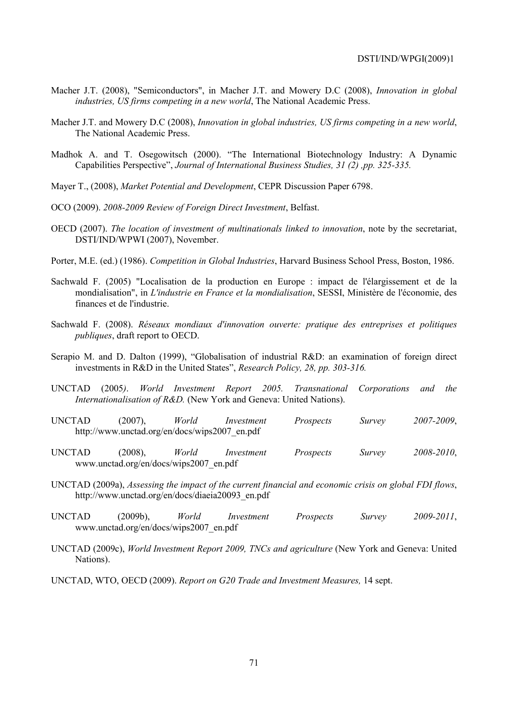- Macher J.T. (2008), "Semiconductors", in Macher J.T. and Mowery D.C (2008), *Innovation in global industries, US firms competing in a new world*, The National Academic Press.
- Macher J.T. and Mowery D.C (2008), *Innovation in global industries, US firms competing in a new world*, The National Academic Press.
- Madhok A. and T. Osegowitsch (2000). "The International Biotechnology Industry: A Dynamic Capabilities Perspective", *Journal of International Business Studies, 31 (2) ,pp. 325-335.*
- Mayer T., (2008), *Market Potential and Development*, CEPR Discussion Paper 6798.
- OCO (2009). *2008-2009 Review of Foreign Direct Investment*, Belfast.
- OECD (2007). *The location of investment of multinationals linked to innovation*, note by the secretariat, DSTI/IND/WPWI (2007), November.
- Porter, M.E. (ed.) (1986). *Competition in Global Industries*, Harvard Business School Press, Boston, 1986.
- Sachwald F. (2005) "Localisation de la production en Europe : impact de l'élargissement et de la mondialisation", in *L'industrie en France et la mondialisation*, SESSI, Ministère de l'économie, des finances et de l'industrie.
- Sachwald F. (2008). *Réseaux mondiaux d'innovation ouverte: pratique des entreprises et politiques publiques*, draft report to OECD.
- Serapio M. and D. Dalton (1999), "Globalisation of industrial R&D: an examination of foreign direct investments in R&D in the United States", *Research Policy, 28, pp. 303-316.*
- UNCTAD (2005*)*. *World Investment Report 2005. Transnational Corporations and the Internationalisation of R&D.* (New York and Geneva: United Nations).
- UNCTAD (2007), *World Investment Prospects Survey 2007-2009*, http://www.unctad.org/en/docs/wips2007\_en.pdf
- UNCTAD (2008), *World Investment Prospects Survey 2008-2010*, www.unctad.org/en/docs/wips2007\_en.pdf
- UNCTAD (2009a), *Assessing the impact of the current financial and economic crisis on global FDI flows*, http://www.unctad.org/en/docs/diaeia20093\_en.pdf
- UNCTAD (2009b), *World Investment Prospects Survey 2009-2011*, www.unctad.org/en/docs/wips2007\_en.pdf
- UNCTAD (2009c), *World Investment Report 2009, TNCs and agriculture* (New York and Geneva: United Nations).
- UNCTAD, WTO, OECD (2009). *Report on G20 Trade and Investment Measures,* 14 sept.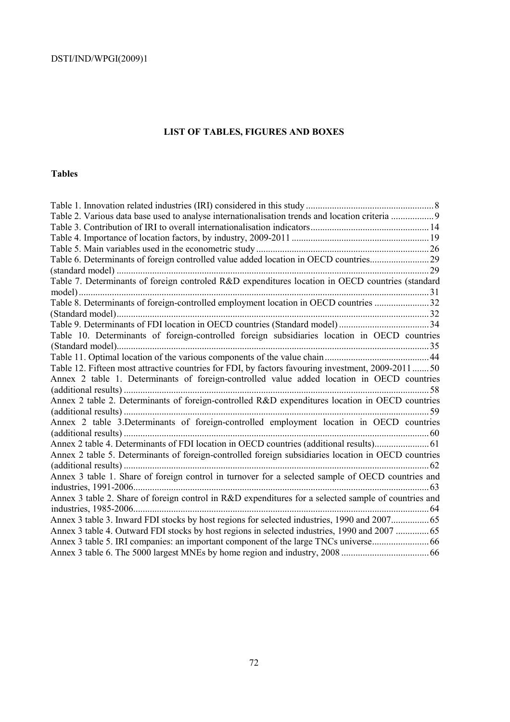# **LIST OF TABLES, FIGURES AND BOXES**

# **Tables**

| Table 2. Various data base used to analyse internationalisation trends and location criteria 9       |  |
|------------------------------------------------------------------------------------------------------|--|
|                                                                                                      |  |
|                                                                                                      |  |
|                                                                                                      |  |
| Table 6. Determinants of foreign controlled value added location in OECD countries29                 |  |
|                                                                                                      |  |
| Table 7. Determinants of foreign controled R&D expenditures location in OECD countries (standard     |  |
|                                                                                                      |  |
| Table 8. Determinants of foreign-controlled employment location in OECD countries 32                 |  |
|                                                                                                      |  |
|                                                                                                      |  |
| Table 10. Determinants of foreign-controlled foreign subsidiaries location in OECD countries         |  |
|                                                                                                      |  |
|                                                                                                      |  |
| Table 12. Fifteen most attractive countries for FDI, by factors favouring investment, 2009-2011 50   |  |
| Annex 2 table 1. Determinants of foreign-controlled value added location in OECD countries           |  |
|                                                                                                      |  |
| Annex 2 table 2. Determinants of foreign-controlled R&D expenditures location in OECD countries      |  |
|                                                                                                      |  |
| Annex 2 table 3.Determinants of foreign-controlled employment location in OECD countries             |  |
|                                                                                                      |  |
| Annex 2 table 4. Determinants of FDI location in OECD countries (additional results) 61              |  |
| Annex 2 table 5. Determinants of foreign-controlled foreign subsidiaries location in OECD countries  |  |
|                                                                                                      |  |
| Annex 3 table 1. Share of foreign control in turnover for a selected sample of OECD countries and    |  |
|                                                                                                      |  |
| Annex 3 table 2. Share of foreign control in R&D expenditures for a selected sample of countries and |  |
|                                                                                                      |  |
|                                                                                                      |  |
| Annex 3 table 4. Outward FDI stocks by host regions in selected industries, 1990 and 2007  65        |  |
|                                                                                                      |  |
|                                                                                                      |  |